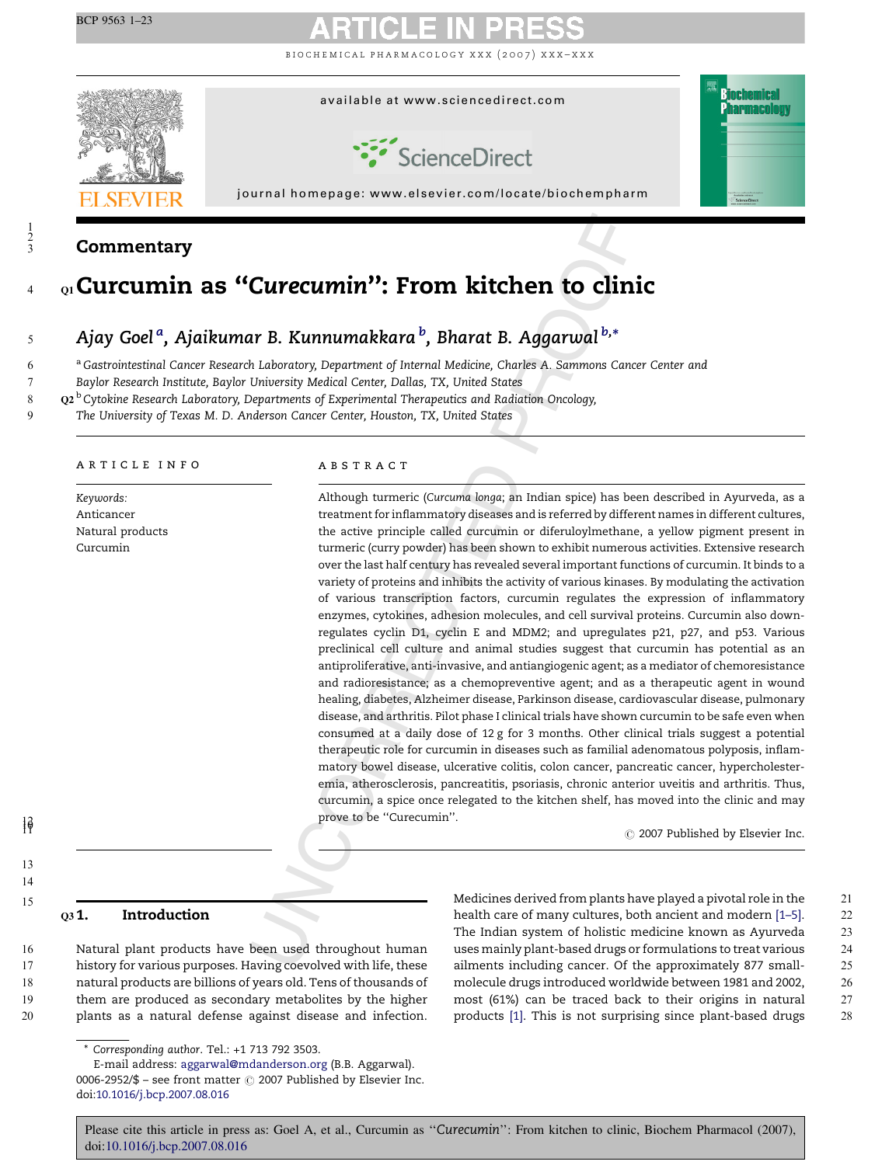

# **Commentary**

1 2 3

4

# $_{01}$ Curcumin as "Curecumin": From kitchen to clinic

# Ajay Goelª, Ajaikumar B. Kunnumakkara <sup>b</sup>, Bharat B. Aggarwal <sup>b,</sup>\*

a Gastrointestinal Cancer Research Laboratory, Department of Internal Medicine, Charles A. Sammons Cancer Center and

Baylor Research Institute, Baylor University Medical Center, Dallas, TX, United States

 $Q2^b$  Cytokine Research Laboratory, Departments of Experimental Therapeutics and Radiation Oncology,

The University of Texas M. D. Anderson Cancer Center, Houston, TX, United States

## article info

Keywords: Anticancer Natural products Curcumin

## **ABSTRACT**

**Curecumin'': From kitchen to clini**<br>
Ir B. Kunnumakkara<sup>b</sup>, Bharat B. Aggarwal<sup>b,\*</sup><br>  $\mu$  Laboratory, Department of finiental Medicine, Churles SA. Sammons Cano<br>
University Medical Center, Dallas, TX, United States<br>
Elem Although turmeric (Curcuma longa; an Indian spice) has been described in Ayurveda, as a treatment for inflammatory diseases and is referred by different names in different cultures, the active principle called curcumin or diferuloylmethane, a yellow pigment present in turmeric (curry powder) has been shown to exhibit numerous activities. Extensive research over the last half century has revealed several important functions of curcumin. It binds to a variety of proteins and inhibits the activity of various kinases. By modulating the activation of various transcription factors, curcumin regulates the expression of inflammatory enzymes, cytokines, adhesion molecules, and cell survival proteins. Curcumin also downregulates cyclin D1, cyclin E and MDM2; and upregulates p21, p27, and p53. Various preclinical cell culture and animal studies suggest that curcumin has potential as an antiproliferative, anti-invasive, and antiangiogenic agent; as a mediator of chemoresistance and radioresistance; as a chemopreventive agent; and as a therapeutic agent in wound healing, diabetes, Alzheimer disease, Parkinson disease, cardiovascular disease, pulmonary disease, and arthritis. Pilot phase I clinical trials have shown curcumin to be safe even when consumed at a daily dose of 12 g for 3 months. Other clinical trials suggest a potential therapeutic role for curcumin in diseases such as familial adenomatous polyposis, inflammatory bowel disease, ulcerative colitis, colon cancer, pancreatic cancer, hypercholesteremia, atherosclerosis, pancreatitis, psoriasis, chronic anterior uveitis and arthritis. Thus, curcumin, a spice once relegated to the kitchen shelf, has moved into the clinic and may prove to be ''Curecumin''.

 $\odot$  2007 Published by Elsevier Inc.

<u>|</u><br>የ

- 13
- 14 15

# Q3 1. Introduction

Natural plant products have been used throughout human history for various purposes. Having coevolved with life, these natural products are billions of years old. Tens of thousands of them are produced as secondary metabolites by the higher plants as a natural defense against disease and infection.

\* Corresponding author. Tel.: +1 713 792 3503.

Medicines derived from plants have played a pivotal role in the health care of many cultures, both ancient and modern [\[1–5\].](#page-16-0) The Indian system of holistic medicine known as Ayurveda uses mainly plant-based drugs or formulations to treat various ailments including cancer. Of the approximately 877 smallmolecule drugs introduced worldwide between 1981 and 2002, most (61%) can be traced back to their origins in natural products [\[1\]](#page-16-0). This is not surprising since plant-based drugs

21

E-mail address: [aggarwal@mdanderson.org](mailto:aggarwal@mdanderson.org) (B.B. Aggarwal). 0006-2952/\$ – see front matter  $\odot$  2007 Published by Elsevier Inc. doi[:10.1016/j.bcp.2007.08.016](http://dx.doi.org/10.1016/j.bcp.2007.08.016)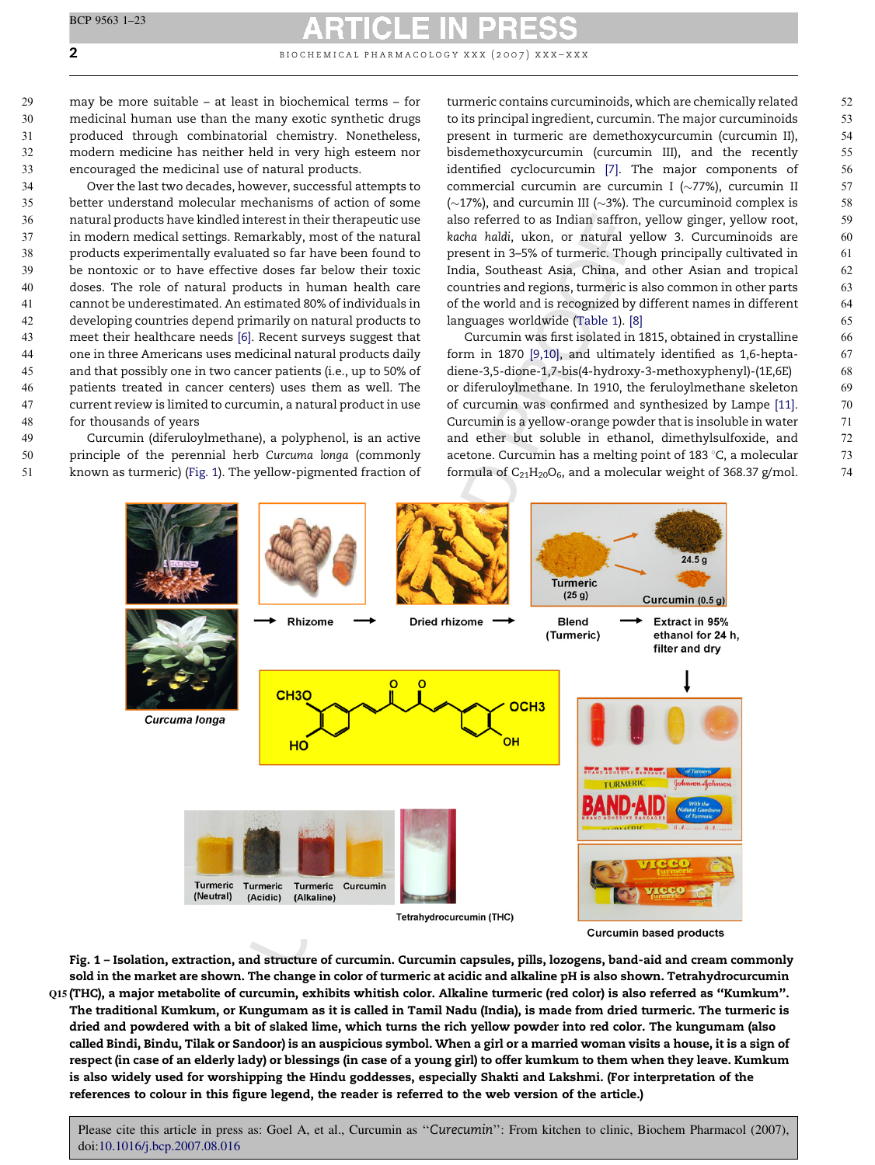may be more suitable – at least in biochemical terms – for medicinal human use than the many exotic synthetic drugs produced through combinatorial chemistry. Nonetheless, modern medicine has neither held in very high esteem nor encouraged the medicinal use of natural products. 29 30 31 32 33

Over the last two decades, however, successful attempts to better understand molecular mechanisms of action of some natural products have kindled interest in their therapeutic use in modern medical settings. Remarkably, most of the natural products experimentally evaluated so far have been found to be nontoxic or to have effective doses far below their toxic doses. The role of natural products in human health care cannot be underestimated. An estimated 80% of individuals in developing countries depend primarily on natural products to meet their healthcare needs [\[6\]](#page-16-0). Recent surveys suggest that one in three Americans uses medicinal natural products daily and that possibly one in two cancer patients (i.e., up to 50% of patients treated in cancer centers) uses them as well. The current review is limited to curcumin, a natural product in use for thousands of years 34 35 36 37 38 39 40 41 42 43 44 45 46 47 48

Curcumin (diferuloylmethane), a polyphenol, is an active principle of the perennial herb Curcuma longa (commonly known as turmeric) (Fig. 1). The yellow-pigmented fraction of 49 50 51

turmeric contains curcuminoids, which are chemically related to its principal ingredient, curcumin. The major curcuminoids present in turmeric are demethoxycurcumin (curcumin II), bisdemethoxycurcumin (curcumin III), and the recently identified cyclocurcumin [\[7\]](#page-16-0). The major components of commercial curcumin are curcumin I ( $\sim$ 77%), curcumin II ( $\sim$ 17%), and curcumin III ( $\sim$ 3%). The curcuminoid complex is also referred to as Indian saffron, yellow ginger, yellow root, kacha haldi, ukon, or natural yellow 3. Curcuminoids are present in 3–5% of turmeric. Though principally cultivated in India, Southeast Asia, China, and other Asian and tropical countries and regions, turmeric is also common in other parts of the world and is recognized by different names in different languages worldwide (Table 1). [\[8\]](#page-16-0)

Curcumin was first isolated in 1815, obtained in crystalline form in 1870 [9,10], and ultimately identified as 1,6-heptadiene-3,5-dione-1,7-bis(4-hydroxy-3-methoxyphenyl)-(1E,6E) or diferuloylmethane. In 1910, the feruloylmethane skeleton of curcumin was confirmed and synthesized by Lampe [\[11\]](#page-17-0). Curcumin is a yellow-orange powder that is insoluble in water and ether but soluble in ethanol, dimethylsulfoxide, and acetone. Curcumin has a melting point of 183 °C, a molecular formula of  $C_{21}H_{20}O_6$ , and a molecular weight of 368.37 g/mol.



Fig. 1 – Isolation, extraction, and structure of curcumin. Curcumin capsules, pills, lozogens, band-aid and cream commonly sold in the market are shown. The change in color of turmeric at acidic and alkaline pH is also shown. Tetrahydrocurcumin Q15 (THC), a major metabolite of curcumin, exhibits whitish color. Alkaline turmeric (red color) is also referred as ''Kumkum''. The traditional Kumkum, or Kungumam as it is called in Tamil Nadu (India), is made from dried turmeric. The turmeric is dried and powdered with a bit of slaked lime, which turns the rich yellow powder into red color. The kungumam (also called Bindi, Bindu, Tilak or Sandoor) is an auspicious symbol. When a girl or a married woman visits a house, it is a sign of respect (in case of an elderly lady) or blessings (in case of a young girl) to offer kumkum to them when they leave. Kumkum is also widely used for worshipping the Hindu goddesses, especially Shakti and Lakshmi. (For interpretation of the references to colour in this figure legend, the reader is referred to the web version of the article.)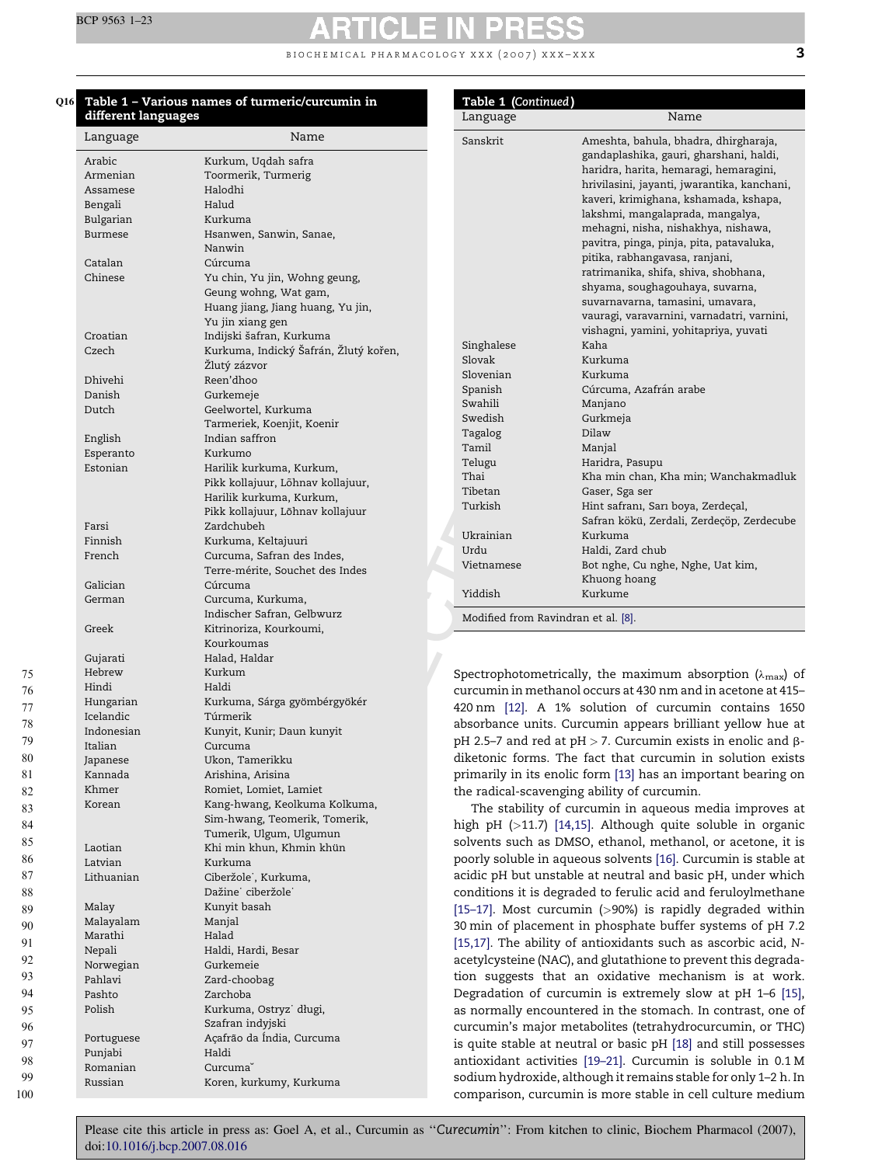$BIOCHEMICAL PHARMACOLOGY XXX (2007) XXX–XXX$  3

## <span id="page-2-0"></span>Q16 Table 1 – Various names of turmeric/curcumin in different languages

| Language                | Name                                                          |
|-------------------------|---------------------------------------------------------------|
| Arabic                  | Kurkum, Uqdah safra                                           |
| Armenian                | Toormerik, Turmerig                                           |
| Assamese                | Halodhi                                                       |
| Bengali                 | Halud                                                         |
| Bulgarian               | Kurkuma                                                       |
| <b>Burmese</b>          | Hsanwen, Sanwin, Sanae,                                       |
|                         | Nanwin                                                        |
| Catalan                 | Cúrcuma                                                       |
| Chinese                 | Yu chin, Yu jin, Wohng geung,                                 |
|                         | Geung wohng, Wat gam,                                         |
|                         | Huang jiang, Jiang huang, Yu jin,<br>Yu jin xiang gen         |
| Croatian                | Indijski šafran, Kurkuma                                      |
| Czech                   | Kurkuma, Indický Šafrán, Žlutý kořen,                         |
|                         | Žlutý zázvor                                                  |
| Dhivehi                 | Reen'dhoo                                                     |
| Danish                  | Gurkemeje                                                     |
| Dutch                   | Geelwortel, Kurkuma                                           |
|                         | Tarmeriek, Koenjit, Koenir                                    |
| English                 | Indian saffron                                                |
| Esperanto<br>Estonian   | Kurkumo                                                       |
|                         | Harilik kurkuma, Kurkum,<br>Pikk kollajuur, Lõhnav kollajuur, |
|                         | Harilik kurkuma, Kurkum,                                      |
|                         | Pikk kollajuur, Lõhnav kollajuur                              |
| Farsi                   | Zardchubeh                                                    |
| Finnish                 | Kurkuma, Keltajuuri                                           |
| French                  | Curcuma, Safran des Indes,                                    |
|                         | Terre-mérite, Souchet des Indes                               |
| Galician                | Cúrcuma                                                       |
| German                  | Curcuma, Kurkuma,<br>Indischer Safran, Gelbwurz               |
| Greek                   | Kitrinoriza, Kourkoumi,                                       |
|                         | Kourkoumas                                                    |
| Gujarati                | Halad, Haldar                                                 |
| Hebrew                  | Kurkum                                                        |
| Hindi                   | Haldi                                                         |
| Hungarian               | Kurkuma, Sárga gyömbérgyökér                                  |
| Icelandic<br>Indonesian | Túrmerik<br>Kunyit, Kunir; Daun kunyit                        |
| Italian                 | Curcuma                                                       |
| Japanese                | Ukon, Tamerikku                                               |
| Kannada                 | Arishina, Arisina                                             |
| Khmer                   | Romiet, Lomiet, Lamiet                                        |
| Korean                  | Kang-hwang, Keolkuma Kolkuma,                                 |
|                         | Sim-hwang, Teomerik, Tomerik,                                 |
| Laotian                 | Tumerik, Ulgum, Ulgumun<br>Khi min khun, Khmin khün           |
| Latvian                 | Kurkuma                                                       |
| Lithuanian              | Ciberžole, Kurkuma,                                           |
|                         | Dažine ciberžole                                              |
| Malay                   | Kunyit basah                                                  |
| Malayalam               | Manjal                                                        |
| Marathi                 | Halad                                                         |
| Nepali<br>Norwegian     | Haldi, Hardi, Besar<br>Gurkemeie                              |
| Pahlavi                 | Zard-choobag                                                  |
| Pashto                  | Zarchoba                                                      |
| Polish                  | Kurkuma, Ostryz długi,                                        |
|                         | Szafran indyjski                                              |
| Portuguese              | Açafrão da Índia, Curcuma                                     |
| Punjabi                 | Haldi                                                         |
| Romanian                | Curcuma                                                       |
| Russian                 | Koren, kurkumy, Kurkuma                                       |

| turmeric/curcumin in                       | Table 1 (Continued)<br>Language     | Name                                                                                 |
|--------------------------------------------|-------------------------------------|--------------------------------------------------------------------------------------|
| Name                                       | Sanskrit                            | Ameshta, bahula, bhadra, dhirgharaja,                                                |
| Uqdah safra                                |                                     | gandaplashika, gauri, gharshani, haldi,                                              |
| k, Turmerig                                |                                     | haridra, harita, hemaragi, hemaragini,                                               |
|                                            |                                     | hrivilasini, jayanti, jwarantika, kanchani,<br>kaveri, krimighana, kshamada, kshapa, |
|                                            |                                     | lakshmi, mangalaprada, mangalya,                                                     |
|                                            |                                     | mehagni, nisha, nishakhya, nishawa,                                                  |
| ı, Sanwin, Sanae,                          |                                     | pavitra, pinga, pinja, pita, patavaluka,                                             |
|                                            |                                     | pitika, rabhangavasa, ranjani,                                                       |
| Yu jin, Wohng geung,                       |                                     | ratrimanika, shifa, shiva, shobhana,                                                 |
| ohng, Wat gam,                             |                                     | shyama, soughagouhaya, suvarna,                                                      |
| ang, Jiang huang, Yu jin,                  |                                     | suvarnavarna, tamasini, umavara,                                                     |
| ang gen                                    |                                     | vauragi, varavarnini, varnadatri, varnini,<br>vishagni, yamini, yohitapriya, yuvati  |
| afran, Kurkuma                             | Singhalese                          | Kaha                                                                                 |
| ı, Indický Šafrán, Žlutý kořen,            | Slovak                              | Kurkuma                                                                              |
| vor:<br>Ō                                  | Slovenian                           | Kurkuma                                                                              |
| je                                         | Spanish                             | Cúrcuma, Azafrán arabe                                                               |
| el, Kurkuma                                | Swahili                             | Manjano                                                                              |
| k, Koenjit, Koenir                         | Swedish                             | Gurkmeja                                                                             |
| ffron                                      | Tagalog                             | Dilaw                                                                                |
|                                            | Tamil<br>Telugu                     | Manjal<br>Haridra, Pasupu                                                            |
| .rkuma, Kurkum,                            | Thai                                | Kha min chan, Kha min; Wanchakmadluk                                                 |
| ajuur, Lõhnav kollajuur,                   | Tibetan                             | Gaser, Sga ser                                                                       |
| .rkuma, Kurkum,<br>ajuur, Lõhnav kollajuur | Turkish                             | Hint safranı, Sarı boya, Zerdeçal,                                                   |
| eh.                                        |                                     | Safran kökü, Zerdali, Zerdeçöp, Zerdecube                                            |
| ı, Keltajuuri                              | Ukrainian                           | Kurkuma                                                                              |
| , Safran des Indes,                        | Urdu                                | Haldi, Zard chub                                                                     |
| rite, Souchet des Indes                    | Vietnamese                          | Bot nghe, Cu nghe, Nghe, Uat kim,                                                    |
|                                            | Yiddish                             | Khuong hoang<br>Kurkume                                                              |
| , Kurkuma,                                 |                                     |                                                                                      |
| Safran, Gelbwurz<br>za, Kourkoumi,         | Modified from Ravindran et al. [8]. |                                                                                      |
| nas                                        |                                     |                                                                                      |
| aldar                                      |                                     |                                                                                      |
|                                            |                                     | Spectrophotometrically, the maximum absorption ( $\lambda_{\text{max}}$ ) of         |
|                                            |                                     | curcumin in methanol occurs at 430 nm and in acetone at 415-                         |
| ı, Sárga gyömbérgyökér                     |                                     | 420 nm [12]. A 1% solution of curcumin contains 1650                                 |
|                                            |                                     | absorbance units. Curcumin appears brilliant yellow hue at                           |
| unir; Daun kunyit.                         |                                     | pH 2.5-7 and red at pH $>$ 7. Curcumin exists in enolic and $\beta$ -                |
| merikku                                    |                                     | diketonic forms. The fact that curcumin in solution exists                           |
| Arisina                                    |                                     | primarily in its enolic form [13] has an important bearing on                        |
| omiet, Lamiet.                             |                                     | the radical-scavenging ability of curcumin.                                          |
| ang, Keolkuma Kolkuma,                     |                                     | The stability of curcumin in aqueous media improves at                               |
| ng, Teomerik, Tomerik,                     |                                     | high pH $(>11.7)$ [14,15]. Although quite soluble in organic                         |
| Ulgum, Ulgumun                             |                                     | solvents such as DMSO, ethanol, methanol, or acetone, it is                          |
| khun, Khmin khün                           |                                     | poorly soluble in aqueous solvents [16]. Curcumin is stable at                       |
| , Kurkuma,                                 |                                     | acidic pH but unstable at neutral and basic pH, under which                          |
| :iberžole <sup>:</sup>                     |                                     | conditions it is degraded to ferulic acid and feruloylmethane                        |
| asah                                       |                                     | [15-17]. Most curcumin (>90%) is rapidly degraded within                             |
|                                            |                                     | 30 min of placement in phosphate buffer systems of pH 7.2                            |
|                                            |                                     | [15,17]. The ability of antioxidants such as ascorbic acid, N-                       |
| rdi, Besar                                 |                                     | acetylcysteine (NAC), and glutathione to prevent this degrada-                       |
| ie                                         |                                     |                                                                                      |

The stability of curcumin in aqueous media improves at high pH (>11.7) [14,15]. Although quite soluble in organic solvents such as DMSO, ethanol, methanol, or acetone, it is poorly soluble in aqueous solvents [\[16\]](#page-17-0). Curcumin is stable at acidic pH but unstable at neutral and basic pH, under which conditions it is degraded to ferulic acid and feruloylmethane [15-17]. Most curcumin (>90%) is rapidly degraded within 30 min of placement in phosphate buffer systems of pH 7.2 [15,17]. The ability of antioxidants such as ascorbic acid, Nacetylcysteine (NAC), and glutathione to prevent this degradation suggests that an oxidative mechanism is at work. Degradation of curcumin is extremely slow at pH 1–6 [\[15\],](#page-17-0) as normally encountered in the stomach. In contrast, one of curcumin's major metabolites (tetrahydrocurcumin, or THC) is quite stable at neutral or basic pH [\[18\]](#page-17-0) and still possesses antioxidant activities [\[19–21\].](#page-17-0) Curcumin is soluble in 0.1 M sodium hydroxide, although it remains stable for only 1–2 h. In comparison, curcumin is more stable in cell culture medium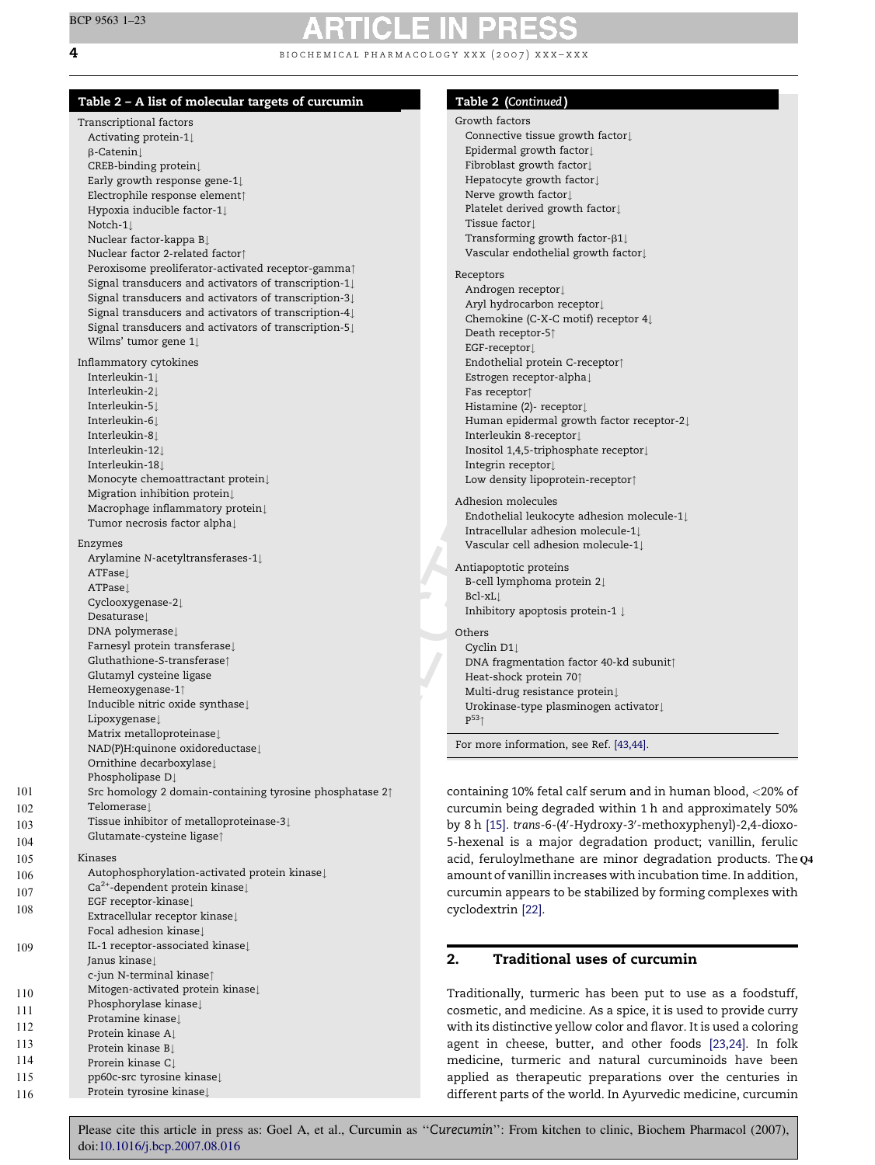<span id="page-3-0"></span> $\overline{4}$  biochemical pharmacology xxx (2007) xxx–xxx

## Table 2 – A list of molecular targets of curcumin

| Transcriptional factors                                                                             | Growth factors                                                      |
|-----------------------------------------------------------------------------------------------------|---------------------------------------------------------------------|
| Activating protein-1                                                                                | Connective tissue growth factor!                                    |
| $\beta$ -Catenin $\downarrow$                                                                       | Epidermal growth factor $\downarrow$                                |
| CREB-binding protein!                                                                               | Fibroblast growth factor $\downarrow$                               |
| Early growth response gene-1                                                                        | Hepatocyte growth factor                                            |
| Electrophile response element <sup>1</sup>                                                          | Nerve growth factor                                                 |
| Hypoxia inducible factor-1                                                                          | Platelet derived growth factor                                      |
| Notch-1                                                                                             | Tissue factor!                                                      |
| Nuclear factor-kappa B                                                                              | Transforming growth factor- $\beta1\downarrow$                      |
| Nuclear factor 2-related factor <sup>1</sup>                                                        | Vascular endothelial growth factor!                                 |
| Peroxisome preoliferator-activated receptor-gamma <sup><math>\uparrow</math></sup>                  |                                                                     |
| Signal transducers and activators of transcription-11                                               | Receptors                                                           |
| Signal transducers and activators of transcription-31                                               | Androgen receptor!                                                  |
| Signal transducers and activators of transcription-4                                                | Aryl hydrocarbon receptor!                                          |
| Signal transducers and activators of transcription-51                                               | Chemokine (C-X-C motif) receptor 4                                  |
|                                                                                                     | Death receptor-51                                                   |
| Wilms' tumor gene 1                                                                                 | EGF-receptor <sup>[</sup>                                           |
| Inflammatory cytokines                                                                              | Endothelial protein C-receptor <sup>1</sup>                         |
| Interleukin-11                                                                                      | Estrogen receptor-alpha $\downarrow$                                |
| Interleukin-21                                                                                      | Fas receptor <sup>1</sup>                                           |
| Interleukin-51                                                                                      | Histamine (2)- receptor                                             |
| Interleukin-61                                                                                      | Human epidermal growth factor receptor-2                            |
| Interleukin-81                                                                                      | Interleukin 8-receptor!                                             |
| Interleukin-12                                                                                      | Inositol 1,4,5-triphosphate receptor                                |
| Interleukin-18                                                                                      | Integrin receptor!                                                  |
| Monocyte chemoattractant protein!                                                                   | Low density lipoprotein-receptor <sup>1</sup>                       |
| Migration inhibition protein!                                                                       |                                                                     |
| Macrophage inflammatory protein $\downarrow$                                                        | Adhesion molecules                                                  |
| Tumor necrosis factor alpha $\downarrow$                                                            | Endothelial leukocyte adhesion molecule-1↓                          |
|                                                                                                     | Intracellular adhesion molecule-11                                  |
| Enzymes                                                                                             | Vascular cell adhesion molecule-11                                  |
| Arylamine N-acetyltransferases-1                                                                    |                                                                     |
| ATFasel                                                                                             | Antiapoptotic proteins                                              |
| ATPase.                                                                                             | B-cell lymphoma protein 2                                           |
| Cyclooxygenase-21                                                                                   | $Bcl-xL$                                                            |
| Desaturasel                                                                                         | Inhibitory apoptosis protein-1 $\downarrow$                         |
| DNA polymerase!                                                                                     | Others                                                              |
| Farnesyl protein transferasel                                                                       | Cyclin $D1$                                                         |
| Gluthathione-S-transferase <sup>1</sup>                                                             | DNA fragmentation factor 40-kd subunit <sup>1</sup>                 |
| Glutamyl cysteine ligase                                                                            | Heat-shock protein 701                                              |
| Hemeoxygenase-11                                                                                    | Multi-drug resistance protein $\downarrow$                          |
| Inducible nitric oxide synthase!                                                                    | Urokinase-type plasminogen activator!                               |
| Lipoxygenase                                                                                        | $P^{53}$                                                            |
| Matrix metalloproteinase!                                                                           |                                                                     |
| NAD(P)H:quinone oxidoreductase Į                                                                    | For more information, see Ref. [43,44].                             |
| Ornithine decarboxylase!                                                                            |                                                                     |
|                                                                                                     |                                                                     |
| Phospholipase $D\downarrow$<br>Src homology 2 domain-containing tyrosine phosphatase 2 <sup>1</sup> | containing 10% fetal calf serum and in human blood, <20% of         |
|                                                                                                     |                                                                     |
| Telomerase.<br>Tissue inhibitor of metalloproteinase-31                                             | curcumin being degraded within 1 h and approximately 50%            |
|                                                                                                     | by 8 h [15]. trans-6-(4'-Hydroxy-3'-methoxyphenyl)-2,4-dioxo-       |
| Glutamate-cysteine ligase <sup><math>\uparrow</math></sup>                                          | 5-hexenal is a major degradation product; vanillin, ferulic         |
| Kinases                                                                                             | acid, feruloylmethane are minor degradation products. The           |
| Autophosphorylation-activated protein kinasel                                                       | amount of vanillin increases with incubation time. In addition,     |
| $Ca^{2+}$ -dependent protein kinase $\downarrow$                                                    |                                                                     |
| EGF receptor-kinase $\downarrow$                                                                    | curcumin appears to be stabilized by forming complexes with         |
| Extracellular receptor kinase $\downarrow$                                                          | cyclodextrin [22].                                                  |
| Focal adhesion kinasel                                                                              |                                                                     |
| IL-1 receptor-associated kinasel                                                                    |                                                                     |
| Janus kinase!                                                                                       | <b>Traditional uses of curcumin</b><br>2.                           |
|                                                                                                     |                                                                     |
| c-jun N-terminal kinase <sup>1</sup>                                                                |                                                                     |
| Mitogen-activated protein kinasel                                                                   | Traditionally, turmeric has been put to use as a foodstuff          |
| Phosphorylase kinasel                                                                               | cosmetic, and medicine. As a spice, it is used to provide curry     |
| Protamine kinasel                                                                                   | with its distinctive yellow color and flavor. It is used a coloring |
| Protein kinase Al                                                                                   | agent in cheese, butter, and other foods [23,24]. In folk           |
| Protein kinase B <sub>J</sub>                                                                       |                                                                     |
| Prorein kinase C <sub>J</sub>                                                                       | medicine, turmeric and natural curcuminoids have been               |
| pp60c-src tyrosine kinase↓                                                                          | applied as therapeutic preparations over the centuries in           |
| Protein tyrosine kinase!                                                                            | different parts of the world. In Ayurvedic medicine, curcumin       |
|                                                                                                     |                                                                     |

109

## Table 2 (Continued )

5-hexenal is a major degradation product; vanillin, ferulic acid, feruloylmethane are minor degradation products. The Q4 amount of vanillin increases with incubation time. In addition, curcumin appears to be stabilized by forming complexes with cyclodextrin [22].

# 2. Traditional uses of curcumin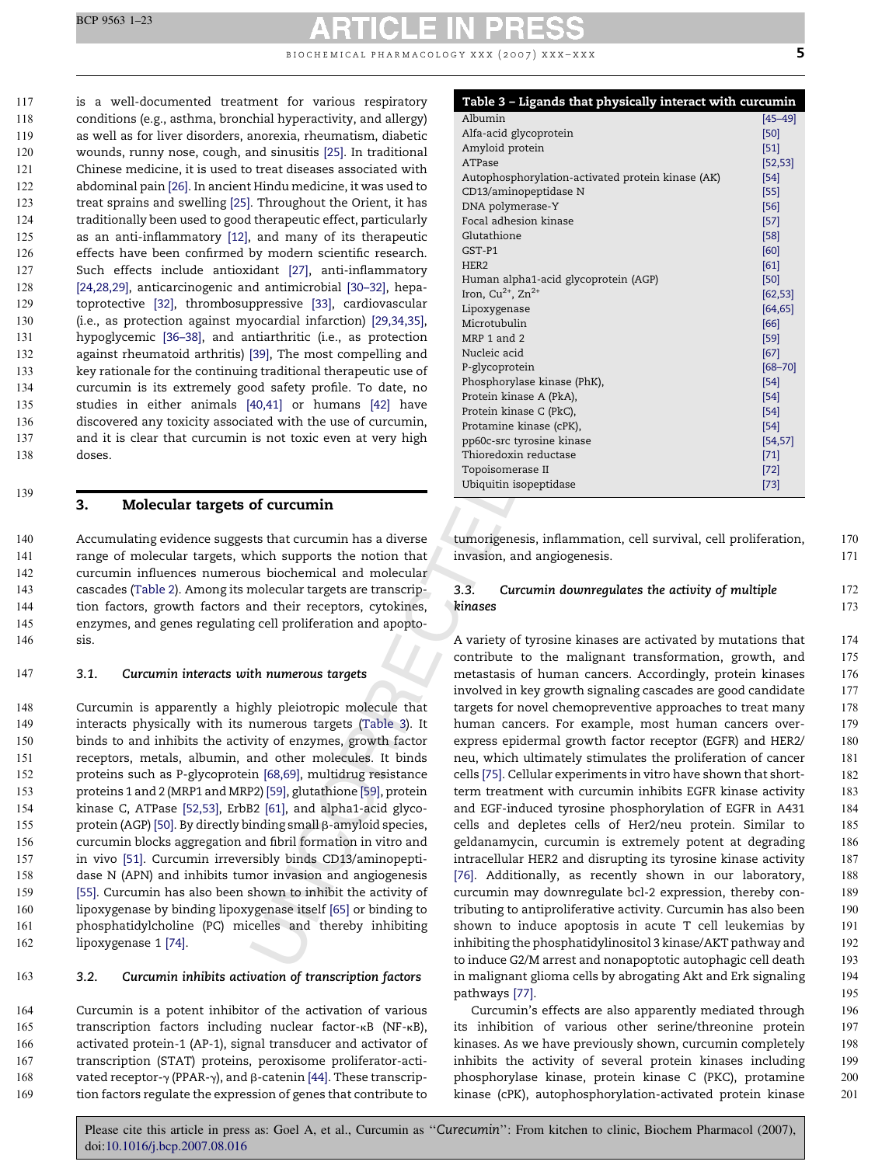170 171

172 173

is a well-documented treatment for various respiratory conditions (e.g., asthma, bronchial hyperactivity, and allergy) as well as for liver disorders, anorexia, rheumatism, diabetic wounds, runny nose, cough, and sinusitis [\[25\].](#page-17-0) In traditional Chinese medicine, it is used to treat diseases associated with abdominal pain [\[26\]](#page-17-0). In ancient Hindu medicine, it was used to treat sprains and swelling [\[25\]](#page-17-0). Throughout the Orient, it has traditionally been used to good therapeutic effect, particularly as an anti-inflammatory [\[12\],](#page-17-0) and many of its therapeutic effects have been confirmed by modern scientific research. Such effects include antioxidant [27], anti-inflammatory [\[24,28,29\],](#page-17-0) anticarcinogenic and antimicrobial [30–32], hepatoprotective [\[32\]](#page-17-0), thrombosuppressive [33], cardiovascular (i.e., as protection against myocardial infarction) [29,34,35], hypoglycemic [\[36–38\]](#page-17-0), and antiarthritic (i.e., as protection against rheumatoid arthritis) [39], The most compelling and key rationale for the continuing traditional therapeutic use of curcumin is its extremely good safety profile. To date, no studies in either animals [\[40,41\]](#page-17-0) or humans [42] have discovered any toxicity associated with the use of curcumin, and it is clear that curcumin is not toxic even at very high doses. 117 118 119 120 121 122 123 124 125 126 127 128 129 130 131 132 133 134 135 136 137 138

# 3. Molecular targets of curcumin

139

Accumulating evidence suggests that curcumin has a diverse range of molecular targets, which supports the notion that curcumin influences numerous biochemical and molecular cascades [\(Table 2](#page-3-0)). Among its molecular targets are transcription factors, growth factors and their receptors, cytokines, enzymes, and genes regulating cell proliferation and apoptosis. 140 141 142 143 144 145 146

## 3.1. Curcumin interacts with numerous targets 147

Curcumin is apparently a highly pleiotropic molecule that interacts physically with its numerous targets (Table 3). It binds to and inhibits the activity of enzymes, growth factor receptors, metals, albumin, and other molecules. It binds proteins such as P-glycoprotein [68,69], multidrug resistance proteins 1 and 2 (MRP1 and MRP2) [59], glutathione [59], protein kinase C, ATPase [\[52,53\]](#page-17-0), ErbB2 [61], and alpha1-acid glyco-protein (AGP) [\[50\]](#page-17-0). By directly binding small  $\beta$ -amyloid species, curcumin blocks aggregation and fibril formation in vitro and in vivo [\[51\]](#page-17-0). Curcumin irreversibly binds CD13/aminopeptidase N (APN) and inhibits tumor invasion and angiogenesis [\[55\].](#page-18-0) Curcumin has also been shown to inhibit the activity of lipoxygenase by binding lipoxygenase itself [65] or binding to phosphatidylcholine (PC) micelles and thereby inhibiting lipoxygenase 1 [\[74\]](#page-18-0). 148 149 150 151 152 153 154 155 156 157 158 159 160 161 162

## 3.2. Curcumin inhibits activation of transcription factors 163

Curcumin is a potent inhibitor of the activation of various transcription factors including nuclear factor-kB (NF-kB), activated protein-1 (AP-1), signal transducer and activator of transcription (STAT) proteins, peroxisome proliferator-activated receptor- $\gamma$  (PPAR- $\gamma$ ), and  $\beta$ -catenin [\[44\]](#page-17-0). These transcription factors regulate the expression of genes that contribute to 164 165 166 167 168 169

| Table 3 - Ligands that physically interact with curcumin |             |
|----------------------------------------------------------|-------------|
| Albumin                                                  | $[45 - 49]$ |
| Alfa-acid glycoprotein                                   | [50]        |
| Amyloid protein                                          | $[51]$      |
| ATPase                                                   | [52, 53]    |
| Autophosphorylation-activated protein kinase (AK)        | $[54]$      |
| CD13/aminopeptidase N                                    | $[55]$      |
| DNA polymerase-Y                                         | [56]        |
| Focal adhesion kinase                                    | $[57]$      |
| Glutathione                                              | [58]        |
| GST-P1                                                   | [60]        |
| HER <sub>2</sub>                                         | [61]        |
| Human alpha1-acid glycoprotein (AGP)                     | [50]        |
| Iron, $Cu^{2+}$ , $Zn^{2+}$                              | [62, 53]    |
| Lipoxygenase                                             | [64, 65]    |
| Microtubulin                                             | [66]        |
| MRP 1 and 2                                              | $[59]$      |
| Nucleic acid                                             | [67]        |
| P-glycoprotein                                           | $[68 - 70]$ |
| Phosphorylase kinase (PhK),                              | [54]        |
| Protein kinase A (PkA),                                  | [54]        |
| Protein kinase C (PkC),                                  | [54]        |
| Protamine kinase (cPK),                                  | [54]        |
| pp60c-src tyrosine kinase                                | [54, 57]    |
| Thioredoxin reductase                                    | $[71]$      |
| Topoisomerase II                                         | $[72]$      |
| Ubiquitin isopeptidase                                   | $[73]$      |

tumorigenesis, inflammation, cell survival, cell proliferation, invasion, and angiogenesis.

## 3.3. Curcumin downregulates the activity of multiple kinases

It therapettic free particularly<br>
not an many of its therapettic Coluthoine<br>
by modern scientific research.<br>
(ST-P1), anti-inflammatory<br>
darithic (201, anti-inflammator)<br>
darithic (1.6, as protoscularly HER2<br>
iddarithic (1 A variety of tyrosine kinases are activated by mutations that contribute to the malignant transformation, growth, and metastasis of human cancers. Accordingly, protein kinases involved in key growth signaling cascades are good candidate targets for novel chemopreventive approaches to treat many human cancers. For example, most human cancers overexpress epidermal growth factor receptor (EGFR) and HER2/ neu, which ultimately stimulates the proliferation of cancer cells [75]. Cellular experiments in vitro have shown that shortterm treatment with curcumin inhibits EGFR kinase activity and EGF-induced tyrosine phosphorylation of EGFR in A431 cells and depletes cells of Her2/neu protein. Similar to geldanamycin, curcumin is extremely potent at degrading intracellular HER2 and disrupting its tyrosine kinase activity [76]. Additionally, as recently shown in our laboratory, curcumin may downregulate bcl-2 expression, thereby contributing to antiproliferative activity. Curcumin has also been shown to induce apoptosis in acute T cell leukemias by inhibiting the phosphatidylinositol 3 kinase/AKT pathway and to induce G2/M arrest and nonapoptotic autophagic cell death in malignant glioma cells by abrogating Akt and Erk signaling pathways [\[77\]](#page-18-0).

Curcumin's effects are also apparently mediated through its inhibition of various other serine/threonine protein kinases. As we have previously shown, curcumin completely inhibits the activity of several protein kinases including phosphorylase kinase, protein kinase C (PKC), protamine kinase (cPK), autophosphorylation-activated protein kinase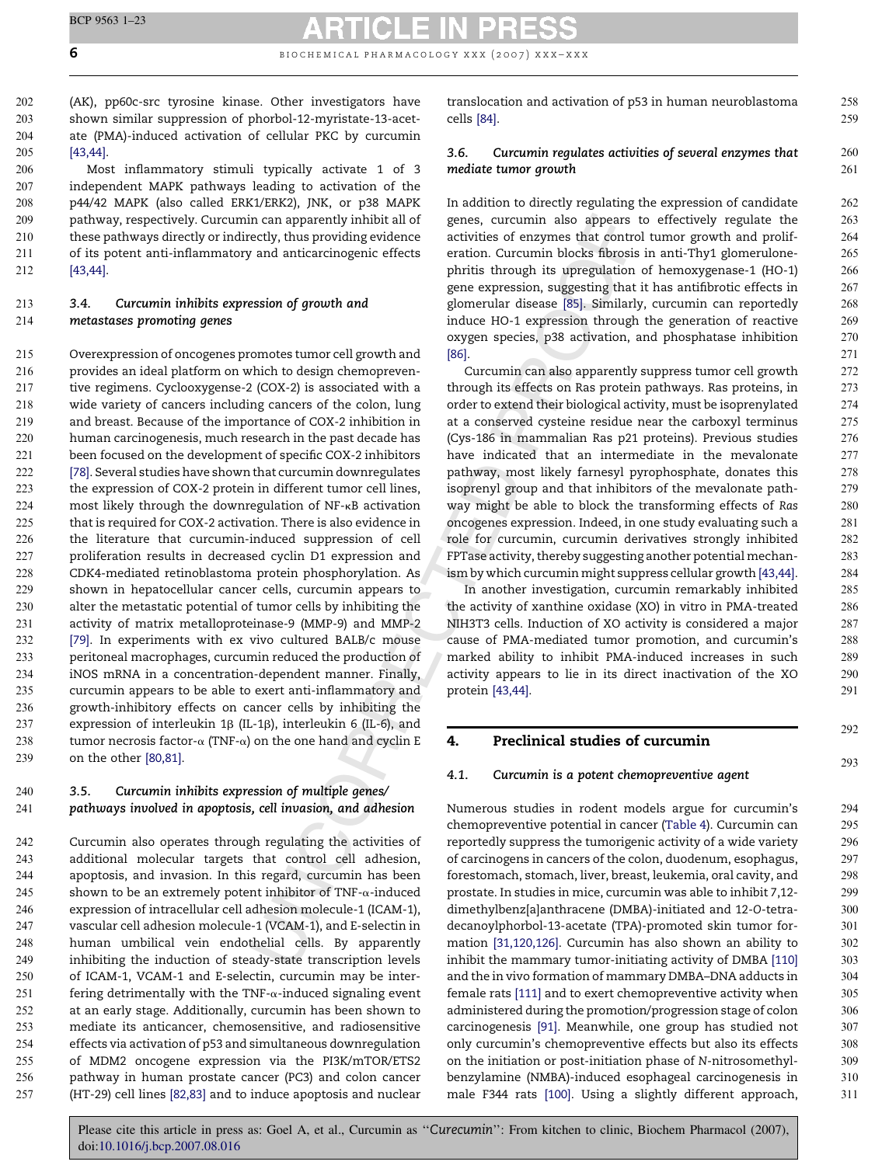cells [\[84\]](#page-18-0).

mediate tumor growth

6 biochemical pharmacology xxx (2007) xxx–xxx

258 259

260 261

292

293

In addition to directly regulating the expression of candidate genes, curcumin also appears to effectively regulate the activities of enzymes that control tumor growth and prolif-

eration. Curcumin blocks fibrosis in anti-Thy1 glomerulonephritis through its upregulation of hemoxygenase-1 (HO-1) gene expression, suggesting that it has antifibrotic effects in glomerular disease [85]. Similarly, curcumin can reportedly induce HO-1 expression through the generation of reactive oxygen species, p38 activation, and phosphatase inhibition [86].

translocation and activation of p53 in human neuroblastoma

3.6. Curcumin regulates activities of several enzymes that

Curcumin can also apparently suppress tumor cell growth through its effects on Ras protein pathways. Ras proteins, in order to extend their biological activity, must be isoprenylated at a conserved cysteine residue near the carboxyl terminus (Cys-186 in mammalian Ras p21 proteins). Previous studies have indicated that an intermediate in the mevalonate pathway, most likely farnesyl pyrophosphate, donates this isoprenyl group and that inhibitors of the mevalonate pathway might be able to block the transforming effects of Ras oncogenes expression. Indeed, in one study evaluating such a role for curcumin, curcumin derivatives strongly inhibited FPTase activity, thereby suggesting another potential mechanism by which curcumin might suppress cellular growth [\[43,44\]](#page-17-0).

In another investigation, curcumin remarkably inhibited the activity of xanthine oxidase (XO) in vitro in PMA-treated NIH3T3 cells. Induction of XO activity is considered a major cause of PMA-mediated tumor promotion, and curcumin's marked ability to inhibit PMA-induced increases in such activity appears to lie in its direct inactivation of the XO protein [43,44].

# 4. Preclinical studies of curcumin

## 4.1. Curcumin is a potent chemopreventive agent

Numerous studies in rodent models argue for curcumin's chemopreventive potential in cancer ([Table 4\)](#page-6-0). Curcumin can reportedly suppress the tumorigenic activity of a wide variety of carcinogens in cancers of the colon, duodenum, esophagus, forestomach, stomach, liver, breast, leukemia, oral cavity, and prostate. In studies in mice, curcumin was able to inhibit 7,12 dimethylbenz[a]anthracene (DMBA)-initiated and 12-O-tetradecanoylphorbol-13-acetate (TPA)-promoted skin tumor formation [31,120,126]. Curcumin has also shown an ability to inhibit the mammary tumor-initiating activity of DMBA [\[110\]](#page-19-0) and the in vivo formation of mammary DMBA–DNA adducts in female rats [\[111\]](#page-19-0) and to exert chemopreventive activity when administered during the promotion/progression stage of colon carcinogenesis [\[91\].](#page-19-0) Meanwhile, one group has studied not only curcumin's chemopreventive effects but also its effects on the initiation or post-initiation phase of N-nitrosomethylbenzylamine (NMBA)-induced esophageal carcinogenesis in male F344 rats [\[100\].](#page-19-0) Using a slightly different approach, 294 295 296 297 298 299 300 301 302 303 304 305 306 307 308 309 310 311

(AK), pp60c-src tyrosine kinase. Other investigators have shown similar suppression of phorbol-12-myristate-13-acetate (PMA)-induced activation of cellular PKC by curcumin [\[43,44\].](#page-17-0) 202 203 204 205

Most inflammatory stimuli typically activate 1 of 3 independent MAPK pathways leading to activation of the p44/42 MAPK (also called ERK1/ERK2), JNK, or p38 MAPK pathway, respectively. Curcumin can apparently inhibit all of these pathways directly or indirectly, thus providing evidence of its potent anti-inflammatory and anticarcinogenic effects [\[43,44\].](#page-17-0) 206 207 208 209 210 211 212

## 3.4. Curcumin inhibits expression of growth and metastases promoting genes 213 214

n can apparently inhibit all of genes, curcumin also appears<br>section, the sproviding evidence activities of enzymes that contract and anticarcinogenic effects eration. Curcumin blocks fibrosis phirical section of growth a Overexpression of oncogenes promotes tumor cell growth and provides an ideal platform on which to design chemopreventive regimens. Cyclooxygense-2 (COX-2) is associated with a wide variety of cancers including cancers of the colon, lung and breast. Because of the importance of COX-2 inhibition in human carcinogenesis, much research in the past decade has been focused on the development of specific COX-2 inhibitors [\[78\]](#page-18-0). Several studies have shown that curcumin downregulates the expression of COX-2 protein in different tumor cell lines, most likely through the downregulation of NF-kB activation that is required for COX-2 activation. There is also evidence in the literature that curcumin-induced suppression of cell proliferation results in decreased cyclin D1 expression and CDK4-mediated retinoblastoma protein phosphorylation. As shown in hepatocellular cancer cells, curcumin appears to alter the metastatic potential of tumor cells by inhibiting the activity of matrix metalloproteinase-9 (MMP-9) and MMP-2 [\[79\]](#page-18-0). In experiments with ex vivo cultured BALB/c mouse peritoneal macrophages, curcumin reduced the production of iNOS mRNA in a concentration-dependent manner. Finally, curcumin appears to be able to exert anti-inflammatory and growth-inhibitory effects on cancer cells by inhibiting the expression of interleukin 1 $\beta$  (IL-1 $\beta$ ), interleukin 6 (IL-6), and tumor necrosis factor- $\alpha$  (TNF- $\alpha$ ) on the one hand and cyclin E on the other [\[80,81\].](#page-18-0) 215 216 217 218 219 220 221 222 223 224 225 226 227 228 229 230 231 232 233 234 235 236 237 238 239

## 3.5. Curcumin inhibits expression of multiple genes/ pathways involved in apoptosis, cell invasion, and adhesion 240 241

Curcumin also operates through regulating the activities of additional molecular targets that control cell adhesion, apoptosis, and invasion. In this regard, curcumin has been shown to be an extremely potent inhibitor of  $TNF-\alpha$ -induced expression of intracellular cell adhesion molecule-1 (ICAM-1), vascular cell adhesion molecule-1 (VCAM-1), and E-selectin in human umbilical vein endothelial cells. By apparently inhibiting the induction of steady-state transcription levels of ICAM-1, VCAM-1 and E-selectin, curcumin may be interfering detrimentally with the TNF- $\alpha$ -induced signaling event at an early stage. Additionally, curcumin has been shown to mediate its anticancer, chemosensitive, and radiosensitive effects via activation of p53 and simultaneous downregulation of MDM2 oncogene expression via the PI3K/mTOR/ETS2 pathway in human prostate cancer (PC3) and colon cancer (HT-29) cell lines [\[82,83\]](#page-18-0) and to induce apoptosis and nuclear 242 243 244 245 246 247 248 249 250 251 252 253 254 255 256 257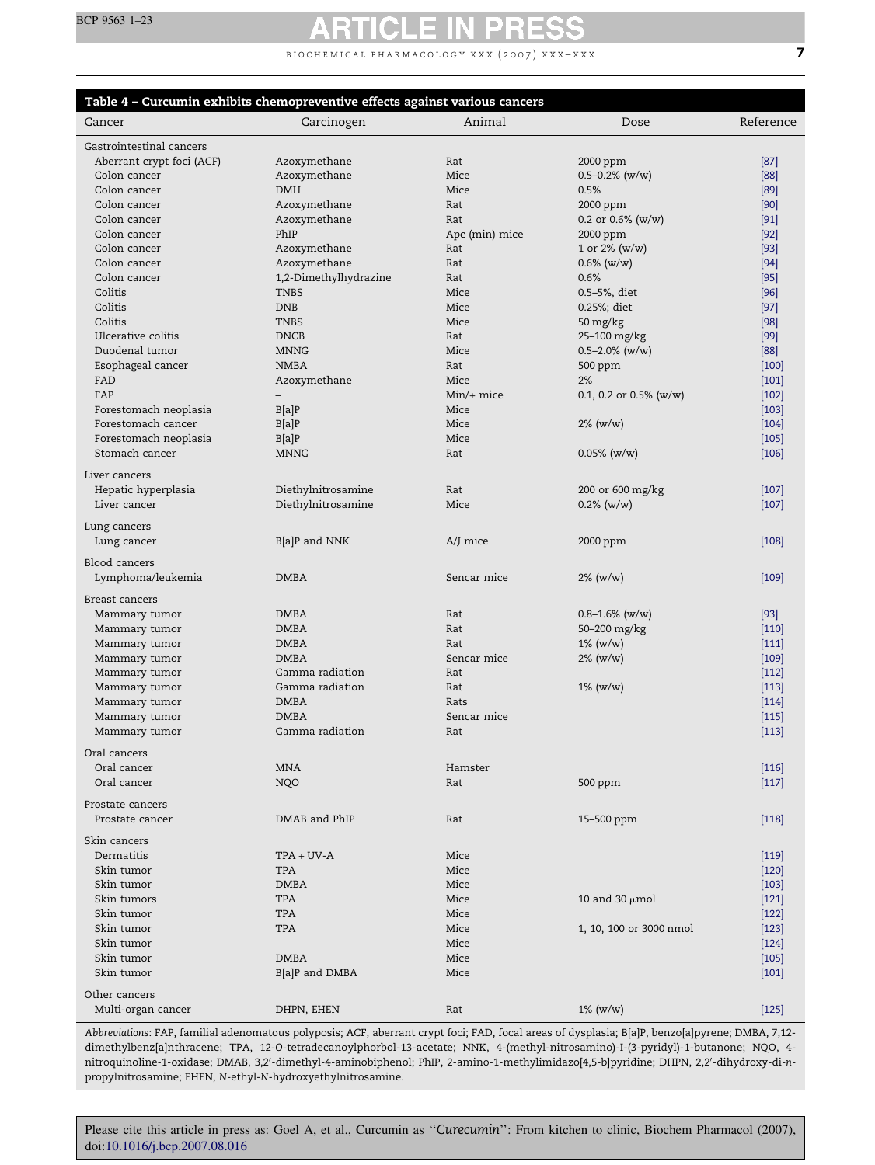<span id="page-6-0"></span>

| Table 4 - Curcumin exhibits chemopreventive effects against various cancers |                       |                |                         |           |
|-----------------------------------------------------------------------------|-----------------------|----------------|-------------------------|-----------|
| Cancer                                                                      | Carcinogen            | Animal         | Dose                    | Reference |
| Gastrointestinal cancers                                                    |                       |                |                         |           |
| Aberrant crypt foci (ACF)                                                   | Azoxymethane          | Rat            | 2000 ppm                | [87]      |
| Colon cancer                                                                | Azoxymethane          | Mice           | $0.5 - 0.2\%$ (w/w)     | [88]      |
| Colon cancer                                                                | <b>DMH</b>            | Mice           | 0.5%                    | [89]      |
| Colon cancer                                                                | Azoxymethane          | Rat            | 2000 ppm                | [90]      |
| Colon cancer                                                                | Azoxymethane          | Rat            | 0.2 or 0.6% (w/w)       | $[91]$    |
| Colon cancer                                                                | PhIP                  | Apc (min) mice | 2000 ppm                | $[92]$    |
| Colon cancer                                                                | Azoxymethane          | Rat            | 1 or $2\%$ (w/w)        | $[93]$    |
| Colon cancer                                                                | Azoxymethane          | Rat            | $0.6\%$ (w/w)           | [94]      |
| Colon cancer                                                                | 1,2-Dimethylhydrazine | Rat            | 0.6%                    | $[95]$    |
| Colitis                                                                     | <b>TNBS</b>           | Mice           | 0.5-5%, diet            | [96]      |
| Colitis                                                                     | <b>DNB</b>            | Mice           | 0.25%; diet             | $[97]$    |
| Colitis                                                                     | <b>TNBS</b>           | Mice           | 50 $mg/kg$              | [98]      |
| Ulcerative colitis                                                          | <b>DNCB</b>           | Rat            | 25-100 mg/kg            | [99]      |
| Duodenal tumor                                                              | <b>MNNG</b>           | Mice           | $0.5 - 2.0\%$ (w/w)     | [88]      |
| Esophageal cancer                                                           | <b>NMBA</b>           | Rat            | 500 ppm                 | $[100]$   |
| FAD                                                                         | Azoxymethane          | Mice           | 2%                      | $[101]$   |
| FAP                                                                         |                       | $Min/+$ mice   | 0.1, 0.2 or 0.5% (w/w)  | $[102]$   |
| Forestomach neoplasia                                                       | B[a]P                 | Mice           |                         | $[103]$   |
| Forestomach cancer                                                          | B[a]P                 | Mice           | $2\%$ (w/w)             | $[104]$   |
| Forestomach neoplasia                                                       | B[a]P                 | Mice           |                         | $[105]$   |
| Stomach cancer                                                              | <b>MNNG</b>           | Rat            | $0.05\%$ (w/w)          | [106]     |
|                                                                             |                       |                |                         |           |
| Liver cancers<br>Hepatic hyperplasia                                        | Diethylnitrosamine    | Rat            | 200 or 600 mg/kg        | $[107]$   |
| Liver cancer                                                                | Diethylnitrosamine    | Mice           | $0.2\%$ (w/w)           | $[107]$   |
|                                                                             |                       |                |                         |           |
| Lung cancers<br>Lung cancer                                                 | B[a]P and NNK         | A/J mice       | 2000 ppm                | [108]     |
|                                                                             |                       |                |                         |           |
| Blood cancers                                                               |                       |                |                         |           |
| Lymphoma/leukemia                                                           | <b>DMBA</b>           | Sencar mice    | $2\%$ (w/w)             | $[109]$   |
| Breast cancers                                                              |                       |                |                         |           |
| Mammary tumor                                                               | <b>DMBA</b>           | Rat            | $0.8 - 1.6\%$ (w/w)     | $[93]$    |
| Mammary tumor                                                               | <b>DMBA</b>           | Rat            | 50-200 mg/kg            | $[110]$   |
| Mammary tumor                                                               | <b>DMBA</b>           | Rat            | $1\%$ (w/w)             | [111]     |
| Mammary tumor                                                               | <b>DMBA</b>           | Sencar mice    | $2\%$ (w/w)             | $[109]$   |
| Mammary tumor                                                               | Gamma radiation       | Rat            |                         | [112]     |
| Mammary tumor                                                               | Gamma radiation       | Rat            | $1\%$ (w/w)             | $[113]$   |
| Mammary tumor                                                               | <b>DMBA</b>           | Rats           |                         | [114]     |
| Mammary tumor                                                               | <b>DMBA</b>           | Sencar mice    |                         | $[115]$   |
| Mammary tumor                                                               | Gamma radiation       | Rat            |                         | $[113]$   |
|                                                                             |                       |                |                         |           |
| Oral cancers                                                                |                       |                |                         |           |
| Oral cancer                                                                 | <b>MNA</b>            | Hamster        |                         | [116]     |
| Oral cancer                                                                 | NQO                   | Rat            | 500 ppm                 | [117]     |
| Prostate cancers                                                            |                       |                |                         |           |
| Prostate cancer                                                             | DMAB and PhIP         | Rat            | 15-500 ppm              | [118]     |
| Skin cancers                                                                |                       |                |                         |           |
| Dermatitis                                                                  | TPA + UV-A            | Mice           |                         | [119]     |
| Skin tumor                                                                  | TPA                   | Mice           |                         | $[120]$   |
| Skin tumor                                                                  | <b>DMBA</b>           | Mice           |                         | $[103]$   |
| Skin tumors                                                                 | TPA                   | Mice           | 10 and 30 $\mu$ mol     | [121]     |
| Skin tumor                                                                  | TPA                   | Mice           |                         | [122]     |
| Skin tumor                                                                  | TPA                   | Mice           | 1, 10, 100 or 3000 nmol | [123]     |
| Skin tumor                                                                  |                       | Mice           |                         | $[124]$   |
| Skin tumor                                                                  | <b>DMBA</b>           | Mice           |                         | $[105]$   |
| Skin tumor                                                                  | B[a]P and DMBA        | Mice           |                         | [101]     |
| Other cancers                                                               |                       |                |                         |           |
| Multi-organ cancer                                                          | DHPN, EHEN            | Rat            | $1\% (w/w)$             | $[125]$   |
|                                                                             |                       |                |                         |           |

Abbreviations: FAP, familial adenomatous polyposis; ACF, aberrant crypt foci; FAD, focal areas of dysplasia; B[a]P, benzo[a]pyrene; DMBA, 7,12 dimethylbenz[a]nthracene; TPA, 12-O-tetradecanoylphorbol-13-acetate; NNK, 4-(methyl-nitrosamino)-I-(3-pyridyl)-1-butanone; NQO, 4 nitroquinoline-1-oxidase; DMAB, 3,2′-dimethyl-4-aminobiphenol; PhIP, 2-amino-1-methylimidazo[4,5-b]pyridine; DHPN, 2,2′-dihydroxy-di-npropylnitrosamine; EHEN, N-ethyl-N-hydroxyethylnitrosamine.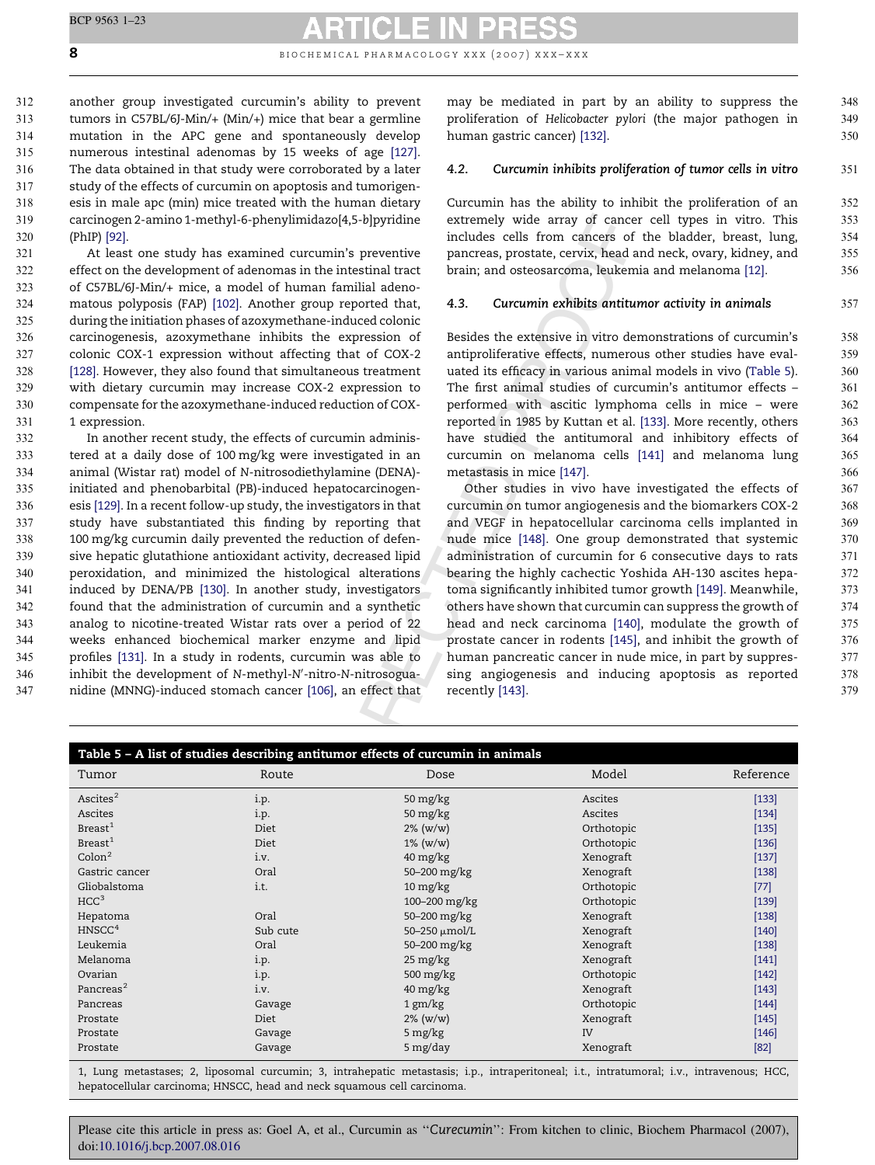another group investigated curcumin's ability to prevent tumors in C57BL/6J-Min/+ (Min/+) mice that bear a germline mutation in the APC gene and spontaneously develop numerous intestinal adenomas by 15 weeks of age [\[127\]](#page-20-0). The data obtained in that study were corroborated by a later study of the effects of curcumin on apoptosis and tumorigenesis in male apc (min) mice treated with the human dietary carcinogen 2-amino 1-methyl-6-phenylimidazo[4,5-b]pyridine (PhIP) [\[92\].](#page-19-0) 312 313 314 315 316 317 318 319 320

At least one study has examined curcumin's preventive effect on the development of adenomas in the intestinal tract of C57BL/6J-Min/+ mice, a model of human familial adenomatous polyposis (FAP) [\[102\].](#page-19-0) Another group reported that, during the initiation phases of azoxymethane-induced colonic carcinogenesis, azoxymethane inhibits the expression of colonic COX-1 expression without affecting that of COX-2 [\[128\]](#page-20-0). However, they also found that simultaneous treatment with dietary curcumin may increase COX-2 expression to compensate for the azoxymethane-induced reduction of COX-1 expression. 321  $322$ 323 324 325 326 327 328 329 330 331

In another recent study, the effects of curcumin administered at a daily dose of 100 mg/kg were investigated in an animal (Wistar rat) model of N-nitrosodiethylamine (DENA) initiated and phenobarbital (PB)-induced hepatocarcinogenesis [\[129\]](#page-20-0). In a recent follow-up study, the investigators in that study have substantiated this finding by reporting that 100 mg/kg curcumin daily prevented the reduction of defensive hepatic glutathione antioxidant activity, decreased lipid peroxidation, and minimized the histological alterations induced by DENA/PB [\[130\]](#page-20-0). In another study, investigators found that the administration of curcumin and a synthetic analog to nicotine-treated Wistar rats over a period of 22 weeks enhanced biochemical marker enzyme and lipid profiles [\[131\]](#page-20-0). In a study in rodents, curcumin was able to inhibit the development of N-methyl-N'-nitro-N-nitrosoguanidine (MNNG)-induced stomach cancer [106], an effect that 332 333 334 335 336 337 338 339 340 341 342 343 344 345 346 347

may be mediated in part by an ability to suppress the proliferation of Helicobacter pylori (the major pathogen in human gastric cancer) [\[132\]](#page-20-0).

348 349 350

351

357

## 4.2. Curcumin inhibits proliferation of tumor cells in vitro

Curcumin has the ability to inhibit the proliferation of an extremely wide array of cancer cell types in vitro. This includes cells from cancers of the bladder, breast, lung, pancreas, prostate, cervix, head and neck, ovary, kidney, and brain; and osteosarcoma, leukemia and melanoma [\[12\].](#page-17-0)

## 4.3. Curcumin exhibits antitumor activity in animals

| (PhIP) [92].<br>1 expression. | carcinogen 2-amino 1-methyl-6-phenylimidazo[4,5-b]pyridine<br>At least one study has examined curcumin's preventive<br>effect on the development of adenomas in the intestinal tract<br>of C57BL/6J-Min/+ mice, a model of human familial adeno-<br>matous polyposis (FAP) [102]. Another group reported that,<br>during the initiation phases of azoxymethane-induced colonic<br>carcinogenesis, azoxymethane inhibits the expression of<br>colonic COX-1 expression without affecting that of COX-2<br>[128]. However, they also found that simultaneous treatment<br>with dietary curcumin may increase COX-2 expression to<br>compensate for the azoxymethane-induced reduction of COX-<br>In another recent study, the effects of curcumin adminis-<br>tered at a daily dose of 100 mg/kg were investigated in an<br>animal (Wistar rat) model of N-nitrosodiethylamine (DENA)-<br>initiated and phenobarbital (PB)-induced hepatocarcinogen-<br>esis [129]. In a recent follow-up study, the investigators in that<br>study have substantiated this finding by reporting that<br>100 mg/kg curcumin daily prevented the reduction of defen-<br>sive hepatic glutathione antioxidant activity, decreased lipid<br>peroxidation, and minimized the histological alterations<br>induced by DENA/PB [130]. In another study, investigators<br>found that the administration of curcumin and a synthetic<br>analog to nicotine-treated Wistar rats over a period of 22<br>weeks enhanced biochemical marker enzyme and lipid<br>profiles [131]. In a study in rodents, curcumin was able to<br>inhibit the development of N-methyl-N'-nitro-N-nitrosogua-<br>nidine (MNNG)-induced stomach cancer [106], an effect that | 4.3.<br>recently [143].                                                         | extremely wide array of cancer cell types in vitro. This<br>includes cells from cancers of the bladder, breast, lung<br>pancreas, prostate, cervix, head and neck, ovary, kidney, and<br>brain; and osteosarcoma, leukemia and melanoma [12].<br>Curcumin exhibits antitumor activity in animals<br>Besides the extensive in vitro demonstrations of curcumin's<br>antiproliferative effects, numerous other studies have eval-<br>uated its efficacy in various animal models in vivo (Table 5).<br>The first animal studies of curcumin's antitumor effects -<br>performed with ascitic lymphoma cells in mice - were<br>reported in 1985 by Kuttan et al. [133]. More recently, others<br>have studied the antitumoral and inhibitory effects of<br>curcumin on melanoma cells [141] and melanoma lung<br>metastasis in mice [147].<br>Other studies in vivo have investigated the effects of<br>curcumin on tumor angiogenesis and the biomarkers COX-2<br>and VEGF in hepatocellular carcinoma cells implanted in<br>nude mice [148]. One group demonstrated that systemic<br>administration of curcumin for 6 consecutive days to rats<br>bearing the highly cachectic Yoshida AH-130 ascites hepa-<br>toma significantly inhibited tumor growth [149]. Meanwhile<br>others have shown that curcumin can suppress the growth of<br>head and neck carcinoma [140], modulate the growth of<br>prostate cancer in rodents [145], and inhibit the growth of<br>human pancreatic cancer in nude mice, in part by suppres-<br>sing angiogenesis and inducing apoptosis as reported |                |
|-------------------------------|--------------------------------------------------------------------------------------------------------------------------------------------------------------------------------------------------------------------------------------------------------------------------------------------------------------------------------------------------------------------------------------------------------------------------------------------------------------------------------------------------------------------------------------------------------------------------------------------------------------------------------------------------------------------------------------------------------------------------------------------------------------------------------------------------------------------------------------------------------------------------------------------------------------------------------------------------------------------------------------------------------------------------------------------------------------------------------------------------------------------------------------------------------------------------------------------------------------------------------------------------------------------------------------------------------------------------------------------------------------------------------------------------------------------------------------------------------------------------------------------------------------------------------------------------------------------------------------------------------------------------------------------------------------------------------------------------------------------------|---------------------------------------------------------------------------------|------------------------------------------------------------------------------------------------------------------------------------------------------------------------------------------------------------------------------------------------------------------------------------------------------------------------------------------------------------------------------------------------------------------------------------------------------------------------------------------------------------------------------------------------------------------------------------------------------------------------------------------------------------------------------------------------------------------------------------------------------------------------------------------------------------------------------------------------------------------------------------------------------------------------------------------------------------------------------------------------------------------------------------------------------------------------------------------------------------------------------------------------------------------------------------------------------------------------------------------------------------------------------------------------------------------------------------------------------------------------------------------------------------------------------------------------------------------------------------------------------------------------------------------------------------------------------------|----------------|
|                               |                                                                                                                                                                                                                                                                                                                                                                                                                                                                                                                                                                                                                                                                                                                                                                                                                                                                                                                                                                                                                                                                                                                                                                                                                                                                                                                                                                                                                                                                                                                                                                                                                                                                                                                          |                                                                                 |                                                                                                                                                                                                                                                                                                                                                                                                                                                                                                                                                                                                                                                                                                                                                                                                                                                                                                                                                                                                                                                                                                                                                                                                                                                                                                                                                                                                                                                                                                                                                                                    |                |
|                               |                                                                                                                                                                                                                                                                                                                                                                                                                                                                                                                                                                                                                                                                                                                                                                                                                                                                                                                                                                                                                                                                                                                                                                                                                                                                                                                                                                                                                                                                                                                                                                                                                                                                                                                          |                                                                                 |                                                                                                                                                                                                                                                                                                                                                                                                                                                                                                                                                                                                                                                                                                                                                                                                                                                                                                                                                                                                                                                                                                                                                                                                                                                                                                                                                                                                                                                                                                                                                                                    |                |
|                               |                                                                                                                                                                                                                                                                                                                                                                                                                                                                                                                                                                                                                                                                                                                                                                                                                                                                                                                                                                                                                                                                                                                                                                                                                                                                                                                                                                                                                                                                                                                                                                                                                                                                                                                          | Table 5 - A list of studies describing antitumor effects of curcumin in animals |                                                                                                                                                                                                                                                                                                                                                                                                                                                                                                                                                                                                                                                                                                                                                                                                                                                                                                                                                                                                                                                                                                                                                                                                                                                                                                                                                                                                                                                                                                                                                                                    |                |
| Tumor                         | Route                                                                                                                                                                                                                                                                                                                                                                                                                                                                                                                                                                                                                                                                                                                                                                                                                                                                                                                                                                                                                                                                                                                                                                                                                                                                                                                                                                                                                                                                                                                                                                                                                                                                                                                    | Dose                                                                            | Model                                                                                                                                                                                                                                                                                                                                                                                                                                                                                                                                                                                                                                                                                                                                                                                                                                                                                                                                                                                                                                                                                                                                                                                                                                                                                                                                                                                                                                                                                                                                                                              | Reference      |
| Ascites <sup>2</sup>          | i.p.                                                                                                                                                                                                                                                                                                                                                                                                                                                                                                                                                                                                                                                                                                                                                                                                                                                                                                                                                                                                                                                                                                                                                                                                                                                                                                                                                                                                                                                                                                                                                                                                                                                                                                                     | 50 mg/kg                                                                        | Ascites                                                                                                                                                                                                                                                                                                                                                                                                                                                                                                                                                                                                                                                                                                                                                                                                                                                                                                                                                                                                                                                                                                                                                                                                                                                                                                                                                                                                                                                                                                                                                                            | $[133]$        |
| Ascites<br>Breat <sup>1</sup> | i.p.                                                                                                                                                                                                                                                                                                                                                                                                                                                                                                                                                                                                                                                                                                                                                                                                                                                                                                                                                                                                                                                                                                                                                                                                                                                                                                                                                                                                                                                                                                                                                                                                                                                                                                                     | 50 mg/kg                                                                        | Ascites                                                                                                                                                                                                                                                                                                                                                                                                                                                                                                                                                                                                                                                                                                                                                                                                                                                                                                                                                                                                                                                                                                                                                                                                                                                                                                                                                                                                                                                                                                                                                                            | $[134]$        |
| Breat <sup>1</sup>            | Diet<br>Diet                                                                                                                                                                                                                                                                                                                                                                                                                                                                                                                                                                                                                                                                                                                                                                                                                                                                                                                                                                                                                                                                                                                                                                                                                                                                                                                                                                                                                                                                                                                                                                                                                                                                                                             | $2\%$ (w/w)<br>$1\% (w/w)$                                                      | Orthotopic<br>Orthotopic                                                                                                                                                                                                                                                                                                                                                                                                                                                                                                                                                                                                                                                                                                                                                                                                                                                                                                                                                                                                                                                                                                                                                                                                                                                                                                                                                                                                                                                                                                                                                           | [135]<br>[136] |
| $\text{Colon}^2$              | i.v.                                                                                                                                                                                                                                                                                                                                                                                                                                                                                                                                                                                                                                                                                                                                                                                                                                                                                                                                                                                                                                                                                                                                                                                                                                                                                                                                                                                                                                                                                                                                                                                                                                                                                                                     | 40 mg/kg                                                                        | Xenograft                                                                                                                                                                                                                                                                                                                                                                                                                                                                                                                                                                                                                                                                                                                                                                                                                                                                                                                                                                                                                                                                                                                                                                                                                                                                                                                                                                                                                                                                                                                                                                          | $[137]$        |
| Gastric cancer                | Oral                                                                                                                                                                                                                                                                                                                                                                                                                                                                                                                                                                                                                                                                                                                                                                                                                                                                                                                                                                                                                                                                                                                                                                                                                                                                                                                                                                                                                                                                                                                                                                                                                                                                                                                     | 50-200 mg/kg                                                                    |                                                                                                                                                                                                                                                                                                                                                                                                                                                                                                                                                                                                                                                                                                                                                                                                                                                                                                                                                                                                                                                                                                                                                                                                                                                                                                                                                                                                                                                                                                                                                                                    | [138]          |
| Gliobalstoma                  | i.t.                                                                                                                                                                                                                                                                                                                                                                                                                                                                                                                                                                                                                                                                                                                                                                                                                                                                                                                                                                                                                                                                                                                                                                                                                                                                                                                                                                                                                                                                                                                                                                                                                                                                                                                     | 10 mg/kg                                                                        | Xenograft<br>Orthotopic                                                                                                                                                                                                                                                                                                                                                                                                                                                                                                                                                                                                                                                                                                                                                                                                                                                                                                                                                                                                                                                                                                                                                                                                                                                                                                                                                                                                                                                                                                                                                            | $[77]$         |
| HCC <sup>3</sup>              |                                                                                                                                                                                                                                                                                                                                                                                                                                                                                                                                                                                                                                                                                                                                                                                                                                                                                                                                                                                                                                                                                                                                                                                                                                                                                                                                                                                                                                                                                                                                                                                                                                                                                                                          | 100-200 mg/kg                                                                   | Orthotopic                                                                                                                                                                                                                                                                                                                                                                                                                                                                                                                                                                                                                                                                                                                                                                                                                                                                                                                                                                                                                                                                                                                                                                                                                                                                                                                                                                                                                                                                                                                                                                         | $[139]$        |
| Hepatoma                      | Oral                                                                                                                                                                                                                                                                                                                                                                                                                                                                                                                                                                                                                                                                                                                                                                                                                                                                                                                                                                                                                                                                                                                                                                                                                                                                                                                                                                                                                                                                                                                                                                                                                                                                                                                     | 50-200 mg/kg                                                                    | Xenograft                                                                                                                                                                                                                                                                                                                                                                                                                                                                                                                                                                                                                                                                                                                                                                                                                                                                                                                                                                                                                                                                                                                                                                                                                                                                                                                                                                                                                                                                                                                                                                          | $[138]$        |
| HNSCC <sup>4</sup>            | Sub cute                                                                                                                                                                                                                                                                                                                                                                                                                                                                                                                                                                                                                                                                                                                                                                                                                                                                                                                                                                                                                                                                                                                                                                                                                                                                                                                                                                                                                                                                                                                                                                                                                                                                                                                 | 50-250 μmol/L                                                                   | Xenograft                                                                                                                                                                                                                                                                                                                                                                                                                                                                                                                                                                                                                                                                                                                                                                                                                                                                                                                                                                                                                                                                                                                                                                                                                                                                                                                                                                                                                                                                                                                                                                          | $[140]$        |
| Leukemia                      | Oral                                                                                                                                                                                                                                                                                                                                                                                                                                                                                                                                                                                                                                                                                                                                                                                                                                                                                                                                                                                                                                                                                                                                                                                                                                                                                                                                                                                                                                                                                                                                                                                                                                                                                                                     | 50-200 mg/kg                                                                    | Xenograft                                                                                                                                                                                                                                                                                                                                                                                                                                                                                                                                                                                                                                                                                                                                                                                                                                                                                                                                                                                                                                                                                                                                                                                                                                                                                                                                                                                                                                                                                                                                                                          | $[138]$        |
| Melanoma                      | i.p.                                                                                                                                                                                                                                                                                                                                                                                                                                                                                                                                                                                                                                                                                                                                                                                                                                                                                                                                                                                                                                                                                                                                                                                                                                                                                                                                                                                                                                                                                                                                                                                                                                                                                                                     | 25 mg/kg                                                                        | Xenograft                                                                                                                                                                                                                                                                                                                                                                                                                                                                                                                                                                                                                                                                                                                                                                                                                                                                                                                                                                                                                                                                                                                                                                                                                                                                                                                                                                                                                                                                                                                                                                          | $[141]$        |
| Ovarian                       | i.p.                                                                                                                                                                                                                                                                                                                                                                                                                                                                                                                                                                                                                                                                                                                                                                                                                                                                                                                                                                                                                                                                                                                                                                                                                                                                                                                                                                                                                                                                                                                                                                                                                                                                                                                     | 500 mg/kg                                                                       | Orthotopic                                                                                                                                                                                                                                                                                                                                                                                                                                                                                                                                                                                                                                                                                                                                                                                                                                                                                                                                                                                                                                                                                                                                                                                                                                                                                                                                                                                                                                                                                                                                                                         | $[142]$        |
| Pancreas <sup>2</sup>         | i.v.                                                                                                                                                                                                                                                                                                                                                                                                                                                                                                                                                                                                                                                                                                                                                                                                                                                                                                                                                                                                                                                                                                                                                                                                                                                                                                                                                                                                                                                                                                                                                                                                                                                                                                                     | 40 mg/kg                                                                        | Xenograft                                                                                                                                                                                                                                                                                                                                                                                                                                                                                                                                                                                                                                                                                                                                                                                                                                                                                                                                                                                                                                                                                                                                                                                                                                                                                                                                                                                                                                                                                                                                                                          | $[143]$        |
| Pancreas                      | Gavage                                                                                                                                                                                                                                                                                                                                                                                                                                                                                                                                                                                                                                                                                                                                                                                                                                                                                                                                                                                                                                                                                                                                                                                                                                                                                                                                                                                                                                                                                                                                                                                                                                                                                                                   | 1 gm/kg                                                                         | Orthotopic                                                                                                                                                                                                                                                                                                                                                                                                                                                                                                                                                                                                                                                                                                                                                                                                                                                                                                                                                                                                                                                                                                                                                                                                                                                                                                                                                                                                                                                                                                                                                                         | $[144]$        |
| Prostate                      | Diet                                                                                                                                                                                                                                                                                                                                                                                                                                                                                                                                                                                                                                                                                                                                                                                                                                                                                                                                                                                                                                                                                                                                                                                                                                                                                                                                                                                                                                                                                                                                                                                                                                                                                                                     | $2\%$ (w/w)                                                                     | Xenograft                                                                                                                                                                                                                                                                                                                                                                                                                                                                                                                                                                                                                                                                                                                                                                                                                                                                                                                                                                                                                                                                                                                                                                                                                                                                                                                                                                                                                                                                                                                                                                          | $[145]$        |
| Prostate                      | Gavage                                                                                                                                                                                                                                                                                                                                                                                                                                                                                                                                                                                                                                                                                                                                                                                                                                                                                                                                                                                                                                                                                                                                                                                                                                                                                                                                                                                                                                                                                                                                                                                                                                                                                                                   | 5 mg/kg                                                                         | IV                                                                                                                                                                                                                                                                                                                                                                                                                                                                                                                                                                                                                                                                                                                                                                                                                                                                                                                                                                                                                                                                                                                                                                                                                                                                                                                                                                                                                                                                                                                                                                                 | $[146]$        |
| Prostate                      | Gavage                                                                                                                                                                                                                                                                                                                                                                                                                                                                                                                                                                                                                                                                                                                                                                                                                                                                                                                                                                                                                                                                                                                                                                                                                                                                                                                                                                                                                                                                                                                                                                                                                                                                                                                   | 5 mg/day                                                                        | Xenograft                                                                                                                                                                                                                                                                                                                                                                                                                                                                                                                                                                                                                                                                                                                                                                                                                                                                                                                                                                                                                                                                                                                                                                                                                                                                                                                                                                                                                                                                                                                                                                          | $[82]$         |
|                               |                                                                                                                                                                                                                                                                                                                                                                                                                                                                                                                                                                                                                                                                                                                                                                                                                                                                                                                                                                                                                                                                                                                                                                                                                                                                                                                                                                                                                                                                                                                                                                                                                                                                                                                          |                                                                                 |                                                                                                                                                                                                                                                                                                                                                                                                                                                                                                                                                                                                                                                                                                                                                                                                                                                                                                                                                                                                                                                                                                                                                                                                                                                                                                                                                                                                                                                                                                                                                                                    |                |

1, Lung metastases; 2, liposomal curcumin; 3, intrahepatic metastasis; i.p., intraperitoneal; i.t., intratumoral; i.v., intravenous; HCC, hepatocellular carcinoma; HNSCC, head and neck squamous cell carcinoma.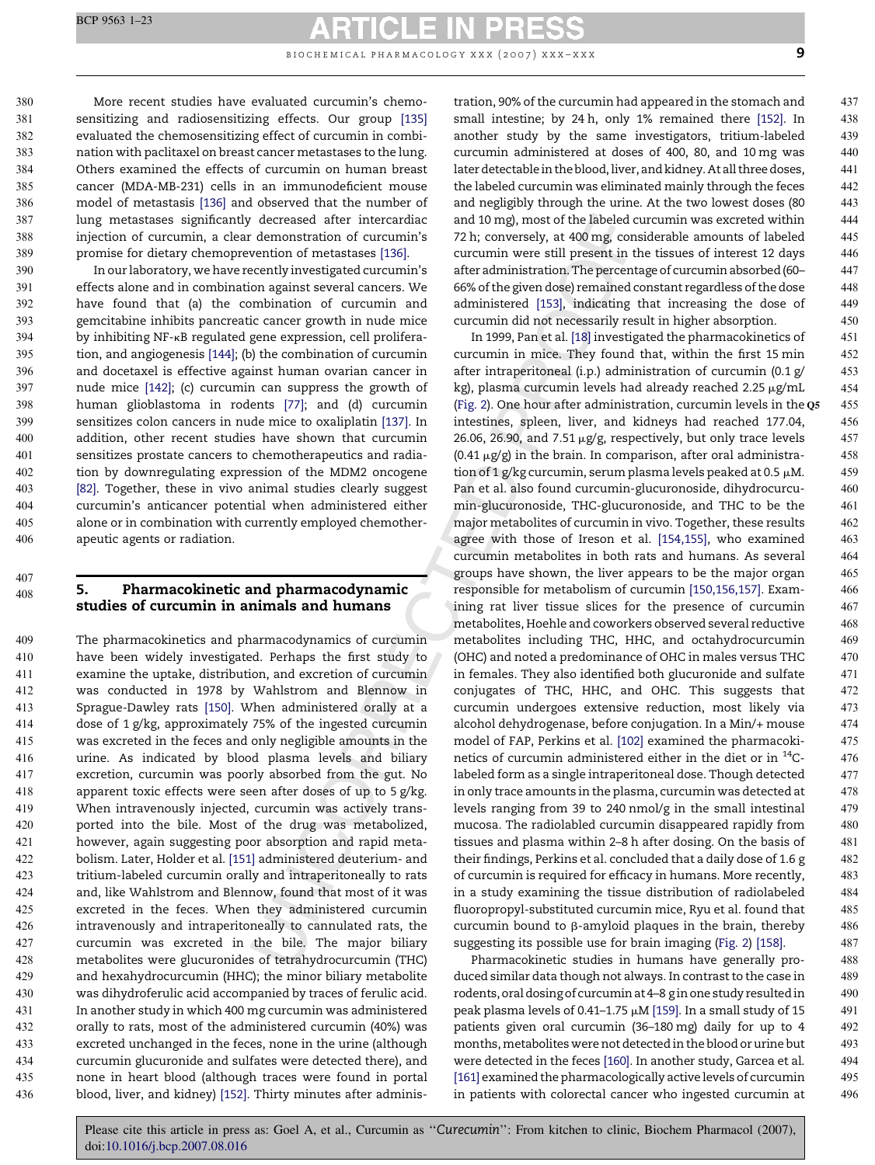407

## PR RTICLE IN

biochemical pharmacology xxx (2007) xxx–xxx 9

More recent studies have evaluated curcumin's chemosensitizing and radiosensitizing effects. Our group [\[135\]](#page-20-0) evaluated the chemosensitizing effect of curcumin in combination with paclitaxel on breast cancer metastases to the lung. Others examined the effects of curcumin on human breast cancer (MDA-MB-231) cells in an immunodeficient mouse model of metastasis [\[136\]](#page-20-0) and observed that the number of lung metastases significantly decreased after intercardiac injection of curcumin, a clear demonstration of curcumin's promise for dietary chemoprevention of metastases [136].

In our laboratory, we have recently investigated curcumin's effects alone and in combination against several cancers. We have found that (a) the combination of curcumin and gemcitabine inhibits pancreatic cancer growth in nude mice by inhibiting NF-kB regulated gene expression, cell proliferation, and angiogenesis [\[144\];](#page-20-0) (b) the combination of curcumin and docetaxel is effective against human ovarian cancer in nude mice [\[142\];](#page-20-0) (c) curcumin can suppress the growth of human glioblastoma in rodents [77]; and (d) curcumin sensitizes colon cancers in nude mice to oxaliplatin [137]. In addition, other recent studies have shown that curcumin sensitizes prostate cancers to chemotherapeutics and radiation by downregulating expression of the MDM2 oncogene [\[82\].](#page-18-0) Together, these in vivo animal studies clearly suggest curcumin's anticancer potential when administered either alone or in combination with currently employed chemotherapeutic agents or radiation.

## 5. Pharmacokinetic and pharmacodynamic studies of curcumin in animals and humans 408

The pharmacokinetics and pharmacodynamics of curcumin have been widely investigated. Perhaps the first study to examine the uptake, distribution, and excretion of curcumin was conducted in 1978 by Wahlstrom and Blennow in Sprague-Dawley rats [\[150\]](#page-20-0). When administered orally at a dose of 1 g/kg, approximately 75% of the ingested curcumin was excreted in the feces and only negligible amounts in the urine. As indicated by blood plasma levels and biliary excretion, curcumin was poorly absorbed from the gut. No apparent toxic effects were seen after doses of up to 5 g/kg. When intravenously injected, curcumin was actively transported into the bile. Most of the drug was metabolized, however, again suggesting poor absorption and rapid metabolism. Later, Holder et al. [\[151\]](#page-21-0) administered deuterium- and tritium-labeled curcumin orally and intraperitoneally to rats and, like Wahlstrom and Blennow, found that most of it was excreted in the feces. When they administered curcumin intravenously and intraperitoneally to cannulated rats, the curcumin was excreted in the bile. The major biliary metabolites were glucuronides of tetrahydrocurcumin (THC) and hexahydrocurcumin (HHC); the minor biliary metabolite was dihydroferulic acid accompanied by traces of ferulic acid. In another study in which 400 mg curcumin was administered orally to rats, most of the administered curcumin (40%) was excreted unchanged in the feces, none in the urine (although curcumin glucuronide and sulfates were detected there), and none in heart blood (although traces were found in portal blood, liver, and kidney) [\[152\]](#page-21-0). Thirty minutes after adminis-409 410 411 412 413 414 415 416 417 418 419 420 421 422 423 424 425 426 427 428 429 430 431 432 433 434 435 436

tration, 90% of the curcumin had appeared in the stomach and small intestine; by 24 h, only 1% remained there [\[152\]](#page-21-0). In another study by the same investigators, tritium-labeled curcumin administered at doses of 400, 80, and 10 mg was later detectable in the blood, liver, and kidney. At all three doses, the labeled curcumin was eliminated mainly through the feces and negligibly through the urine. At the two lowest doses (80 and 10 mg), most of the labeled curcumin was excreted within 72 h; conversely, at 400 mg, considerable amounts of labeled curcumin were still present in the tissues of interest 12 days after administration. The percentage of curcumin absorbed (60– 66% of the given dose) remained constant regardless of the dose administered [153], indicating that increasing the dose of curcumin did not necessarily result in higher absorption.

decreased after intercrediate<br>
and 20 mg), moves the findeled comparition of curcumin's 72 h; conversely, at 400 mg convention of metastases [136].<br>
curcumin were still present in the commission of metastases [136].<br>
curc In 1999, Pan et al. [18] investigated the pharmacokinetics of curcumin in mice. They found that, within the first 15 min after intraperitoneal (i.p.) administration of curcumin (0.1 g/ kg), plasma curcumin levels had already reached 2.25  $\mu$ g/mL (Fig. 2). One hour after administration, curcumin levels in the Q5 intestines, spleen, liver, and kidneys had reached 177.04, 26.06, 26.90, and 7.51  $\mu$ g/g, respectively, but only trace levels (0.41  $\mu$ g/g) in the brain. In comparison, after oral administration of 1 g/kg curcumin, serum plasma levels peaked at 0.5  $\mu$ M. Pan et al. also found curcumin-glucuronoside, dihydrocurcumin-glucuronoside, THC-glucuronoside, and THC to be the major metabolites of curcumin in vivo. Together, these results agree with those of Ireson et al. [\[154,155\],](#page-21-0) who examined curcumin metabolites in both rats and humans. As several groups have shown, the liver appears to be the major organ responsible for metabolism of curcumin [\[150,156,157\]](#page-20-0). Examining rat liver tissue slices for the presence of curcumin metabolites, Hoehle and coworkers observed several reductive metabolites including THC, HHC, and octahydrocurcumin (OHC) and noted a predominance of OHC in males versus THC in females. They also identified both glucuronide and sulfate conjugates of THC, HHC, and OHC. This suggests that curcumin undergoes extensive reduction, most likely via alcohol dehydrogenase, before conjugation. In a Min/+ mouse model of FAP, Perkins et al. [\[102\]](#page-19-0) examined the pharmacokinetics of curcumin administered either in the diet or in 14Clabeled form as a single intraperitoneal dose. Though detected in only trace amounts in the plasma, curcumin was detected at levels ranging from 39 to 240 nmol/g in the small intestinal mucosa. The radiolabled curcumin disappeared rapidly from tissues and plasma within 2–8 h after dosing. On the basis of their findings, Perkins et al. concluded that a daily dose of 1.6 g of curcumin is required for efficacy in humans. More recently, in a study examining the tissue distribution of radiolabeled fluoropropyl-substituted curcumin mice, Ryu et al. found that curcumin bound to  $\beta$ -amyloid plaques in the brain, thereby suggesting its possible use for brain imaging [\(Fig. 2\)](#page-9-0) [\[158\]](#page-21-0).

Pharmacokinetic studies in humans have generally produced similar data though not always. In contrast to the case in rodents, oral dosing of curcuminat 4–8 g in one study resulted in peak plasma levels of 0.41-1.75  $\mu$ M [\[159\]](#page-21-0). In a small study of 15 patients given oral curcumin (36–180 mg) daily for up to 4 months, metabolites were not detected in the blood or urine but were detected in the feces [\[160\].](#page-21-0) In another study, Garcea et al. [\[161\]](#page-21-0) examined the pharmacologically active levels of curcumin in patients with colorectal cancer who ingested curcumin at

Please cite this article in press as: Goel A, et al., Curcumin as "Curecumin": From kitchen to clinic, Biochem Pharmacol (2007), doi:[10.1016/j.bcp.2007.08.016](http://dx.doi.org/10.1016/j.bcp.2007.08.016)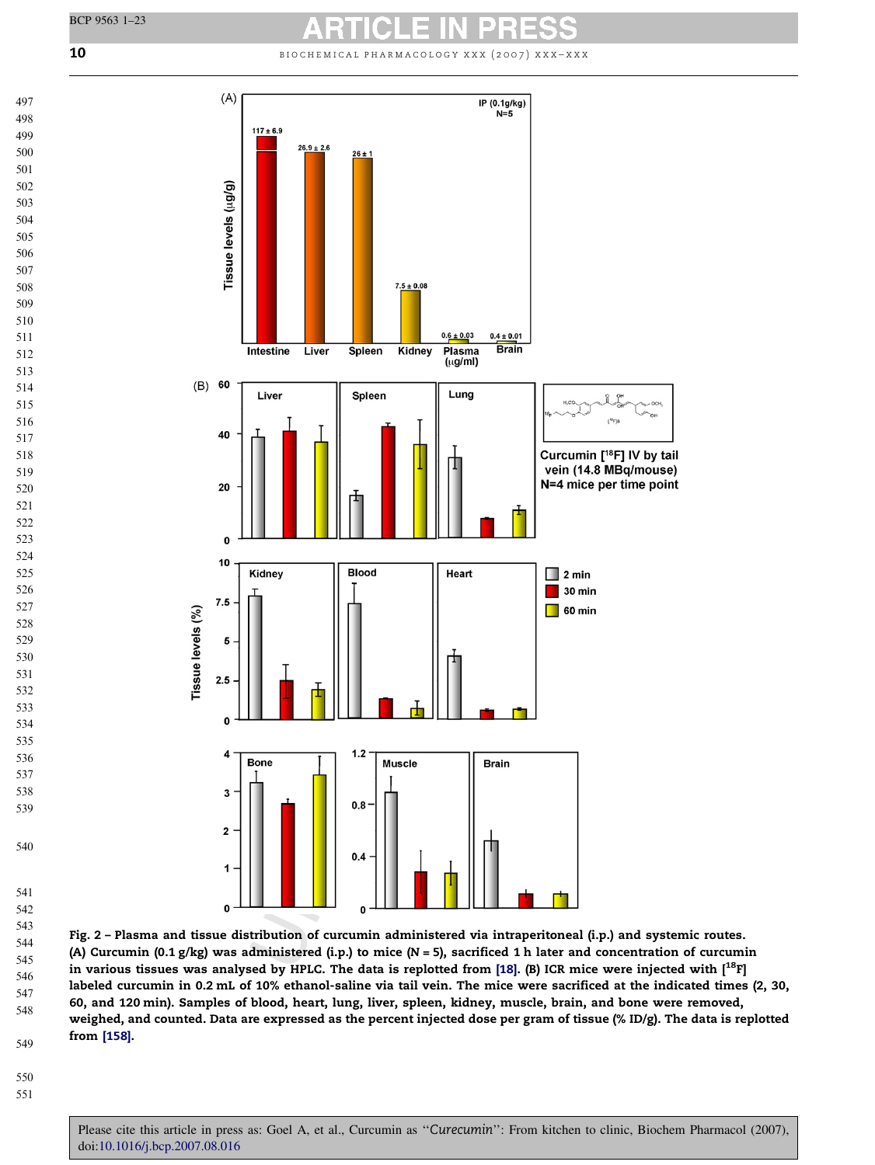<span id="page-9-0"></span>**biochemical pharmacology xxx** (2007) xxx–xxx



 Fig. 2 – Plasma and tissue distribution of curcumin administered via intraperitoneal (i.p.) and systemic routes. (A) Curcumin (0.1 g/kg) was administered (i.p.) to mice (N = 5), sacrificed 1 h later and concentration of curcumin in various tissues was analysed by HPLC. The data is replotted from [\[18\]](#page-17-0). (B) ICR mice were injected with  $[$ <sup>18</sup>F] labeled curcumin in 0.2 mL of 10% ethanol-saline via tail vein. The mice were sacrificed at the indicated times (2, 30, 60, and 120 min). Samples of blood, heart, lung, liver, spleen, kidney, muscle, brain, and bone were removed, weighed, and counted. Data are expressed as the percent injected dose per gram of tissue (% ID/g). The data is replotted from [\[158\]](#page-21-0).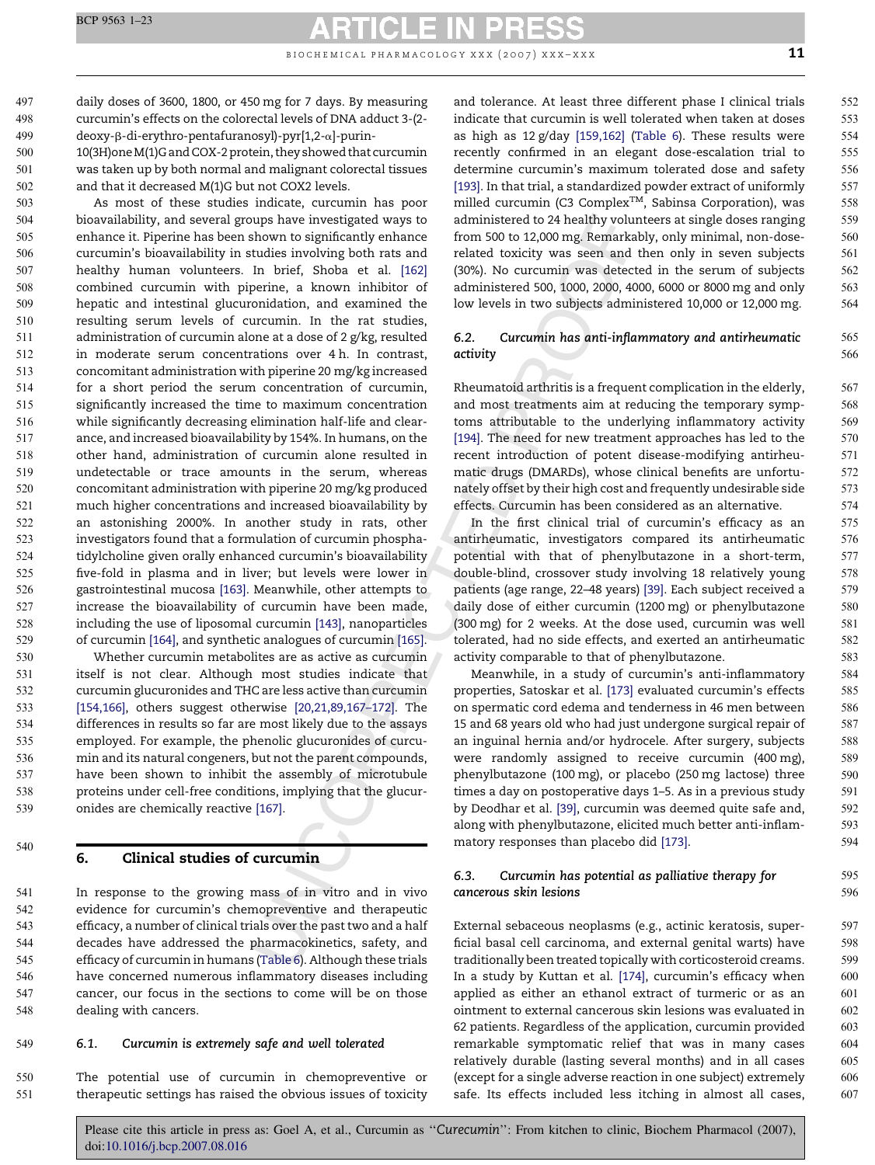# ICI E I

 $b$ biochemical pharmacology xxx (2007) xxx–xxx  $11$ 

565 566

595 596

501

daily doses of 3600, 1800, or 450 mg for 7 days. By measuring curcumin's effects on the colorectal levels of DNA adduct 3-(2 deoxy-b-di-erythro-pentafuranosyl)-pyr[1,2-a]-purin-10(3H)one M(1)G and COX-2 protein, they showed that curcumin was taken up by both normal and malignant colorectal tissues

super<br>singularity enhance that initial read to a [R](#page-17-0)aining balm and initial read to the standard with the singularity on the singularity of a more from 500 to 12,000 mg, Remarkat<br>tudies involving both rats and related toxic and that it decreased M(1)G but not COX2 levels. As most of these studies indicate, curcumin has poor bioavailability, and several groups have investigated ways to enhance it. Piperine has been shown to significantly enhance curcumin's bioavailability in studies involving both rats and healthy human volunteers. In brief, Shoba et al. [162] combined curcumin with piperine, a known inhibitor of hepatic and intestinal glucuronidation, and examined the resulting serum levels of curcumin. In the rat studies, administration of curcumin alone at a dose of 2 g/kg, resulted in moderate serum concentrations over 4 h. In contrast, concomitant administration with piperine 20 mg/kg increased for a short period the serum concentration of curcumin, significantly increased the time to maximum concentration while significantly decreasing elimination half-life and clearance, and increased bioavailability by 154%. In humans, on the other hand, administration of curcumin alone resulted in undetectable or trace amounts in the serum, whereas concomitant administration with piperine 20 mg/kg produced much higher concentrations and increased bioavailability by an astonishing 2000%. In another study in rats, other investigators found that a formulation of curcumin phosphatidylcholine given orally enhanced curcumin's bioavailability five-fold in plasma and in liver; but levels were lower in gastrointestinal mucosa [\[163\].](#page-21-0) Meanwhile, other attempts to increase the bioavailability of curcumin have been made, including the use of liposomal curcumin [143], nanoparticles of curcumin [\[164\],](#page-21-0) and synthetic analogues of curcumin [165]. 502 503 504 505 506 507 508 509 510 511 512 513 514 515 516 517 518 519 520 521 522 523 524 525 526 527 528 529

Whether curcumin metabolites are as active as curcumin itself is not clear. Although most studies indicate that curcumin glucuronides and THC are less active than curcumin [\[154,166\]](#page-21-0), others suggest otherwise [20,21,89,167–172]. The differences in results so far are most likely due to the assays employed. For example, the phenolic glucuronides of curcumin and its natural congeners, but not the parent compounds, have been shown to inhibit the assembly of microtubule proteins under cell-free conditions, implying that the glucuronides are chemically reactive [167]. 530 531 532 533 534 535 536 537 538 539

540

# 6. Clinical studies of curcumin

In response to the growing mass of in vitro and in vivo evidence for curcumin's chemopreventive and therapeutic efficacy, a number of clinical trials over the past two and a half decades have addressed the pharmacokinetics, safety, and efficacy of curcumin in humans (Table 6). Although these trials have concerned numerous inflammatory diseases including cancer, our focus in the sections to come will be on those dealing with cancers. 541 542 543 544 545 546 547 548

## 6.1. Curcumin is extremely safe and well tolerated 549

The potential use of curcumin in chemopreventive or therapeutic settings has raised the obvious issues of toxicity 550 551

and tolerance. At least three different phase I clinical trials indicate that curcumin is well tolerated when taken at doses as high as 12 g/day [\[159,162\]](#page-21-0) [\(Table 6](#page-11-0)). These results were recently confirmed in an elegant dose-escalation trial to determine curcumin's maximum tolerated dose and safety [\[193\]](#page-22-0). In that trial, a standardized powder extract of uniformly milled curcumin (C3 Complex<sup>™</sup>, Sabinsa Corporation), was administered to 24 healthy volunteers at single doses ranging from 500 to 12,000 mg. Remarkably, only minimal, non-doserelated toxicity was seen and then only in seven subjects (30%). No curcumin was detected in the serum of subjects administered 500, 1000, 2000, 4000, 6000 or 8000 mg and only low levels in two subjects administered 10,000 or 12,000 mg.

## 6.2. Curcumin has anti-inflammatory and antirheumatic activity

Rheumatoid arthritis is a frequent complication in the elderly, and most treatments aim at reducing the temporary symptoms attributable to the underlying inflammatory activity [194]. The need for new treatment approaches has led to the recent introduction of potent disease-modifying antirheumatic drugs (DMARDs), whose clinical benefits are unfortunately offset by their high cost and frequently undesirable side effects. Curcumin has been considered as an alternative.

In the first clinical trial of curcumin's efficacy as an antirheumatic, investigators compared its antirheumatic potential with that of phenylbutazone in a short-term, double-blind, crossover study involving 18 relatively young patients (age range, 22–48 years) [\[39\]](#page-17-0). Each subject received a daily dose of either curcumin (1200 mg) or phenylbutazone (300 mg) for 2 weeks. At the dose used, curcumin was well tolerated, had no side effects, and exerted an antirheumatic activity comparable to that of phenylbutazone.

Meanwhile, in a study of curcumin's anti-inflammatory properties, Satoskar et al. [173] evaluated curcumin's effects on spermatic cord edema and tenderness in 46 men between 15 and 68 years old who had just undergone surgical repair of an inguinal hernia and/or hydrocele. After surgery, subjects were randomly assigned to receive curcumin (400 mg), phenylbutazone (100 mg), or placebo (250 mg lactose) three times a day on postoperative days 1–5. As in a previous study by Deodhar et al. [39], curcumin was deemed quite safe and, along with phenylbutazone, elicited much better anti-inflammatory responses than placebo did [\[173\]](#page-21-0).

## 6.3. Curcumin has potential as palliative therapy for cancerous skin lesions

External sebaceous neoplasms (e.g., actinic keratosis, superficial basal cell carcinoma, and external genital warts) have traditionally been treated topically with corticosteroid creams. In a study by Kuttan et al. [\[174\]](#page-21-0), curcumin's efficacy when applied as either an ethanol extract of turmeric or as an ointment to external cancerous skin lesions was evaluated in 62 patients. Regardless of the application, curcumin provided remarkable symptomatic relief that was in many cases relatively durable (lasting several months) and in all cases (except for a single adverse reaction in one subject) extremely safe. Its effects included less itching in almost all cases,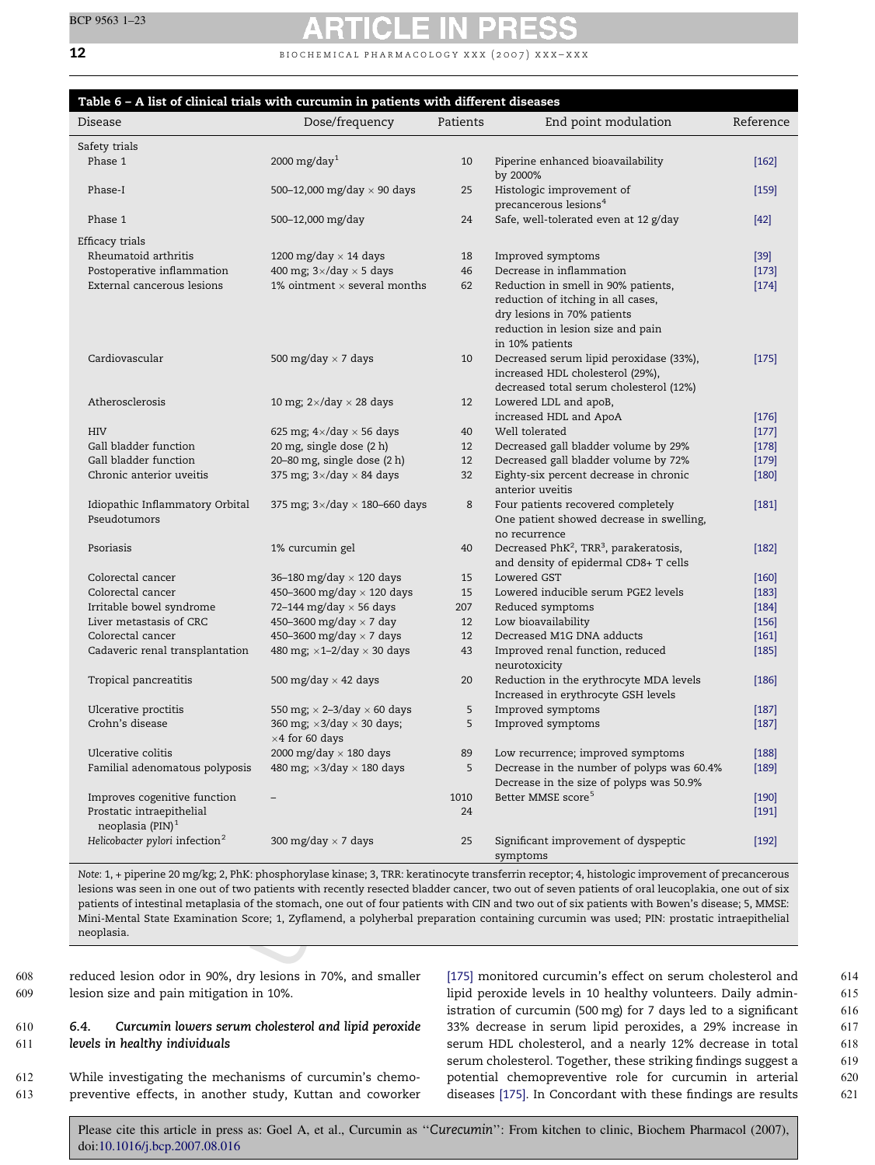<span id="page-11-0"></span>

| Table 6 - A list of clinical trials with curcumin in patients with different diseases |                                                                        |          |                                                                                                                                                                                                                                                                                                                                                                                                                                                                                                                                                                                                    |                    |
|---------------------------------------------------------------------------------------|------------------------------------------------------------------------|----------|----------------------------------------------------------------------------------------------------------------------------------------------------------------------------------------------------------------------------------------------------------------------------------------------------------------------------------------------------------------------------------------------------------------------------------------------------------------------------------------------------------------------------------------------------------------------------------------------------|--------------------|
| <b>Disease</b>                                                                        | Dose/frequency                                                         | Patients | End point modulation                                                                                                                                                                                                                                                                                                                                                                                                                                                                                                                                                                               | Reference          |
| Safety trials                                                                         |                                                                        |          |                                                                                                                                                                                                                                                                                                                                                                                                                                                                                                                                                                                                    |                    |
| Phase 1                                                                               | $2000$ mg/day <sup>1</sup>                                             | 10       | Piperine enhanced bioavailability<br>by 2000%                                                                                                                                                                                                                                                                                                                                                                                                                                                                                                                                                      | $[162]$            |
| Phase-I                                                                               | 500-12,000 mg/day $\times$ 90 days                                     | 25       | Histologic improvement of<br>precancerous lesions <sup>4</sup>                                                                                                                                                                                                                                                                                                                                                                                                                                                                                                                                     | $[159]$            |
| Phase 1                                                                               | 500-12,000 mg/day                                                      | 24       | Safe, well-tolerated even at 12 g/day                                                                                                                                                                                                                                                                                                                                                                                                                                                                                                                                                              | $[42]$             |
| Efficacy trials                                                                       |                                                                        |          |                                                                                                                                                                                                                                                                                                                                                                                                                                                                                                                                                                                                    |                    |
| Rheumatoid arthritis                                                                  | 1200 mg/day $\times$ 14 days                                           | 18       | Improved symptoms                                                                                                                                                                                                                                                                                                                                                                                                                                                                                                                                                                                  | $[39]$             |
| Postoperative inflammation                                                            | 400 mg; $3\times$ /day $\times$ 5 days                                 | 46       | Decrease in inflammation                                                                                                                                                                                                                                                                                                                                                                                                                                                                                                                                                                           | $[173]$            |
| External cancerous lesions                                                            | 1% ointment $\times$ several months                                    | 62       | Reduction in smell in 90% patients,<br>reduction of itching in all cases,<br>dry lesions in 70% patients                                                                                                                                                                                                                                                                                                                                                                                                                                                                                           | $[174]$            |
|                                                                                       |                                                                        |          | reduction in lesion size and pain<br>in 10% patients                                                                                                                                                                                                                                                                                                                                                                                                                                                                                                                                               |                    |
| Cardiovascular                                                                        | 500 mg/day $\times$ 7 days                                             | 10       | Decreased serum lipid peroxidase (33%),<br>increased HDL cholesterol (29%),<br>decreased total serum cholesterol (12%)                                                                                                                                                                                                                                                                                                                                                                                                                                                                             | $[175]$            |
| Atherosclerosis                                                                       | 10 mg; $2\times$ /day $\times$ 28 days                                 | 12       | Lowered LDL and apoB,                                                                                                                                                                                                                                                                                                                                                                                                                                                                                                                                                                              |                    |
|                                                                                       |                                                                        |          | increased HDL and ApoA                                                                                                                                                                                                                                                                                                                                                                                                                                                                                                                                                                             | [176]              |
| <b>HIV</b>                                                                            | 625 mg; $4\times$ /day $\times$ 56 days                                | 40       | Well tolerated                                                                                                                                                                                                                                                                                                                                                                                                                                                                                                                                                                                     | [177]              |
| Gall bladder function                                                                 | 20 mg, single dose (2 h)                                               | 12       | Decreased gall bladder volume by 29%                                                                                                                                                                                                                                                                                                                                                                                                                                                                                                                                                               | $[178]$            |
| Gall bladder function<br>Chronic anterior uveitis                                     | 20-80 mg, single dose (2 h)<br>375 mg; $3\times$ /day $\times$ 84 days | 12<br>32 | Decreased gall bladder volume by 72%<br>Eighty-six percent decrease in chronic<br>anterior uveitis                                                                                                                                                                                                                                                                                                                                                                                                                                                                                                 | $[179]$<br>$[180]$ |
| Idiopathic Inflammatory Orbital<br>Pseudotumors                                       | 375 mg; $3\times$ /day $\times$ 180–660 days                           | 8        | Four patients recovered completely<br>One patient showed decrease in swelling,<br>no recurrence                                                                                                                                                                                                                                                                                                                                                                                                                                                                                                    | [181]              |
| Psoriasis                                                                             | 1% curcumin gel                                                        | 40       | Decreased PhK <sup>2</sup> , TRR <sup>3</sup> , parakeratosis,<br>and density of epidermal CD8+ T cells                                                                                                                                                                                                                                                                                                                                                                                                                                                                                            | $[182]$            |
| Colorectal cancer                                                                     | 36-180 mg/day $\times$ 120 days                                        | 15       | Lowered GST                                                                                                                                                                                                                                                                                                                                                                                                                                                                                                                                                                                        | $[160]$            |
| Colorectal cancer                                                                     | 450-3600 mg/day $\times$ 120 days                                      | 15       | Lowered inducible serum PGE2 levels                                                                                                                                                                                                                                                                                                                                                                                                                                                                                                                                                                | $[183]$            |
| Irritable bowel syndrome                                                              | 72-144 mg/day $\times$ 56 days                                         | 207      | Reduced symptoms                                                                                                                                                                                                                                                                                                                                                                                                                                                                                                                                                                                   | $[184]$            |
| Liver metastasis of CRC                                                               | 450-3600 mg/day × 7 day                                                | 12       | Low bioavailability                                                                                                                                                                                                                                                                                                                                                                                                                                                                                                                                                                                | $[156]$            |
| Colorectal cancer                                                                     | 450-3600 mg/day $\times$ 7 days                                        | 12       | Decreased M1G DNA adducts                                                                                                                                                                                                                                                                                                                                                                                                                                                                                                                                                                          | $[161]$            |
| Cadaveric renal transplantation                                                       | 480 mg; $\times$ 1-2/day $\times$ 30 days                              | 43       | Improved renal function, reduced<br>neurotoxicity                                                                                                                                                                                                                                                                                                                                                                                                                                                                                                                                                  | $[185]$            |
| Tropical pancreatitis                                                                 | 500 mg/day $\times$ 42 days                                            | 20       | Reduction in the erythrocyte MDA levels<br>Increased in erythrocyte GSH levels                                                                                                                                                                                                                                                                                                                                                                                                                                                                                                                     | $[186]$            |
| Ulcerative proctitis                                                                  | 550 mg; $\times$ 2-3/day $\times$ 60 days                              | 5        | Improved symptoms                                                                                                                                                                                                                                                                                                                                                                                                                                                                                                                                                                                  | $[187]$            |
| Crohn's disease                                                                       | 360 mg; $\times$ 3/day $\times$ 30 days;<br>$\times$ 4 for 60 days     | 5        | Improved symptoms                                                                                                                                                                                                                                                                                                                                                                                                                                                                                                                                                                                  | $[187]$            |
| Ulcerative colitis                                                                    | 2000 mg/day $\times$ 180 days                                          | 89       | Low recurrence; improved symptoms                                                                                                                                                                                                                                                                                                                                                                                                                                                                                                                                                                  | $[188]$            |
| Familial adenomatous polyposis                                                        | 480 mg; $\times$ 3/day $\times$ 180 days                               | 5        | Decrease in the number of polyps was 60.4%<br>Decrease in the size of polyps was 50.9%                                                                                                                                                                                                                                                                                                                                                                                                                                                                                                             | $[189]$            |
| Improves cogenitive function                                                          |                                                                        | 1010     | Better MMSE score <sup>5</sup>                                                                                                                                                                                                                                                                                                                                                                                                                                                                                                                                                                     | $[190]$            |
| Prostatic intraepithelial<br>neoplasia $(PIN)^1$                                      |                                                                        | 24       |                                                                                                                                                                                                                                                                                                                                                                                                                                                                                                                                                                                                    | [191]              |
| Helicobacter pylori infection <sup>2</sup>                                            | 300 mg/day $\times$ 7 days                                             | 25       | Significant improvement of dyspeptic<br>symptoms                                                                                                                                                                                                                                                                                                                                                                                                                                                                                                                                                   | $[192]$            |
| neoplasia.                                                                            |                                                                        |          | Note: 1, + piperine 20 mg/kg; 2, PhK: phosphorylase kinase; 3, TRR: keratinocyte transferrin receptor; 4, histologic improvement of precancerous<br>lesions was seen in one out of two patients with recently resected bladder cancer, two out of seven patients of oral leucoplakia, one out of six<br>patients of intestinal metaplasia of the stomach, one out of four patients with CIN and two out of six patients with Bowen's disease; 5, MMSE:<br>Mini-Mental State Examination Score; 1, Zyflamend, a polyherbal preparation containing curcumin was used; PIN: prostatic intraepithelial |                    |
|                                                                                       |                                                                        |          |                                                                                                                                                                                                                                                                                                                                                                                                                                                                                                                                                                                                    |                    |

reduced lesion odor in 90%, dry lesions in 70%, and smaller lesion size and pain mitigation in 10%. 608 609

## 6.4. Curcumin lowers serum cholesterol and lipid peroxide levels in healthy individuals 610 611

While investigating the mechanisms of curcumin's chemopreventive effects, in another study, Kuttan and coworker 612 613

[\[175\]](#page-21-0) monitored curcumin's effect on serum cholesterol and lipid peroxide levels in 10 healthy volunteers. Daily administration of curcumin (500 mg) for 7 days led to a significant 33% decrease in serum lipid peroxides, a 29% increase in serum HDL cholesterol, and a nearly 12% decrease in total serum cholesterol. Together, these striking findings suggest a potential chemopreventive role for curcumin in arterial diseases [\[175\]](#page-21-0). In Concordant with these findings are results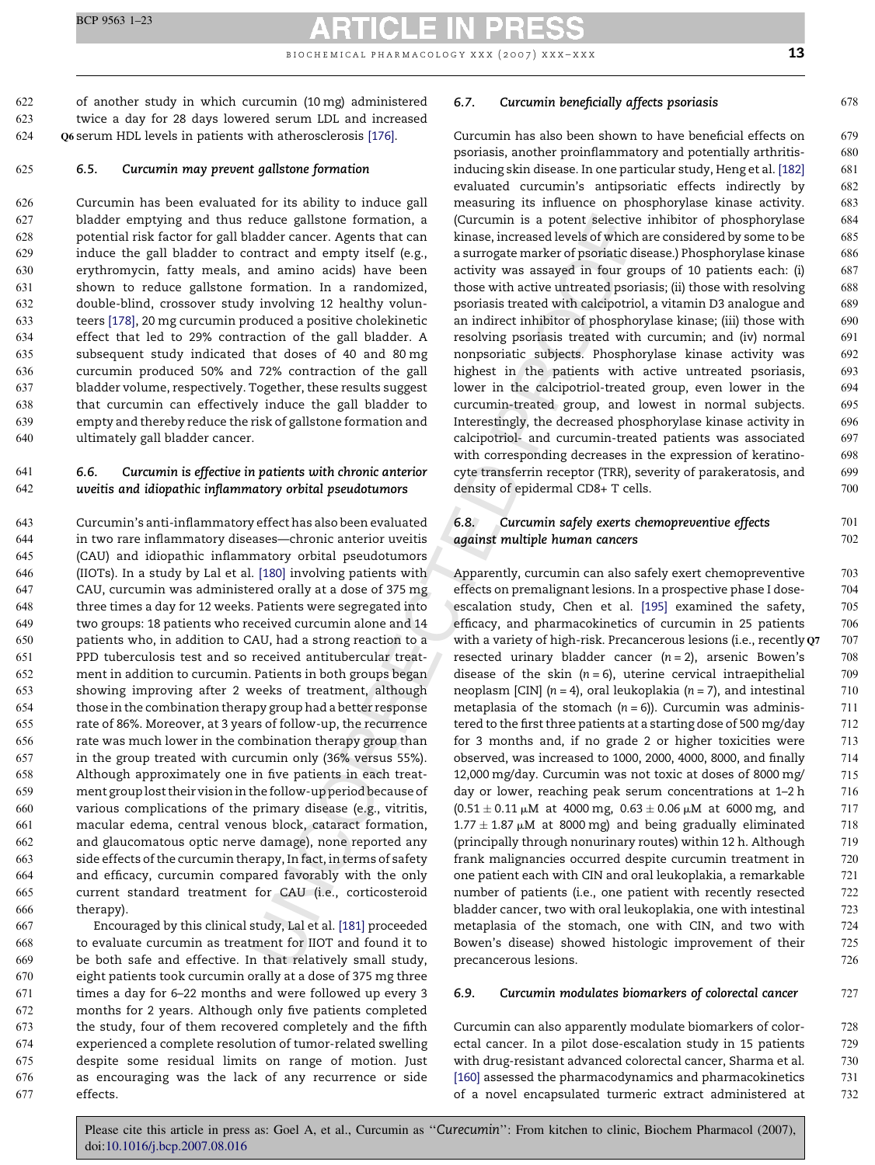# IC I

 $BIOCHEMICAL PHARMACOLOGY XXX (2007) XXX–XXX$ 

678

701 702

727

of another study in which curcumin (10 mg) administered twice a day for 28 days lowered serum LDL and increased Q6 serum HDL levels in patients with atherosclerosis [\[176\].](#page-21-0) 622 623 624

## 6.5. Curcumin may prevent gallstone formation 625

Curcumin has been evaluated for its ability to induce gall bladder emptying and thus reduce gallstone formation, a potential risk factor for gall bladder cancer. Agents that can induce the gall bladder to contract and empty itself (e.g., erythromycin, fatty meals, and amino acids) have been shown to reduce gallstone formation. In a randomized, double-blind, crossover study involving 12 healthy volunteers [\[178\]](#page-21-0), 20 mg curcumin produced a positive cholekinetic effect that led to 29% contraction of the gall bladder. A subsequent study indicated that doses of 40 and 80 mg curcumin produced 50% and 72% contraction of the gall bladder volume, respectively. Together, these results suggest that curcumin can effectively induce the gall bladder to empty and thereby reduce the risk of gallstone formation and ultimately gall bladder cancer. 626 627 628 629 630 631 632 633 634 635 636 637 638 639 640

## 6.6. Curcumin is effective in patients with chronic anterior uveitis and idiopathic inflammatory orbital pseudotumors 641 642

Curcumin's anti-inflammatory effect has also been evaluated in two rare inflammatory diseases—chronic anterior uveitis (CAU) and idiopathic inflammatory orbital pseudotumors (IIOTs). In a study by Lal et al. [180] involving patients with CAU, curcumin was administered orally at a dose of 375 mg three times a day for 12 weeks. Patients were segregated into two groups: 18 patients who received curcumin alone and 14 patients who, in addition to CAU, had a strong reaction to a PPD tuberculosis test and so received antitubercular treatment in addition to curcumin. Patients in both groups began showing improving after 2 weeks of treatment, although those in the combination therapy group had a better response rate of 86%. Moreover, at 3 years of follow-up, the recurrence rate was much lower in the combination therapy group than in the group treated with curcumin only (36% versus 55%). Although approximately one in five patients in each treatment group lost their vision in the follow-up period because of various complications of the primary disease (e.g., vitritis, macular edema, central venous block, cataract formation, and glaucomatous optic nerve damage), none reported any side effects of the curcumin therapy, In fact, in terms of safety and efficacy, curcumin compared favorably with the only current standard treatment for CAU (i.e., corticosteroid therapy). 643 644 645 646 647 648 649 650 651 652 653 654 655 656 657 658 659 660 661 662 663 664 665 666

Encouraged by this clinical study, Lal et al. [181] proceeded to evaluate curcumin as treatment for IIOT and found it to be both safe and effective. In that relatively small study, eight patients took curcumin orally at a dose of 375 mg three times a day for 6–22 months and were followed up every 3 months for 2 years. Although only five patients completed the study, four of them recovered completely and the fifth experienced a complete resolution of tumor-related swelling despite some residual limits on range of motion. Just as encouraging was the lack of any recurrence or side effects. 667 668 669 670 671 672 673 674 675 676 677

# 6.7. Curcumin beneficially affects psoriasis

Curcumin has also been shown to have beneficial effects on psoriasis, another proinflammatory and potentially arthritisinducing skin disease. In one particular study, Heng et al. [\[182\]](#page-21-0) evaluated curcumin's antipsoriatic effects indirectly by measuring its influence on phosphorylase kinase activity. (Curcumin is a potent selective inhibitor of phosphorylase kinase, increased levels of which are considered by some to be a surrogate marker of psoriatic disease.) Phosphorylase kinase activity was assayed in four groups of 10 patients each: (i) those with active untreated psoriasis; (ii) those with resolving psoriasis treated with calcipotriol, a vitamin D3 analogue and an indirect inhibitor of phosphorylase kinase; (iii) those with resolving psoriasis treated with curcumin; and (iv) normal nonpsoriatic subjects. Phosphorylase kinase activity was highest in the patients with active untreated psoriasis, lower in the calcipotriol-treated group, even lower in the curcumin-treated group, and lowest in normal subjects. Interestingly, the decreased phosphorylase kinase activity in calcipotriol- and curcumin-treated patients was associated with corresponding decreases in the expression of keratinocyte transferrin receptor (TRR), severity of parakeratosis, and density of epidermal CD8+ T cells.

# 6.8. Curcumin safely exerts chemopreventive effects against multiple human cancers

reduce gallatone formation, a (Curcumin is a potent selective applicate and any is a potent state and animo acids) have been another of product and amino acids) have been activity was assayed in four groups of producted a Apparently, curcumin can also safely exert chemopreventive effects on premalignant lesions. In a prospective phase I doseescalation study, Chen et al. [\[195\]](#page-22-0) examined the safety, efficacy, and pharmacokinetics of curcumin in 25 patients with a variety of high-risk. Precancerous lesions (i.e., recently Q7 resected urinary bladder cancer  $(n = 2)$ , arsenic Bowen's disease of the skin  $(n = 6)$ , uterine cervical intraepithelial neoplasm [CIN]  $(n = 4)$ , oral leukoplakia  $(n = 7)$ , and intestinal metaplasia of the stomach  $(n = 6)$ ). Curcumin was administered to the first three patients at a starting dose of 500 mg/day for 3 months and, if no grade 2 or higher toxicities were observed, was increased to 1000, 2000, 4000, 8000, and finally 12,000 mg/day. Curcumin was not toxic at doses of 8000 mg/ day or lower, reaching peak serum concentrations at 1–2 h  $(0.51 \pm 0.11 \,\mu M$  at 4000 mg,  $0.63 \pm 0.06 \,\mu M$  at 6000 mg, and  $1.77 \pm 1.87$  µM at 8000 mg) and being gradually eliminated (principally through nonurinary routes) within 12 h. Although frank malignancies occurred despite curcumin treatment in one patient each with CIN and oral leukoplakia, a remarkable number of patients (i.e., one patient with recently resected bladder cancer, two with oral leukoplakia, one with intestinal metaplasia of the stomach, one with CIN, and two with Bowen's disease) showed histologic improvement of their precancerous lesions. 703 704 705 706 707 708 709 710 711 712 713 714 715 716 717 718 719 720 721 722 723 724 725 726

# 6.9. Curcumin modulates biomarkers of colorectal cancer

Curcumin can also apparently modulate biomarkers of colorectal cancer. In a pilot dose-escalation study in 15 patients with drug-resistant advanced colorectal cancer, Sharma et al. [\[160\]](#page-21-0) assessed the pharmacodynamics and pharmacokinetics of a novel encapsulated turmeric extract administered at 728 729 730 731 732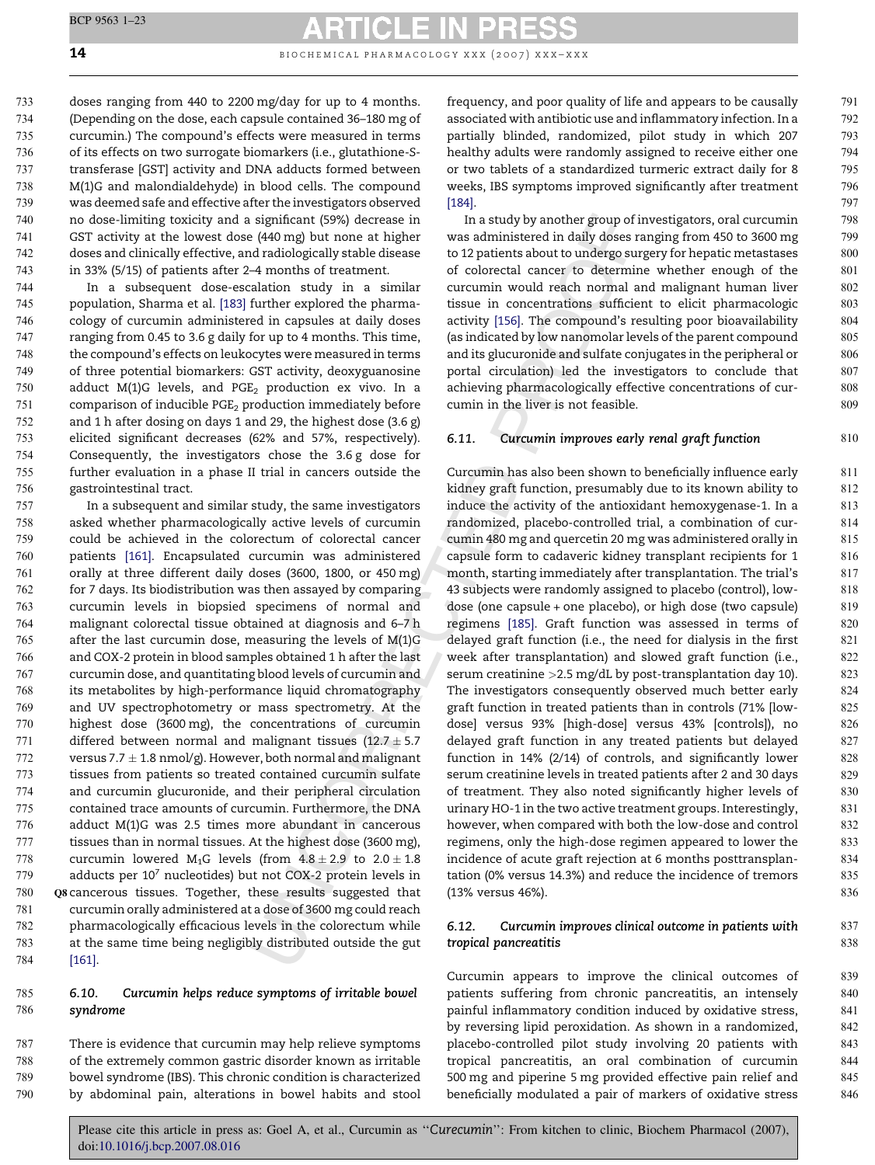doses ranging from 440 to 2200 mg/day for up to 4 months. (Depending on the dose, each capsule contained 36–180 mg of curcumin.) The compound's effects were measured in terms of its effects on two surrogate biomarkers (i.e., glutathione-Stransferase [GST] activity and DNA adducts formed between M(1)G and malondialdehyde) in blood cells. The compound was deemed safe and effective after the investigators observed no dose-limiting toxicity and a significant (59%) decrease in GST activity at the lowest dose (440 mg) but none at higher doses and clinically effective, and radiologically stable disease in 33% (5/15) of patients after 2–4 months of treatment. 733 734 735 736 737 738 739 740 741 742 743

In a subsequent dose-escalation study in a similar population, Sharma et al. [\[183\]](#page-21-0) further explored the pharmacology of curcumin administered in capsules at daily doses ranging from 0.45 to 3.6 g daily for up to 4 months. This time, the compound's effects on leukocytes were measured in terms of three potential biomarkers: GST activity, deoxyguanosine adduct M(1)G levels, and PGE<sub>2</sub> production ex vivo. In a comparison of inducible  $PGE_2$  production immediately before and 1 h after dosing on days 1 and 29, the highest dose (3.6 g) elicited significant decreases (62% and 57%, respectively). Consequently, the investigators chose the 3.6 g dose for further evaluation in a phase II trial in cancers outside the gastrointestinal tract. 744 745 746 747 748 749 750 751 752 753 754 755 756

In a subsequent and similar study, the same investigators asked whether pharmacologically active levels of curcumin could be achieved in the colorectum of colorectal cancer patients [\[161\]](#page-21-0). Encapsulated curcumin was administered orally at three different daily doses (3600, 1800, or 450 mg) for 7 days. Its biodistribution was then assayed by comparing curcumin levels in biopsied specimens of normal and malignant colorectal tissue obtained at diagnosis and 6–7 h after the last curcumin dose, measuring the levels of M(1)G and COX-2 protein in blood samples obtained 1 h after the last curcumin dose, and quantitating blood levels of curcumin and its metabolites by high-performance liquid chromatography and UV spectrophotometry or mass spectrometry. At the highest dose (3600 mg), the concentrations of curcumin differed between normal and malignant tissues (12.7  $\pm$  5.7 versus 7.7  $\pm$  1.8 nmol/g). However, both normal and malignant tissues from patients so treated contained curcumin sulfate and curcumin glucuronide, and their peripheral circulation contained trace amounts of curcumin. Furthermore, the DNA adduct M(1)G was 2.5 times more abundant in cancerous tissues than in normal tissues. At the highest dose (3600 mg), curcumin lowered  $M_1G$  levels (from  $4.8 \pm 2.9$  to  $2.0 \pm 1.8$ adducts per  $10^7$  nucleotides) but not COX-2 protein levels in Q8 cancerous tissues. Together, these results suggested that curcumin orally administered at a dose of 3600 mg could reach pharmacologically efficacious levels in the colorectum while at the same time being negligibly distributed outside the gut [\[161\]](#page-21-0). 757 758 759 760 761 762 763 764 765 766 767 768 769 770 771 772 773 774 775 776 777 778 779 780 781 782 783 784

## 6.10. Curcumin helps reduce symptoms of irritable bowel syndrome 785 786

There is evidence that curcumin may help relieve symptoms of the extremely common gastric disorder known as irritable bowel syndrome (IBS). This chronic condition is characterized by abdominal pain, alterations in bowel habits and stool 787 788 789 790

frequency, and poor quality of life and appears to be causally associated with antibiotic use and inflammatory infection. In a partially blinded, randomized, pilot study in which 207 healthy adults were randomly assigned to receive either one or two tablets of a standardized turmeric extract daily for 8 weeks, IBS symptoms improved significantly after treatment [\[184\]](#page-21-0).

810

837 838

In a study by another group of investigators, oral curcumin was administered in daily doses ranging from 450 to 3600 mg to 12 patients about to undergo surgery for hepatic metastases of colorectal cancer to determine whether enough of the curcumin would reach normal and malignant human liver tissue in concentrations sufficient to elicit pharmacologic activity [156]. The compound's resulting poor bioavailability (as indicated by low nanomolar levels of the parent compound and its glucuronide and sulfate conjugates in the peripheral or portal circulation) led the investigators to conclude that achieving pharmacologically effective concentrations of curcumin in the liver is not feasible.

# 6.11. Curcumin improves early renal graft function

significant (59%) decrease in an study by another group of the studient and study and the hystomic (440 mg) but none at higher was administered in adjly doess to radiologically stable disease to 12 patients about to under Curcumin has also been shown to beneficially influence early kidney graft function, presumably due to its known ability to induce the activity of the antioxidant hemoxygenase-1. In a randomized, placebo-controlled trial, a combination of curcumin 480 mg and quercetin 20 mg was administered orally in capsule form to cadaveric kidney transplant recipients for 1 month, starting immediately after transplantation. The trial's 43 subjects were randomly assigned to placebo (control), lowdose (one capsule + one placebo), or high dose (two capsule) regimens [185]. Graft function was assessed in terms of delayed graft function (i.e., the need for dialysis in the first week after transplantation) and slowed graft function (i.e., serum creatinine >2.5 mg/dL by post-transplantation day 10). The investigators consequently observed much better early graft function in treated patients than in controls (71% [lowdose] versus 93% [high-dose] versus 43% [controls]), no delayed graft function in any treated patients but delayed function in 14% (2/14) of controls, and significantly lower serum creatinine levels in treated patients after 2 and 30 days of treatment. They also noted significantly higher levels of urinary HO-1 in the two active treatment groups. Interestingly, however, when compared with both the low-dose and control regimens, only the high-dose regimen appeared to lower the incidence of acute graft rejection at 6 months posttransplantation (0% versus 14.3%) and reduce the incidence of tremors (13% versus 46%).

# 6.12. Curcumin improves clinical outcome in patients with tropical pancreatitis

Curcumin appears to improve the clinical outcomes of patients suffering from chronic pancreatitis, an intensely painful inflammatory condition induced by oxidative stress, by reversing lipid peroxidation. As shown in a randomized, placebo-controlled pilot study involving 20 patients with tropical pancreatitis, an oral combination of curcumin 500 mg and piperine 5 mg provided effective pain relief and beneficially modulated a pair of markers of oxidative stress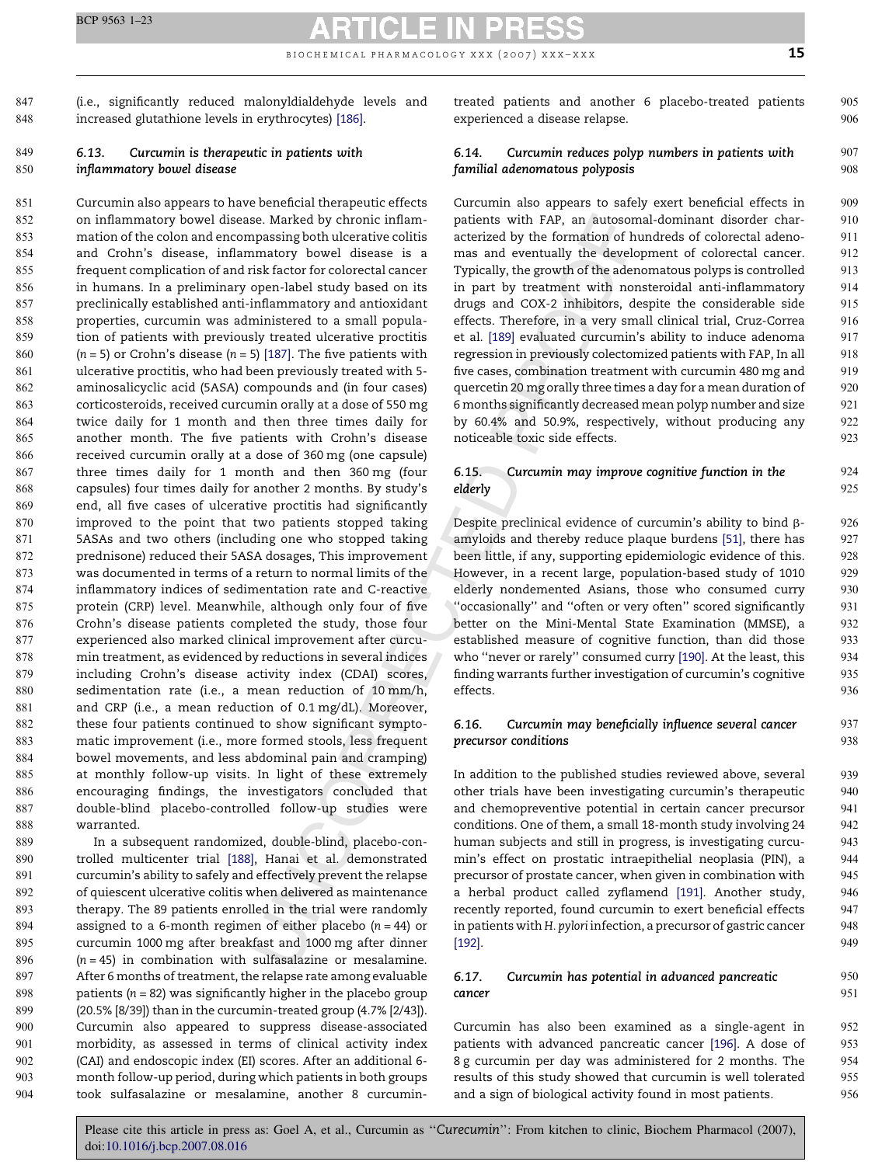# CT.

biochemical pharmacology xxx (2007) xxx–xxx 15

905 906

907 908

924 925

937 938

950 951

(i.e., significantly reduced malonyldialdehyde levels and increased glutathione levels in erythrocytes) [\[186\]](#page-22-0). 847 848

## 6.13. Curcumin is therapeutic in patients with inflammatory bowel disease 849 850

se. Marked by chronic inflam-<br>npassing both ulcrentive colitis acterized by the formation of h<br>anysising both ulcrentive colitis acterized by the formation of h<br>anysising both ulcrentive colitis acterized by the formation Curcumin also appears to have beneficial therapeutic effects on inflammatory bowel disease. Marked by chronic inflammation of the colon and encompassing both ulcerative colitis and Crohn's disease, inflammatory bowel disease is a frequent complication of and risk factor for colorectal cancer in humans. In a preliminary open-label study based on its preclinically established anti-inflammatory and antioxidant properties, curcumin was administered to a small population of patients with previously treated ulcerative proctitis  $(n = 5)$  or Crohn's disease  $(n = 5)$  [187]. The five patients with ulcerative proctitis, who had been previously treated with 5 aminosalicyclic acid (5ASA) compounds and (in four cases) corticosteroids, received curcumin orally at a dose of 550 mg twice daily for 1 month and then three times daily for another month. The five patients with Crohn's disease received curcumin orally at a dose of 360 mg (one capsule) three times daily for 1 month and then 360 mg (four capsules) four times daily for another 2 months. By study's end, all five cases of ulcerative proctitis had significantly improved to the point that two patients stopped taking 5ASAs and two others (including one who stopped taking prednisone) reduced their 5ASA dosages, This improvement was documented in terms of a return to normal limits of the inflammatory indices of sedimentation rate and C-reactive protein (CRP) level. Meanwhile, although only four of five Crohn's disease patients completed the study, those four experienced also marked clinical improvement after curcumin treatment, as evidenced by reductions in several indices including Crohn's disease activity index (CDAI) scores, sedimentation rate (i.e., a mean reduction of 10 mm/h, and CRP (i.e., a mean reduction of 0.1 mg/dL). Moreover, these four patients continued to show significant symptomatic improvement (i.e., more formed stools, less frequent bowel movements, and less abdominal pain and cramping) at monthly follow-up visits. In light of these extremely encouraging findings, the investigators concluded that double-blind placebo-controlled follow-up studies were warranted. 851 852 853 854 855 856 857 858 859 860 861 862 863 864 865 866 867 868 869 870 871 872 873 874 875 876 877 878 879 880 881 882 883 884 885 886 887 888

In a subsequent randomized, double-blind, placebo-controlled multicenter trial [\[188\]](#page-22-0), Hanai et al. demonstrated curcumin's ability to safely and effectively prevent the relapse of quiescent ulcerative colitis when delivered as maintenance therapy. The 89 patients enrolled in the trial were randomly assigned to a 6-month regimen of either placebo ( $n = 44$ ) or curcumin 1000 mg after breakfast and 1000 mg after dinner  $(n = 45)$  in combination with sulfasalazine or mesalamine. After 6 months of treatment, the relapse rate among evaluable patients ( $n = 82$ ) was significantly higher in the placebo group (20.5% [8/39]) than in the curcumin-treated group (4.7% [2/43]). Curcumin also appeared to suppress disease-associated morbidity, as assessed in terms of clinical activity index (CAI) and endoscopic index (EI) scores. After an additional 6 month follow-up period, during which patients in both groups took sulfasalazine or mesalamine, another 8 curcumin-889 890 891 892 893 894 895 896 897 898 899 900 901 902 903 904

treated patients and another 6 placebo-treated patients experienced a disease relapse.

# 6.14. Curcumin reduces polyp numbers in patients with familial adenomatous polyposis

Curcumin also appears to safely exert beneficial effects in patients with FAP, an autosomal-dominant disorder characterized by the formation of hundreds of colorectal adenomas and eventually the development of colorectal cancer. Typically, the growth of the adenomatous polyps is controlled in part by treatment with nonsteroidal anti-inflammatory drugs and COX-2 inhibitors, despite the considerable side effects. Therefore, in a very small clinical trial, Cruz-Correa et al. [189] evaluated curcumin's ability to induce adenoma regression in previously colectomized patients with FAP, In all five cases, combination treatment with curcumin 480 mg and quercetin 20 mg orally three times a day for a mean duration of 6 months significantly decreased mean polyp number and size by 60.4% and 50.9%, respectively, without producing any noticeable toxic side effects.

## 6.15. Curcumin may improve cognitive function in the elderly

Despite preclinical evidence of curcumin's ability to bind bamyloids and thereby reduce plaque burdens [\[51\]](#page-17-0), there has been little, if any, supporting epidemiologic evidence of this. However, in a recent large, population-based study of 1010 elderly nondemented Asians, those who consumed curry ''occasionally'' and ''often or very often'' scored significantly better on the Mini-Mental State Examination (MMSE), a established measure of cognitive function, than did those who ''never or rarely'' consumed curry [\[190\].](#page-22-0) At the least, this finding warrants further investigation of curcumin's cognitive effects.

# 6.16. Curcumin may beneficially influence several cancer precursor conditions

In addition to the published studies reviewed above, several other trials have been investigating curcumin's therapeutic and chemopreventive potential in certain cancer precursor conditions. One of them, a small 18-month study involving 24 human subjects and still in progress, is investigating curcumin's effect on prostatic intraepithelial neoplasia (PIN), a precursor of prostate cancer, when given in combination with a herbal product called zyflamend [\[191\].](#page-22-0) Another study, recently reported, found curcumin to exert beneficial effects in patients with H. pylori infection, a precursor of gastric cancer [192].

# 6.17. Curcumin has potential in advanced pancreatic cancer

Curcumin has also been examined as a single-agent in patients with advanced pancreatic cancer [\[196\].](#page-22-0) A dose of 8 g curcumin per day was administered for 2 months. The results of this study showed that curcumin is well tolerated and a sign of biological activity found in most patients.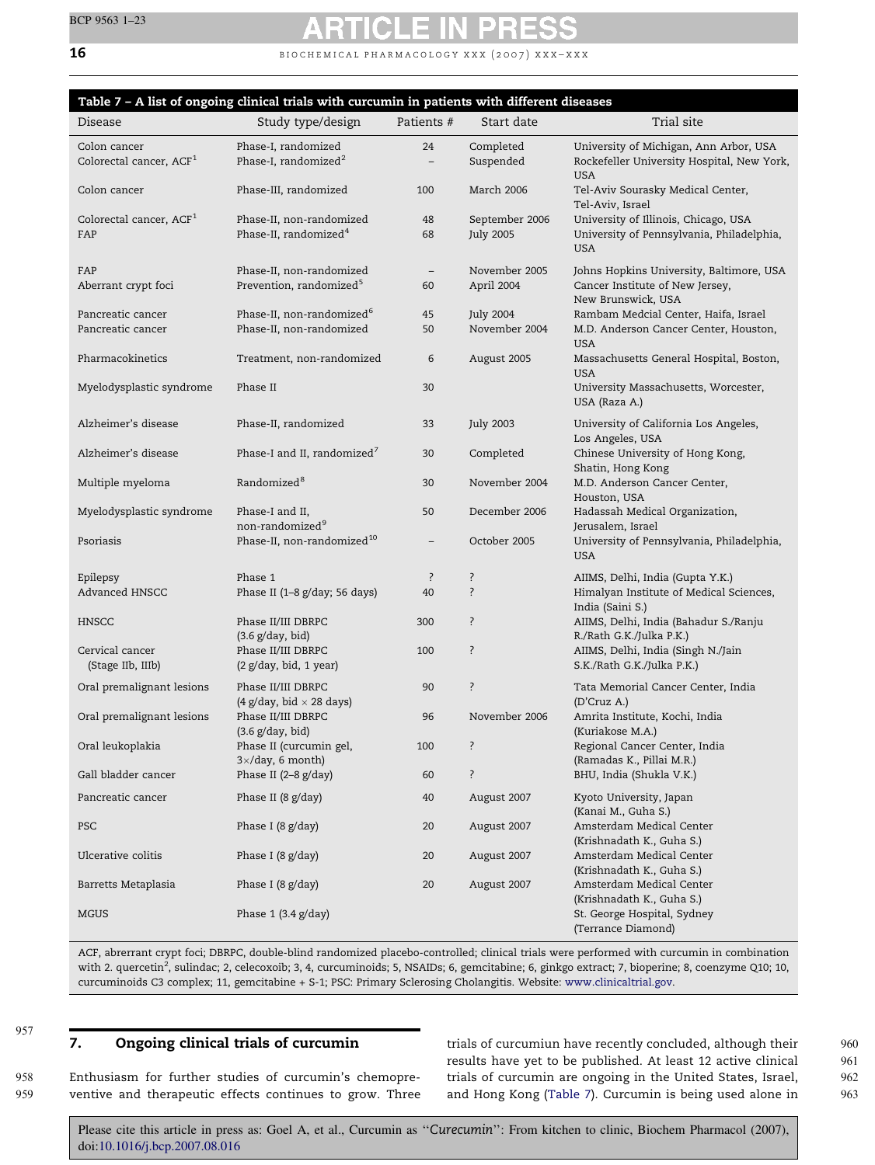|                                                     | Table 7 - A list of ongoing clinical trials with curcumin in patients with different diseases |                          |                                    |                                                                                                                                                                                                                                                                                                 |
|-----------------------------------------------------|-----------------------------------------------------------------------------------------------|--------------------------|------------------------------------|-------------------------------------------------------------------------------------------------------------------------------------------------------------------------------------------------------------------------------------------------------------------------------------------------|
| Disease                                             | Study type/design                                                                             | Patients #               | Start date                         | Trial site                                                                                                                                                                                                                                                                                      |
| Colon cancer<br>Colorectal cancer, ACF <sup>1</sup> | Phase-I, randomized<br>Phase-I, randomized <sup>2</sup>                                       | 24<br>-                  | Completed<br>Suspended             | University of Michigan, Ann Arbor, USA<br>Rockefeller University Hospital, New York,<br><b>USA</b>                                                                                                                                                                                              |
| Colon cancer                                        | Phase-III, randomized                                                                         | 100                      | March 2006                         | Tel-Aviv Sourasky Medical Center,<br>Tel-Aviv, Israel                                                                                                                                                                                                                                           |
| Colorectal cancer, ACF <sup>1</sup><br>FAP          | Phase-II, non-randomized<br>Phase-II, randomized <sup>4</sup>                                 | 48<br>68                 | September 2006<br><b>July 2005</b> | University of Illinois, Chicago, USA<br>University of Pennsylvania, Philadelphia,<br>USA                                                                                                                                                                                                        |
| FAP                                                 | Phase-II, non-randomized                                                                      | $\overline{\phantom{a}}$ | November 2005                      | Johns Hopkins University, Baltimore, USA                                                                                                                                                                                                                                                        |
| Aberrant crypt foci                                 | Prevention, randomized <sup>5</sup>                                                           | 60                       | April 2004                         | Cancer Institute of New Jersey,<br>New Brunswick, USA                                                                                                                                                                                                                                           |
| Pancreatic cancer<br>Pancreatic cancer              | Phase-II, non-randomized <sup>6</sup><br>Phase-II, non-randomized                             | 45<br>50                 | July 2004<br>November 2004         | Rambam Medcial Center, Haifa, Israel<br>M.D. Anderson Cancer Center, Houston,                                                                                                                                                                                                                   |
|                                                     |                                                                                               |                          |                                    | <b>USA</b>                                                                                                                                                                                                                                                                                      |
| Pharmacokinetics                                    | Treatment, non-randomized                                                                     | 6                        | August 2005                        | Massachusetts General Hospital, Boston,<br><b>USA</b>                                                                                                                                                                                                                                           |
| Myelodysplastic syndrome                            | Phase II                                                                                      | 30                       |                                    | University Massachusetts, Worcester,<br>USA (Raza A.)                                                                                                                                                                                                                                           |
| Alzheimer's disease                                 | Phase-II, randomized                                                                          | 33                       | July 2003                          | University of California Los Angeles,<br>Los Angeles, USA                                                                                                                                                                                                                                       |
| Alzheimer's disease                                 | Phase-I and II, randomized <sup>7</sup>                                                       | 30                       | Completed                          | Chinese University of Hong Kong,<br>Shatin, Hong Kong                                                                                                                                                                                                                                           |
| Multiple myeloma                                    | Randomized <sup>8</sup>                                                                       | 30                       | November 2004                      | M.D. Anderson Cancer Center,<br>Houston, USA                                                                                                                                                                                                                                                    |
| Myelodysplastic syndrome                            | Phase-I and II,<br>non-randomized <sup>9</sup>                                                | 50                       | December 2006                      | Hadassah Medical Organization,<br>Jerusalem, Israel                                                                                                                                                                                                                                             |
| Psoriasis                                           | Phase-II, non-randomized <sup>10</sup>                                                        | $\overline{\phantom{0}}$ | October 2005                       | University of Pennsylvania, Philadelphia,<br>USA                                                                                                                                                                                                                                                |
| Epilepsy                                            | Phase 1                                                                                       | ?                        | ?                                  | AIIMS, Delhi, India (Gupta Y.K.)                                                                                                                                                                                                                                                                |
| <b>Advanced HNSCC</b>                               | Phase II (1-8 g/day; 56 days)                                                                 | 40                       | ?                                  | Himalyan Institute of Medical Sciences,<br>India (Saini S.)                                                                                                                                                                                                                                     |
| <b>HNSCC</b>                                        | Phase II/III DBRPC<br>$(3.6 \text{ g/day}, \text{bid})$                                       | 300                      | ?                                  | AIIMS, Delhi, India (Bahadur S./Ranju<br>R./Rath G.K./Julka P.K.)                                                                                                                                                                                                                               |
| Cervical cancer<br>(Stage IIb, IIIb)                | Phase II/III DBRPC<br>(2 g/day, bid, 1 year)                                                  | 100                      | ?                                  | AIIMS, Delhi, India (Singh N./Jain<br>S.K./Rath G.K./Julka P.K.)                                                                                                                                                                                                                                |
| Oral premalignant lesions                           | Phase II/III DBRPC<br>(4 g/day, bid $\times$ 28 days)                                         | 90                       | ?                                  | Tata Memorial Cancer Center, India<br>(D'Cruz A.)                                                                                                                                                                                                                                               |
| Oral premalignant lesions                           | Phase II/III DBRPC<br>(3.6 g/day, bid)                                                        | 96                       | November 2006                      | Amrita Institute, Kochi, India<br>(Kuriakose M.A.)                                                                                                                                                                                                                                              |
| Oral leukoplakia                                    | Phase II (curcumin gel,<br>$3\times$ /day, 6 month)                                           | 100                      | ?                                  | Regional Cancer Center, India<br>(Ramadas K., Pillai M.R.)                                                                                                                                                                                                                                      |
| Gall bladder cancer                                 | Phase II (2-8 $g$ /day)                                                                       | 60                       | ?                                  | BHU, India (Shukla V.K.)                                                                                                                                                                                                                                                                        |
| Pancreatic cancer                                   | Phase II (8 $g$ /day)                                                                         | 40                       | August 2007                        | Kyoto University, Japan<br>(Kanai M., Guha S.)                                                                                                                                                                                                                                                  |
| PSC                                                 | Phase I (8 g/day)                                                                             | 20                       | August 2007                        | Amsterdam Medical Center<br>(Krishnadath K., Guha S.)                                                                                                                                                                                                                                           |
| Ulcerative colitis                                  | Phase I (8 $g$ /day)                                                                          | 20                       | August 2007                        | Amsterdam Medical Center<br>(Krishnadath K., Guha S.)                                                                                                                                                                                                                                           |
| Barretts Metaplasia                                 | Phase I $(8 g/day)$                                                                           | 20                       | August 2007                        | Amsterdam Medical Center<br>(Krishnadath K., Guha S.)                                                                                                                                                                                                                                           |
| <b>MGUS</b>                                         | Phase 1 (3.4 g/day)                                                                           |                          |                                    | St. George Hospital, Sydney<br>(Terrance Diamond)                                                                                                                                                                                                                                               |
|                                                     |                                                                                               |                          |                                    | ACF, abrerrant crypt foci; DBRPC, double-blind randomized placebo-controlled; clinical trials were performed with curcumin in combination<br>with 2 quercetin <sup>2</sup> sulindar: 2 celecoxojh: 3 4 curcuminoids: 5 NSAIDs: 6 gemcitabine: 6 ginkgo extract: 7 bionerine: 8 coenzume 010: 10 |

ACF, abrerrant crypt foci; DBRPC, double-blind randomized placebo-controlled; clinical trials were performed with curcumin in combination with 2. quercetin<sup>2</sup>, sulindac; 2, celecoxoib; 3, 4, curcuminoids; 5, NSAIDs; 6, gemcitabine; 6, ginkgo extract; 7, bioperine; 8, coenzyme Q10; 10, curcuminoids C3 complex; 11, gemcitabine + S-1; PSC: Primary Sclerosing Cholangitis. Website: [www.clinicaltrial.gov.](http://www.clinicaltrial.gov/)

957

# 7. Ongoing clinical trials of curcumin

Enthusiasm for further studies of curcumin's chemopreventive and therapeutic effects continues to grow. Three 958 959

trials of curcumiun have recently concluded, although their results have yet to be published. At least 12 active clinical trials of curcumin are ongoing in the United States, Israel, and Hong Kong (Table 7). Curcumin is being used alone in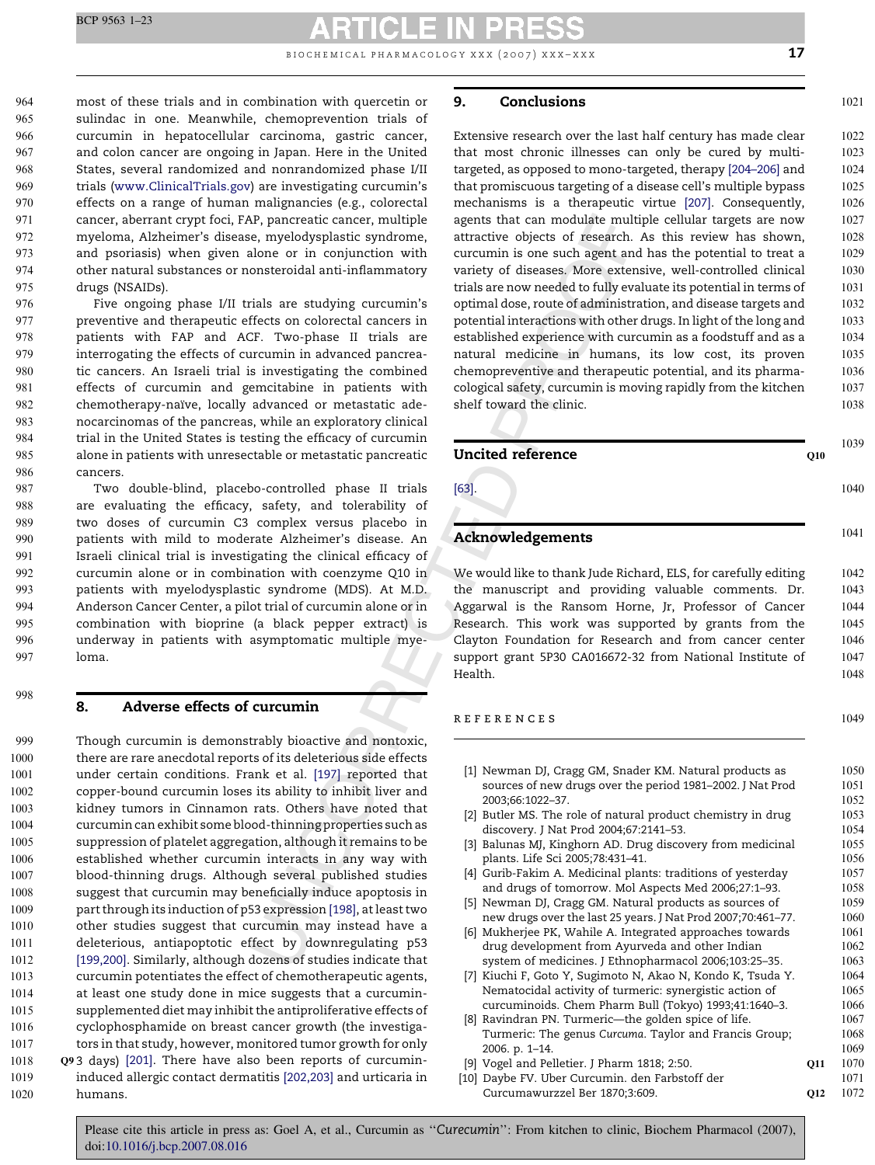1021

1039

1040

1041

1049

<span id="page-16-0"></span>most of these trials and in combination with quercetin or sulindac in one. Meanwhile, chemoprevention trials of curcumin in hepatocellular carcinoma, gastric cancer, and colon cancer are ongoing in Japan. Here in the United States, several randomized and nonrandomized phase I/II trials ([www.ClinicalTrials.gov\)](http://www.clinicaltrials.gov/) are investigating curcumin's effects on a range of human malignancies (e.g., colorectal cancer, aberrant crypt foci, FAP, pancreatic cancer, multiple myeloma, Alzheimer's disease, myelodysplastic syndrome, and psoriasis) when given alone or in conjunction with other natural substances or nonsteroidal anti-inflammatory drugs (NSAIDs). 964 965 966 967 968 969 970 971 972 973 974 975

Five ongoing phase I/II trials are studying curcumin's preventive and therapeutic effects on colorectal cancers in patients with FAP and ACF. Two-phase II trials are interrogating the effects of curcumin in advanced pancreatic cancers. An Israeli trial is investigating the combined effects of curcumin and gemcitabine in patients with chemotherapy-naïve, locally advanced or metastatic adenocarcinomas of the pancreas, while an exploratory clinical trial in the United States is testing the efficacy of curcumin alone in patients with unresectable or metastatic pancreatic cancers. 976 977 978 979 980 981 982 983 984 985 986

Two double-blind, placebo-controlled phase II trials are evaluating the efficacy, safety, and tolerability of two doses of curcumin C3 complex versus placebo in patients with mild to moderate Alzheimer's disease. An Israeli clinical trial is investigating the clinical efficacy of curcumin alone or in combination with coenzyme Q10 in patients with myelodysplastic syndrome (MDS). At M.D. Anderson Cancer Center, a pilot trial of curcumin alone or in combination with bioprine (a black pepper extract) is underway in patients with asymptomatic multiple myeloma. 987 988 989 990 991 992 993 994 995 996 997

# 8. Adverse effects of curcumin

998

**F**, pancetaic cancer, multiple segents that can modulate multiple and<br>  $\alpha$ , myelodysplastic syndrome, attractive objects of research.<br>
Anone or in conjunction with currentin is one such agent and<br>
the or in conjunction Though curcumin is demonstrably bioactive and nontoxic, there are rare anecdotal reports of its deleterious side effects under certain conditions. Frank et al. [197] reported that copper-bound curcumin loses its ability to inhibit liver and kidney tumors in Cinnamon rats. Others have noted that curcumin can exhibit some blood-thinning properties such as suppression of platelet aggregation, although it remains to be established whether curcumin interacts in any way with blood-thinning drugs. Although several published studies suggest that curcumin may beneficially induce apoptosis in part through its induction of p53 expression [198], at least two other studies suggest that curcumin may instead have a deleterious, antiapoptotic effect by downregulating p53 [\[199,200\]](#page-22-0). Similarly, although dozens of studies indicate that curcumin potentiates the effect of chemotherapeutic agents, at least one study done in mice suggests that a curcuminsupplemented diet may inhibit the antiproliferative effects of cyclophosphamide on breast cancer growth (the investigators in that study, however, monitored tumor growth for only Q9 3 days) [\[201\]](#page-22-0). There have also been reports of curcumininduced allergic contact dermatitis [\[202,203\]](#page-22-0) and urticaria in humans. 999 1000 1001 1002 1003 1004 1005 1006 1007 1008 1009 1010 1011 1012 1013 1014 1015 1016 1017 1018 1019 1020

## 9. Conclusions

Extensive research over the last half century has made clear that most chronic illnesses can only be cured by multitargeted, as opposed to mono-targeted, therapy [\[204–206\]](#page-22-0) and that promiscuous targeting of a disease cell's multiple bypass mechanisms is a therapeutic virtue [\[207\]](#page-22-0). Consequently, agents that can modulate multiple cellular targets are now attractive objects of research. As this review has shown, curcumin is one such agent and has the potential to treat a variety of diseases. More extensive, well-controlled clinical trials are now needed to fully evaluate its potential in terms of optimal dose, route of administration, and disease targets and potential interactions with other drugs. In light of the long and established experience with curcumin as a foodstuff and as a natural medicine in humans, its low cost, its proven chemopreventive and therapeutic potential, and its pharmacological safety, curcumin is moving rapidly from the kitchen shelf toward the clinic.

## Uncited reference  $Q10$

[63].

# Acknowledgements

We would like to thank Jude Richard, ELS, for carefully editing the manuscript and providing valuable comments. Dr. Aggarwal is the Ransom Horne, Jr, Professor of Cancer Research. This work was supported by grants from the Clayton Foundation for Research and from cancer center support grant 5P30 CA016672-32 from National Institute of Health.

## references

- [1] Newman DJ, Cragg GM, Snader KM. Natural products as sources of new drugs over the period 1981–2002. J Nat Prod 2003;66:1022–37. [2] Butler MS. The role of natural product chemistry in drug discovery. J Nat Prod 2004;67:2141–53. [3] Balunas MJ, Kinghorn AD. Drug discovery from medicinal plants. Life Sci 2005;78:431–41. [4] Gurib-Fakim A. Medicinal plants: traditions of yesterday and drugs of tomorrow. Mol Aspects Med 2006;27:1–93. [5] Newman DJ, Cragg GM. Natural products as sources of new drugs over the last 25 years. J Nat Prod 2007;70:461–77. [6] Mukherjee PK, Wahile A. Integrated approaches towards drug development from Ayurveda and other Indian system of medicines. J Ethnopharmacol 2006;103:25–35. [7] Kiuchi F, Goto Y, Sugimoto N, Akao N, Kondo K, Tsuda Y. Nematocidal activity of turmeric: synergistic action of curcuminoids. Chem Pharm Bull (Tokyo) 1993;41:1640–3. [8] Ravindran PN. Turmeric—the golden spice of life. Turmeric: The genus Curcuma. Taylor and Francis Group; 2006. p. 1–14. 1050 1051 1052 1053 1054 1055 1056 1057 1058 1059 1060 1061 1062 1063 1064 1065 1066 1067 1068 1069
- [9] Vogel and Pelletier. J Pharm 1818; 2:50. Q11 [10] Daybe FV. Uber Curcumin. den Farbstoff der 1070 1071
- Curcumawurzzel Ber 1870;3:609. Q12 1072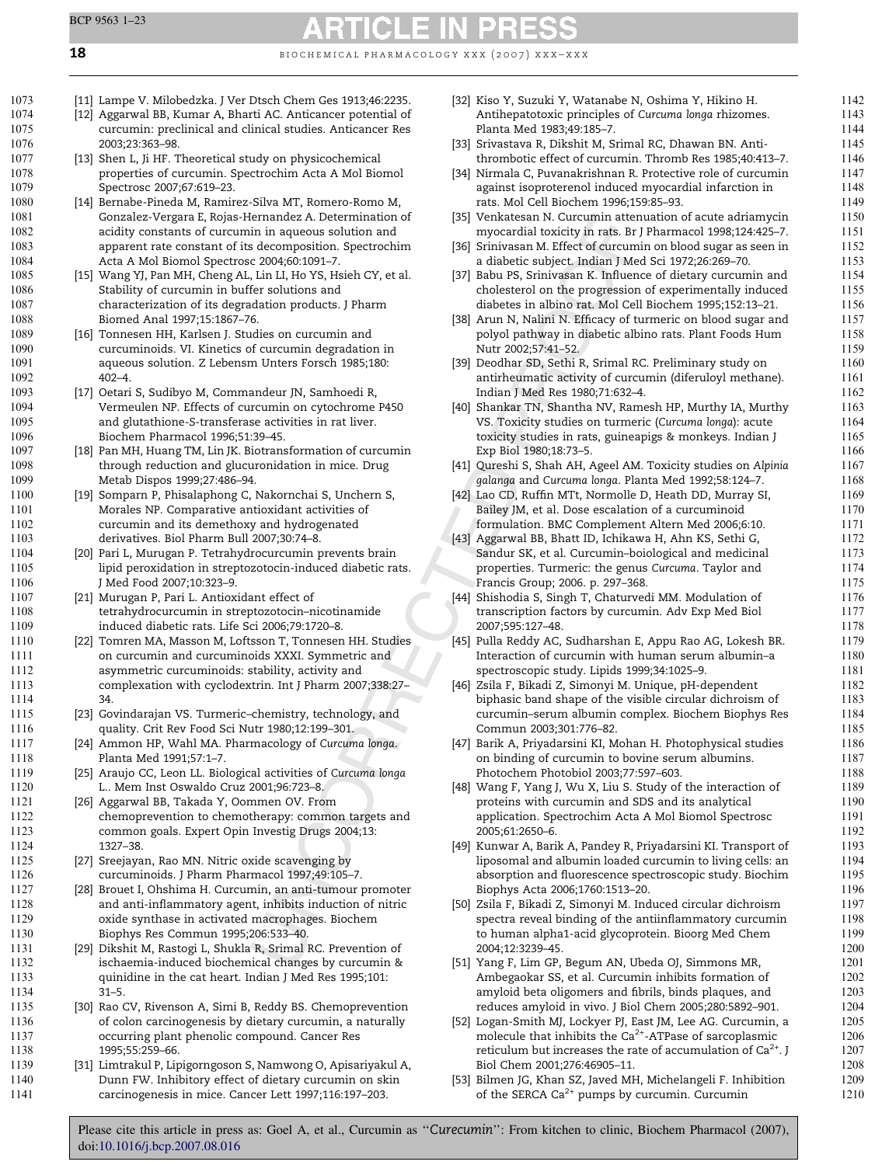<span id="page-17-0"></span>18 **biochemical pharmacology xxx** (2007) xxx–xxx

- [11] Lampe V. Milobedzka. J Ver Dtsch Chem Ges 1913;46:2235. [12] Aggarwal BB, Kumar A, Bharti AC. Anticancer potential of
- curcumin: preclinical and clinical studies. Anticancer Res 2003;23:363–98.
- [13] Shen L, Ji HF. Theoretical study on physicochemical properties of curcumin. Spectrochim Acta A Mol Biomol Spectrosc 2007;67:619–23.
- [14] Bernabe-Pineda M, Ramirez-Silva MT, Romero-Romo M, Gonzalez-Vergara E, Rojas-Hernandez A. Determination of acidity constants of curcumin in aqueous solution and apparent rate constant of its decomposition. Spectrochim Acta A Mol Biomol Spectrosc 2004;60:1091–7.
- [15] Wang YJ, Pan MH, Cheng AL, Lin LI, Ho YS, Hsieh CY, et al. Stability of curcumin in buffer solutions and characterization of its degradation products. J Pharm Biomed Anal 1997;15:1867–76.
- [16] Tonnesen HH, Karlsen J. Studies on curcumin and curcuminoids. VI. Kinetics of curcumin degradation in aqueous solution. Z Lebensm Unters Forsch 1985;180: 402–4.
	- [17] Oetari S, Sudibyo M, Commandeur JN, Samhoedi R, Vermeulen NP. Effects of curcumin on cytochrome P450 and glutathione-S-transferase activities in rat liver. Biochem Pharmacol 1996;51:39–45.
- [18] Pan MH, Huang TM, Lin JK. Biotransformation of curcumin through reduction and glucuronidation in mice. Drug Metab Dispos 1999;27:486–94.
	- [19] Somparn P, Phisalaphong C, Nakornchai S, Unchern S, Morales NP. Comparative antioxidant activities of curcumin and its demethoxy and hydrogenated derivatives. Biol Pharm Bull 2007;30:74–8.
	- [20] Pari L, Murugan P. Tetrahydrocurcumin prevents brain lipid peroxidation in streptozotocin-induced diabetic rats. J Med Food 2007;10:323–9.
	- [21] Murugan P, Pari L. Antioxidant effect of tetrahydrocurcumin in streptozotocin–nicotinamide induced diabetic rats. Life Sci 2006;79:1720–8.
- Fermandez A. Determination of [35] Venkatean M. Curcumin attends the accomposition. Spectrochim (36) Similar and Effect of accumulation in a quodis CV in the CNC of the CNC in the CNC of the CNC in the CNC of the CNC in t [22] Tomren MA, Masson M, Loftsson T, Tonnesen HH. Studies on curcumin and curcuminoids XXXI. Symmetric and asymmetric curcuminoids: stability, activity and complexation with cyclodextrin. Int J Pharm 2007;338:27– 34.
	- [23] Govindarajan VS. Turmeric–chemistry, technology, and quality. Crit Rev Food Sci Nutr 1980;12:199–301.
	- [24] Ammon HP, Wahl MA. Pharmacology of Curcuma longa. Planta Med 1991;57:1–7.
	- [25] Araujo CC, Leon LL. Biological activities of Curcuma longa L.. Mem Inst Oswaldo Cruz 2001;96:723–8.
	- [26] Aggarwal BB, Takada Y, Oommen OV. From chemoprevention to chemotherapy: common targets and common goals. Expert Opin Investig Drugs 2004;13:
	- 1327–38. [27] Sreejayan, Rao MN. Nitric oxide scavenging by curcuminoids. J Pharm Pharmacol 1997;49:105–7.
	- [28] Brouet I, Ohshima H. Curcumin, an anti-tumour promoter and anti-inflammatory agent, inhibits induction of nitric oxide synthase in activated macrophages. Biochem Biophys Res Commun 1995;206:533–40.
	- [29] Dikshit M, Rastogi L, Shukla R, Srimal RC. Prevention of ischaemia-induced biochemical changes by curcumin & quinidine in the cat heart. Indian J Med Res 1995;101: 31–5.
- [30] Rao CV, Rivenson A, Simi B, Reddy BS. Chemoprevention of colon carcinogenesis by dietary curcumin, a naturally occurring plant phenolic compound. Cancer Res 1995;55:259–66.
- [31] Limtrakul P, Lipigorngoson S, Namwong O, Apisariyakul A, Dunn FW. Inhibitory effect of dietary curcumin on skin carcinogenesis in mice. Cancer Lett 1997;116:197–203.

[32] Kiso Y, Suzuki Y, Watanabe N, Oshima Y, Hikino H. Antihepatotoxic principles of Curcuma longa rhizomes. Planta Med 1983;49:185–7.

- [33] Srivastava R, Dikshit M, Srimal RC, Dhawan BN. Antithrombotic effect of curcumin. Thromb Res 1985;40:413–7.
- [34] Nirmala C, Puvanakrishnan R. Protective role of curcumin against isoproterenol induced myocardial infarction in rats. Mol Cell Biochem 1996;159:85–93.
- [35] Venkatesan N. Curcumin attenuation of acute adriamycin myocardial toxicity in rats. Br J Pharmacol 1998;124:425–7.
- [36] Srinivasan M. Effect of curcumin on blood sugar as seen in a diabetic subject. Indian J Med Sci 1972;26:269–70.
- [37] Babu PS, Srinivasan K. Influence of dietary curcumin and cholesterol on the progression of experimentally induced diabetes in albino rat. Mol Cell Biochem 1995;152:13–21.
- [38] Arun N, Nalini N. Efficacy of turmeric on blood sugar and polyol pathway in diabetic albino rats. Plant Foods Hum Nutr 2002;57:41–52.
- [39] Deodhar SD, Sethi R, Srimal RC. Preliminary study on antirheumatic activity of curcumin (diferuloyl methane). Indian J Med Res 1980;71:632–4.
- [40] Shankar TN, Shantha NV, Ramesh HP, Murthy IA, Murthy VS. Toxicity studies on turmeric (Curcuma longa): acute toxicity studies in rats, guineapigs & monkeys. Indian J Exp Biol 1980;18:73–5.
- [41] Qureshi S, Shah AH, Ageel AM. Toxicity studies on Alpinia galanga and Curcuma longa. Planta Med 1992;58:124–7.
- [42] Lao CD, Ruffin MTt, Normolle D, Heath DD, Murray SI, Bailey JM, et al. Dose escalation of a curcuminoid formulation. BMC Complement Altern Med 2006;6:10.
- [43] Aggarwal BB, Bhatt ID, Ichikawa H, Ahn KS, Sethi G, Sandur SK, et al. Curcumin–boiological and medicinal properties. Turmeric: the genus Curcuma. Taylor and Francis Group; 2006. p. 297–368.
- [44] Shishodia S, Singh T, Chaturvedi MM. Modulation of transcription factors by curcumin. Adv Exp Med Biol 2007;595:127–48.
- [45] Pulla Reddy AC, Sudharshan E, Appu Rao AG, Lokesh BR. Interaction of curcumin with human serum albumin–a spectroscopic study. Lipids 1999;34:1025–9.
- [46] Zsila F, Bikadi Z, Simonyi M. Unique, pH-dependent biphasic band shape of the visible circular dichroism of curcumin–serum albumin complex. Biochem Biophys Res Commun 2003;301:776–82.
- [47] Barik A, Priyadarsini KI, Mohan H. Photophysical studies on binding of curcumin to bovine serum albumins. Photochem Photobiol 2003;77:597–603.
- [48] Wang F, Yang J, Wu X, Liu S. Study of the interaction of proteins with curcumin and SDS and its analytical application. Spectrochim Acta A Mol Biomol Spectrosc 2005;61:2650–6.
- [49] Kunwar A, Barik A, Pandey R, Priyadarsini KI. Transport of liposomal and albumin loaded curcumin to living cells: an absorption and fluorescence spectroscopic study. Biochim Biophys Acta 2006;1760:1513–20.
- [50] Zsila F, Bikadi Z, Simonyi M. Induced circular dichroism spectra reveal binding of the antiinflammatory curcumin to human alpha1-acid glycoprotein. Bioorg Med Chem 2004;12:3239–45.
- [51] Yang F, Lim GP, Begum AN, Ubeda OJ, Simmons MR, Ambegaokar SS, et al. Curcumin inhibits formation of amyloid beta oligomers and fibrils, binds plaques, and reduces amyloid in vivo. J Biol Chem 2005;280:5892–901.
- [52] Logan-Smith MJ, Lockyer PJ, East JM, Lee AG. Curcumin, a molecule that inhibits the  $Ca<sup>2+</sup>$ -ATPase of sarcoplasmic reticulum but increases the rate of accumulation of  $Ca<sup>2+</sup>$ . J Biol Chem 2001;276:46905–11.
- [53] Bilmen JG, Khan SZ, Javed MH, Michelangeli F. Inhibition of the SERCA  $Ca^{2+}$  pumps by curcumin. Curcumin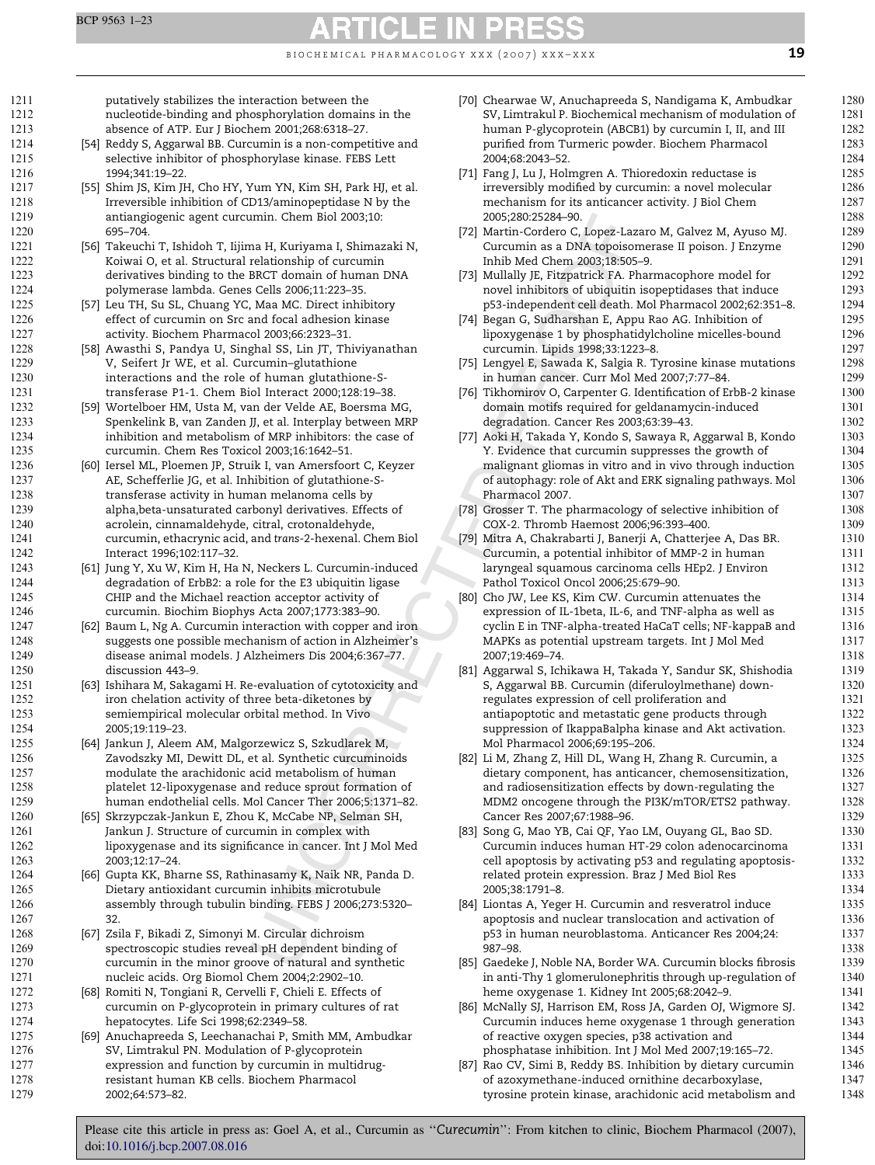biochemical pharmacology xxx (2007) xxx–xxx 19

<span id="page-18-0"></span>putatively stabilizes the interaction between the nucleotide-binding and phosphorylation domains in the absence of ATP. Eur J Biochem 2001;268:6318–27.

- [54] Reddy S, Aggarwal BB. Curcumin is a non-competitive and selective inhibitor of phosphorylase kinase. FEBS Lett 1994;341:19–22.
- [55] Shim JS, Kim JH, Cho HY, Yum YN, Kim SH, Park HJ, et al. Irreversible inhibition of CD13/aminopeptidase N by the antiangiogenic agent curcumin. Chem Biol 2003;10: 695–704.
- [56] Takeuchi T, Ishidoh T, Iijima H, Kuriyama I, Shimazaki N, Koiwai O, et al. Structural relationship of curcumin derivatives binding to the BRCT domain of human DNA polymerase lambda. Genes Cells 2006;11:223–35.
- [57] Leu TH, Su SL, Chuang YC, Maa MC. Direct inhibitory effect of curcumin on Src and focal adhesion kinase activity. Biochem Pharmacol 2003;66:2323–31.
- [58] Awasthi S, Pandya U, Singhal SS, Lin JT, Thiviyanathan V, Seifert Jr WE, et al. Curcumin–glutathione interactions and the role of human glutathione-Stransferase P1-1. Chem Biol Interact 2000;128:19–38.
- [59] Wortelboer HM, Usta M, van der Velde AE, Boersma MG, Spenkelink B, van Zanden JJ, et al. Interplay between MRP inhibition and metabolism of MRP inhibitors: the case of curcumin. Chem Res Toxicol 2003;16:1642–51.
- 1min. Chem Biol 2003;10:<br>
2008;280:3284-30.<br>
1723 Martin. Cordero C, Lopez-Laz<br>
relationship of currunin a sales a DMA topoison and H, Kuriyaman DNA<br>
ERERU domain of human DNA (Discussion-31, 1791) Mullally JE, Fitzgartic [60] Iersel ML, Ploemen JP, Struik I, van Amersfoort C, Keyzer AE, Schefferlie JG, et al. Inhibition of glutathione-Stransferase activity in human melanoma cells by alpha,beta-unsaturated carbonyl derivatives. Effects of acrolein, cinnamaldehyde, citral, crotonaldehyde, curcumin, ethacrynic acid, and trans-2-hexenal. Chem Biol Interact 1996;102:117–32.
- [61] Jung Y, Xu W, Kim H, Ha N, Neckers L. Curcumin-induced degradation of ErbB2: a role for the E3 ubiquitin ligase CHIP and the Michael reaction acceptor activity of curcumin. Biochim Biophys Acta 2007;1773:383–90.
- [62] Baum L, Ng A. Curcumin interaction with copper and iron suggests one possible mechanism of action in Alzheimer's disease animal models. J Alzheimers Dis 2004;6:367–77. discussion 443–9.
- [63] Ishihara M, Sakagami H. Re-evaluation of cytotoxicity and iron chelation activity of three beta-diketones by semiempirical molecular orbital method. In Vivo 2005;19:119–23.
- [64] Jankun J, Aleem AM, Malgorzewicz S, Szkudlarek M, Zavodszky MI, Dewitt DL, et al. Synthetic curcuminoids modulate the arachidonic acid metabolism of human platelet 12-lipoxygenase and reduce sprout formation of human endothelial cells. Mol Cancer Ther 2006;5:1371–82.
- [65] Skrzypczak-Jankun E, Zhou K, McCabe NP, Selman SH, Jankun J. Structure of curcumin in complex with lipoxygenase and its significance in cancer. Int J Mol Med 2003;12:17–24.
- [66] Gupta KK, Bharne SS, Rathinasamy K, Naik NR, Panda D. Dietary antioxidant curcumin inhibits microtubule assembly through tubulin binding. FEBS J 2006;273:5320– 32.
- [67] Zsila F, Bikadi Z, Simonyi M. Circular dichroism spectroscopic studies reveal pH dependent binding of curcumin in the minor groove of natural and synthetic nucleic acids. Org Biomol Chem 2004;2:2902–10.
- [68] Romiti N, Tongiani R, Cervelli F, Chieli E. Effects of curcumin on P-glycoprotein in primary cultures of rat hepatocytes. Life Sci 1998;62:2349–58.
- [69] Anuchapreeda S, Leechanachai P, Smith MM, Ambudkar SV, Limtrakul PN. Modulation of P-glycoprotein expression and function by curcumin in multidrugresistant human KB cells. Biochem Pharmacol 2002;64:573–82.
- [70] Chearwae W, Anuchapreeda S, Nandigama K, Ambudkar SV, Limtrakul P. Biochemical mechanism of modulation of human P-glycoprotein (ABCB1) by curcumin I, II, and III purified from Turmeric powder. Biochem Pharmacol 2004;68:2043–52.
- [71] Fang J, Lu J, Holmgren A. Thioredoxin reductase is irreversibly modified by curcumin: a novel molecular mechanism for its anticancer activity. J Biol Chem 2005;280:25284–90.
- [72] Martin-Cordero C, Lopez-Lazaro M, Galvez M, Ayuso MJ. Curcumin as a DNA topoisomerase II poison. J Enzyme Inhib Med Chem 2003;18:505–9.
- [73] Mullally JE, Fitzpatrick FA. Pharmacophore model for novel inhibitors of ubiquitin isopeptidases that induce p53-independent cell death. Mol Pharmacol 2002;62:351–8.
- [74] Began G, Sudharshan E, Appu Rao AG. Inhibition of lipoxygenase 1 by phosphatidylcholine micelles-bound curcumin. Lipids 1998;33:1223–8.
- [75] Lengyel E, Sawada K, Salgia R. Tyrosine kinase mutations in human cancer. Curr Mol Med 2007;7:77–84.
- [76] Tikhomirov O, Carpenter G. Identification of ErbB-2 kinase domain motifs required for geldanamycin-induced degradation. Cancer Res 2003;63:39–43.
- [77] Aoki H, Takada Y, Kondo S, Sawaya R, Aggarwal B, Kondo Y. Evidence that curcumin suppresses the growth of malignant gliomas in vitro and in vivo through induction of autophagy: role of Akt and ERK signaling pathways. Mol Pharmacol 2007.
- [78] Grosser T. The pharmacology of selective inhibition of COX-2. Thromb Haemost 2006;96:393–400.
- [79] Mitra A, Chakrabarti J, Banerji A, Chatterjee A, Das BR. Curcumin, a potential inhibitor of MMP-2 in human laryngeal squamous carcinoma cells HEp2. J Environ Pathol Toxicol Oncol 2006;25:679–90.
- [80] Cho JW, Lee KS, Kim CW. Curcumin attenuates the expression of IL-1beta, IL-6, and TNF-alpha as well as cyclin E in TNF-alpha-treated HaCaT cells; NF-kappaB and MAPKs as potential upstream targets. Int J Mol Med 2007;19:469–74.
- [81] Aggarwal S, Ichikawa H, Takada Y, Sandur SK, Shishodia S, Aggarwal BB. Curcumin (diferuloylmethane) downregulates expression of cell proliferation and antiapoptotic and metastatic gene products through suppression of IkappaBalpha kinase and Akt activation. Mol Pharmacol 2006;69:195–206.
- [82] Li M, Zhang Z, Hill DL, Wang H, Zhang R. Curcumin, a dietary component, has anticancer, chemosensitization, and radiosensitization effects by down-regulating the MDM2 oncogene through the PI3K/mTOR/ETS2 pathway. Cancer Res 2007;67:1988–96.
- [83] Song G, Mao YB, Cai QF, Yao LM, Ouyang GL, Bao SD. Curcumin induces human HT-29 colon adenocarcinoma cell apoptosis by activating p53 and regulating apoptosisrelated protein expression. Braz J Med Biol Res 2005;38:1791–8.
- [84] Liontas A, Yeger H. Curcumin and resveratrol induce apoptosis and nuclear translocation and activation of p53 in human neuroblastoma. Anticancer Res 2004;24: 987–98.
- [85] Gaedeke J, Noble NA, Border WA. Curcumin blocks fibrosis in anti-Thy 1 glomerulonephritis through up-regulation of heme oxygenase 1. Kidney Int 2005;68:2042–9.
- [86] McNally SJ, Harrison EM, Ross JA, Garden OJ, Wigmore SJ. Curcumin induces heme oxygenase 1 through generation of reactive oxygen species, p38 activation and phosphatase inhibition. Int J Mol Med 2007;19:165–72.
- [87] Rao CV, Simi B, Reddy BS. Inhibition by dietary curcumin of azoxymethane-induced ornithine decarboxylase, tyrosine protein kinase, arachidonic acid metabolism and

Please cite this article in press as: Goel A, et al., Curcumin as "Curecumin": From kitchen to clinic, Biochem Pharmacol (2007), doi:[10.1016/j.bcp.2007.08.016](http://dx.doi.org/10.1016/j.bcp.2007.08.016)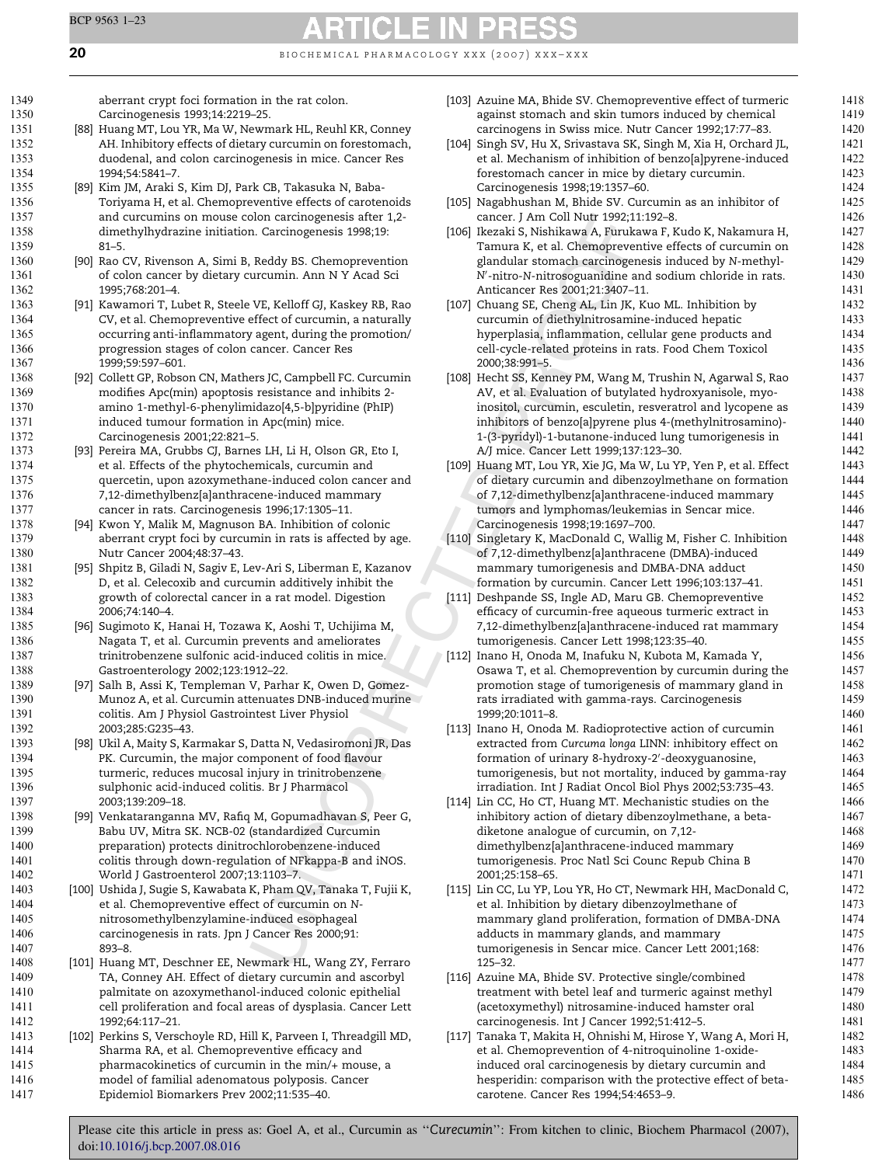# D

20 biochemical pharmacology xxx (2007) xxx–xxx

<span id="page-19-0"></span>

| aberrant crypt foci formation in the rat colon.<br>Carcinogenesis 1993;14:2219-25.                                                                                                                                                           | [103] Azuine MA, Bhide SV. Chemopreventive effect of turmeric<br>against stomach and skin tumors induced by chemical                                                                                   |
|----------------------------------------------------------------------------------------------------------------------------------------------------------------------------------------------------------------------------------------------|--------------------------------------------------------------------------------------------------------------------------------------------------------------------------------------------------------|
| [88] Huang MT, Lou YR, Ma W, Newmark HL, Reuhl KR, Conney<br>AH. Inhibitory effects of dietary curcumin on forestomach,<br>duodenal, and colon carcinogenesis in mice. Cancer Res                                                            | carcinogens in Swiss mice. Nutr Cancer 1992;17:77-83.<br>[104] Singh SV, Hu X, Srivastava SK, Singh M, Xia H, Orchard JL,<br>et al. Mechanism of inhibition of benzo[a]pyrene-induced                  |
| 1994;54:5841-7.<br>[89] Kim JM, Araki S, Kim DJ, Park CB, Takasuka N, Baba-                                                                                                                                                                  | forestomach cancer in mice by dietary curcumin.<br>Carcinogenesis 1998;19:1357-60.                                                                                                                     |
| Toriyama H, et al. Chemopreventive effects of carotenoids                                                                                                                                                                                    | [105] Nagabhushan M, Bhide SV. Curcumin as an inhibitor of                                                                                                                                             |
| and curcumins on mouse colon carcinogenesis after 1,2-<br>dimethylhydrazine initiation. Carcinogenesis 1998;19:                                                                                                                              | cancer. J Am Coll Nutr 1992;11:192-8.<br>[106] Ikezaki S, Nishikawa A, Furukawa F, Kudo K, Nakamura H,                                                                                                 |
| $81 - 5.$<br>[90] Rao CV, Rivenson A, Simi B, Reddy BS. Chemoprevention<br>of colon cancer by dietary curcumin. Ann N Y Acad Sci                                                                                                             | Tamura K, et al. Chemopreventive effects of curcumin on<br>glandular stomach carcinogenesis induced by N-methyl-<br>N'-nitro-N-nitrosoguanidine and sodium chloride in rats.                           |
| 1995;768:201-4.<br>[91] Kawamori T, Lubet R, Steele VE, Kelloff GJ, Kaskey RB, Rao<br>CV, et al. Chemopreventive effect of curcumin, a naturally<br>occurring anti-inflammatory agent, during the promotion/                                 | Anticancer Res 2001;21:3407-11.<br>[107] Chuang SE, Cheng AL, Lin JK, Kuo ML. Inhibition by<br>curcumin of diethylnitrosamine-induced hepatic<br>hyperplasia, inflammation, cellular gene products and |
| progression stages of colon cancer. Cancer Res<br>1999;59:597-601.                                                                                                                                                                           | cell-cycle-related proteins in rats. Food Chem Toxicol<br>2000;38:991-5.                                                                                                                               |
| [92] Collett GP, Robson CN, Mathers JC, Campbell FC. Curcumin<br>modifies Apc(min) apoptosis resistance and inhibits 2-                                                                                                                      | [108] Hecht SS, Kenney PM, Wang M, Trushin N, Agarwal S, Rao<br>AV, et al. Evaluation of butylated hydroxyanisole, myo-                                                                                |
| amino 1-methyl-6-phenylimidazo[4,5-b]pyridine (PhIP)<br>induced tumour formation in Apc(min) mice.<br>Carcinogenesis 2001;22:821-5.                                                                                                          | inositol, curcumin, esculetin, resveratrol and lycopene as<br>inhibitors of benzo[a]pyrene plus 4-(methylnitrosamino)-<br>1-(3-pyridyl)-1-butanone-induced lung tumorigenesis in                       |
| [93] Pereira MA, Grubbs CJ, Barnes LH, Li H, Olson GR, Eto I,<br>et al. Effects of the phytochemicals, curcumin and                                                                                                                          | A/J mice. Cancer Lett 1999;137:123-30.<br>[109] Huang MT, Lou YR, Xie JG, Ma W, Lu YP, Yen P, et al. Effect                                                                                            |
| quercetin, upon azoxymethane-induced colon cancer and<br>7,12-dimethylbenz[a]anthracene-induced mammary<br>cancer in rats. Carcinogenesis 1996;17:1305-11.                                                                                   | of dietary curcumin and dibenzoylmethane on formation<br>of 7,12-dimethylbenz[a]anthracene-induced mammary<br>tumors and lymphomas/leukemias in Sencar mice.                                           |
| [94] Kwon Y, Malik M, Magnuson BA. Inhibition of colonic<br>aberrant crypt foci by curcumin in rats is affected by age.                                                                                                                      | Carcinogenesis 1998;19:1697-700.<br>[110] Singletary K, MacDonald C, Wallig M, Fisher C. Inhibition                                                                                                    |
| Nutr Cancer 2004;48:37-43.<br>[95] Shpitz B, Giladi N, Sagiv E, Lev-Ari S, Liberman E, Kazanov                                                                                                                                               | of 7,12-dimethylbenz[a]anthracene (DMBA)-induced<br>mammary tumorigenesis and DMBA-DNA adduct                                                                                                          |
| D, et al. Celecoxib and curcumin additively inhibit the<br>growth of colorectal cancer in a rat model. Digestion<br>2006;74:140-4.                                                                                                           | formation by curcumin. Cancer Lett 1996;103:137-41.<br>[111] Deshpande SS, Ingle AD, Maru GB. Chemopreventive<br>efficacy of curcumin-free aqueous turmeric extract in                                 |
| [96] Sugimoto K, Hanai H, Tozawa K, Aoshi T, Uchijima M,<br>Nagata T, et al. Curcumin prevents and ameliorates                                                                                                                               | 7,12-dimethylbenz[a]anthracene-induced rat mammary<br>tumorigenesis. Cancer Lett 1998;123:35-40.                                                                                                       |
| trinitrobenzene sulfonic acid-induced colitis in mice.<br>Gastroenterology 2002;123:1912-22.<br>[97] Salh B, Assi K, Templeman V, Parhar K, Owen D, Gomez-                                                                                   | [112] Inano H, Onoda M, Inafuku N, Kubota M, Kamada Y,<br>Osawa T, et al. Chemoprevention by curcumin during the<br>promotion stage of tumorigenesis of mammary gland in                               |
| Munoz A, et al. Curcumin attenuates DNB-induced murine<br>colitis. Am J Physiol Gastrointest Liver Physiol                                                                                                                                   | rats irradiated with gamma-rays. Carcinogenesis<br>1999;20:1011-8.                                                                                                                                     |
| 2003;285:G235-43.<br>[98] Ukil A, Maity S, Karmakar S, Datta N, Vedasiromoni JR, Das<br>PK. Curcumin, the major component of food flavour                                                                                                    | [113] Inano H, Onoda M. Radioprotective action of curcumin<br>extracted from Curcuma longa LINN: inhibitory effect on<br>formation of urinary 8-hydroxy-2'-deoxyguanosine,                             |
| turmeric, reduces mucosal injury in trinitrobenzene<br>sulphonic acid-induced colitis. Br J Pharmacol                                                                                                                                        | tumorigenesis, but not mortality, induced by gamma-ray<br>irradiation. Int J Radiat Oncol Biol Phys 2002;53:735-43.                                                                                    |
| 2003;139:209-18.<br>[99] Venkataranganna MV, Rafiq M, Gopumadhavan S, Peer G,<br>Babu UV, Mitra SK. NCB-02 (standardized Curcumin                                                                                                            | [114] Lin CC, Ho CT, Huang MT. Mechanistic studies on the<br>inhibitory action of dietary dibenzoylmethane, a beta-<br>diketone analogue of curcumin, on 7,12-                                         |
| preparation) protects dinitrochlorobenzene-induced<br>colitis through down-regulation of NFkappa-B and iNOS.<br>World J Gastroenterol 2007;13:1103-7.                                                                                        | dimethylbenz[a]anthracene-induced mammary<br>tumorigenesis. Proc Natl Sci Counc Repub China B<br>2001;25:158-65.                                                                                       |
| [100] Ushida J, Sugie S, Kawabata K, Pham QV, Tanaka T, Fujii K,<br>et al. Chemopreventive effect of curcumin on N-<br>nitrosomethylbenzylamine-induced esophageal                                                                           | [115] Lin CC, Lu YP, Lou YR, Ho CT, Newmark HH, MacDonald C,<br>et al. Inhibition by dietary dibenzoylmethane of<br>mammary gland proliferation, formation of DMBA-DNA                                 |
| carcinogenesis in rats. Jpn J Cancer Res 2000;91:<br>$893 - 8.$                                                                                                                                                                              | adducts in mammary glands, and mammary<br>tumorigenesis in Sencar mice. Cancer Lett 2001;168:                                                                                                          |
| [101] Huang MT, Deschner EE, Newmark HL, Wang ZY, Ferraro<br>TA, Conney AH. Effect of dietary curcumin and ascorbyl<br>palmitate on azoxymethanol-induced colonic epithelial<br>cell proliferation and focal areas of dysplasia. Cancer Lett | 125-32.<br>[116] Azuine MA, Bhide SV. Protective single/combined<br>treatment with betel leaf and turmeric against methyl<br>(acetoxymethyl) nitrosamine-induced hamster oral                          |
| 1992;64:117-21.<br>[102] Perkins S, Verschoyle RD, Hill K, Parveen I, Threadgill MD,<br>Sharma RA, et al. Chemopreventive efficacy and                                                                                                       | carcinogenesis. Int J Cancer 1992;51:412-5.<br>[117] Tanaka T, Makita H, Ohnishi M, Hirose Y, Wang A, Mori H,<br>et al. Chemoprevention of 4-nitroquinoline 1-oxide-                                   |
| pharmacokinetics of curcumin in the min/+ mouse, a<br>model of familial adenomatous polyposis. Cancer                                                                                                                                        | induced oral carcinogenesis by dietary curcumin and<br>hesperidin: comparison with the protective effect of beta-                                                                                      |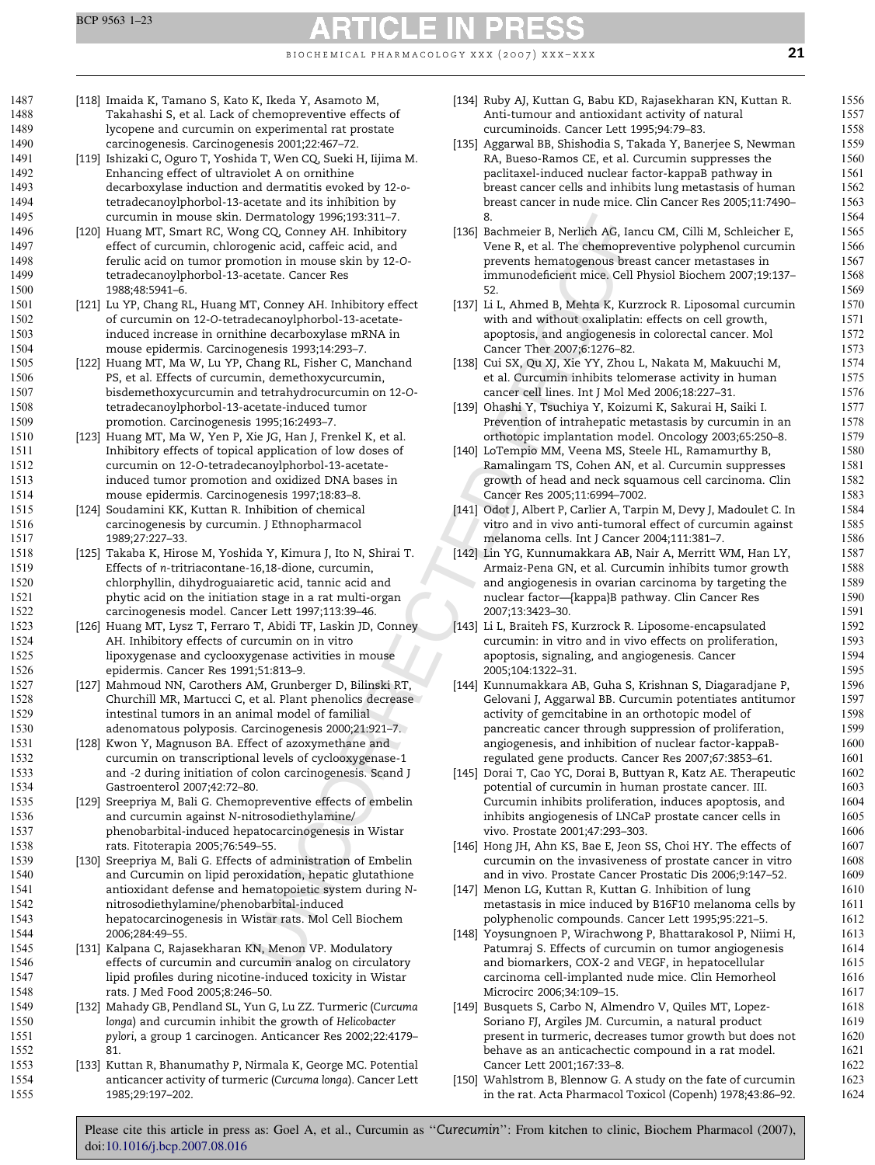1541

1554 1555

 $BIOCHEMICAL PHARMACOLOGY XXX (2007) XXX-XXX$ 

- <span id="page-20-0"></span>[118] Imaida K, Tamano S, Kato K, Ikeda Y, Asamoto M, Takahashi S, et al. Lack of chemopreventive effects of lycopene and curcumin on experimental rat prostate carcinogenesis. Carcinogenesis 2001;22:467–72. 1487 1488 1489 1490
- [119] Ishizaki C, Oguro T, Yoshida T, Wen CQ, Sueki H, Iijima M. Enhancing effect of ultraviolet A on ornithine decarboxylase induction and dermatitis evoked by 12-otetradecanoylphorbol-13-acetate and its inhibition by curcumin in mouse skin. Dermatology 1996;193:311–7. 1491 1492 1493 1494 1495
- [120] Huang MT, Smart RC, Wong CQ, Conney AH. Inhibitory effect of curcumin, chlorogenic acid, caffeic acid, and ferulic acid on tumor promotion in mouse skin by 12-Otetradecanoylphorbol-13-acetate. Cancer Res 1988;48:5941–6. 1496 1497 1498 1499 1500
	- [121] Lu YP, Chang RL, Huang MT, Conney AH. Inhibitory effect of curcumin on 12-O-tetradecanoylphorbol-13-acetateinduced increase in ornithine decarboxylase mRNA in mouse epidermis. Carcinogenesis 1993;14:293–7.
- [122] Huang MT, Ma W, Lu YP, Chang RL, Fisher C, Manchand PS, et al. Effects of curcumin, demethoxycurcumin, bisdemethoxycurcumin and tetrahydrocurcumin on 12-Otetradecanoylphorbol-13-acetate-induced tumor promotion. Carcinogenesis 1995;16:2493–7. 1505 1506 1507 1508 1509
	- [123] Huang MT, Ma W, Yen P, Xie JG, Han J, Frenkel K, et al. Inhibitory effects of topical application of low doses of curcumin on 12-O-tetradecanoylphorbol-13-acetateinduced tumor promotion and oxidized DNA bases in mouse epidermis. Carcinogenesis 1997;18:83–8.
		- [124] Soudamini KK, Kuttan R. Inhibition of chemical carcinogenesis by curcumin. J Ethnopharmacol 1989;27:227–33.
	- [125] Takaba K, Hirose M, Yoshida Y, Kimura J, Ito N, Shirai T. Effects of n-tritriacontane-16,18-dione, curcumin, chlorphyllin, dihydroguaiaretic acid, tannic acid and phytic acid on the initiation stage in a rat multi-organ carcinogenesis model. Cancer Lett 1997;113:39–46.
	- [126] Huang MT, Lysz T, Ferraro T, Abidi TF, Laskin JD, Conney AH. Inhibitory effects of curcumin on in vitro lipoxygenase and cyclooxygenase activities in mouse epidermis. Cancer Res 1991;51:813–9.
		- [127] Mahmoud NN, Carothers AM, Grunberger D, Bilinski RT, Churchill MR, Martucci C, et al. Plant phenolics decrease intestinal tumors in an animal model of familial adenomatous polyposis. Carcinogenesis 2000;21:921–7.
		- [128] Kwon Y, Magnuson BA. Effect of azoxymethane and curcumin on transcriptional levels of cyclooxygenase-1 and -2 during initiation of colon carcinogenesis. Scand J Gastroenterol 2007;42:72–80.
	- [129] Sreepriya M, Bali G. Chemopreventive effects of embelin and curcumin against N-nitrosodiethylamine/ phenobarbital-induced hepatocarcinogenesis in Wistar rats. Fitoterapia 2005;76:549–55.
- [130] Sreepriya M, Bali G. Effects of administration of Embelin and Curcumin on lipid peroxidation, hepatic glutathione antioxidant defense and hematopoietic system during Nnitrosodiethylamine/phenobarbital-induced hepatocarcinogenesis in Wistar rats. Mol Cell Biochem 2006;284:49–55. 1539 1540 1542 1543 1544
- [131] Kalpana C, Rajasekharan KN, Menon VP. Modulatory effects of curcumin and curcumin analog on circulatory lipid profiles during nicotine-induced toxicity in Wistar rats. J Med Food 2005;8:246–50. 1545 1546 1547 1548
- [132] Mahady GB, Pendland SL, Yun G, Lu ZZ. Turmeric (Curcuma longa) and curcumin inhibit the growth of Helicobacter pylori, a group 1 carcinogen. Anticancer Res 2002;22:4179– 81. 1549 1550 1551 1552 1553
	- [133] Kuttan R, Bhanumathy P, Nirmala K, George MC. Potential anticancer activity of turmeric (Curcuma longa). Cancer Lett 1985;29:197–202.
- [134] Ruby AJ, Kuttan G, Babu KD, Rajasekharan KN, Kuttan R. Anti-tumour and antioxidant activity of natural curcuminoids. Cancer Lett 1995;94:79–83.
- [135] Aggarwal BB, Shishodia S, Takada Y, Baneriee S, Newman RA, Bueso-Ramos CE, et al. Curcumin suppresses the paclitaxel-induced nuclear factor-kappaB pathway in breast cancer cells and inhibits lung metastasis of human breast cancer in nude mice. Clin Cancer Res 2005;11:7490– 8.
- [136] Bachmeier B, Nerlich AG, Iancu CM, Cilli M, Schleicher E, Vene R, et al. The chemopreventive polyphenol curcumin prevents hematogenous breast cancer metastases in immunodeficient mice. Cell Physiol Biochem 2007;19:137– 52.
- [137] Li L, Ahmed B, Mehta K, Kurzrock R. Liposomal curcumin with and without oxaliplatin: effects on cell growth, apoptosis, and angiogenesis in colorectal cancer. Mol Cancer Ther 2007;6:1276–82.
- [138] Cui SX, Qu XJ, Xie YY, Zhou L, Nakata M, Makuuchi M, et al. Curcumin inhibits telomerase activity in human cancer cell lines. Int J Mol Med 2006;18:227–31.
- [139] Ohashi Y, Tsuchiya Y, Koizumi K, Sakurai H, Saiki I. Prevention of intrahepatic metastasis by curcumin in an orthotopic implantation model. Oncology 2003;65:250–8.
- [140] LoTempio MM, Veena MS, Steele HL, Ramamurthy B, Ramalingam TS, Cohen AN, et al. Curcumin suppresses growth of head and neck squamous cell carcinoma. Clin Cancer Res 2005;11:6994–7002.
- [141] Odot J, Albert P, Carlier A, Tarpin M, Devy J, Madoulet C. In vitro and in vivo anti-tumoral effect of curcumin against melanoma cells. Int J Cancer 2004;111:381–7.
- [142] Lin YG, Kunnumakkara AB, Nair A, Merritt WM, Han LY, Armaiz-Pena GN, et al. Curcumin inhibits tumor growth and angiogenesis in ovarian carcinoma by targeting the nuclear factor—{kappa}B pathway. Clin Cancer Res 2007;13:3423–30.
- [143] Li L, Braiteh FS, Kurzrock R. Liposome-encapsulated curcumin: in vitro and in vivo effects on proliferation, apoptosis, signaling, and angiogenesis. Cancer 2005;104:1322–31.
- Sematology 1996;<br>1986; 1996; 1996; 1996; 1996; 1996; 1996; 1996; 1996; 1996; 1996; 1996; 1996; 1996; 1996; 1996; 1996; 1996; 1996; 1996; 1997, 1997, 1997, 1997, 1997, 1997, 1997, 1997, 1997, 1997, 1997, 1997, 1997, 1997, [144] Kunnumakkara AB, Guha S, Krishnan S, Diagaradjane P, Gelovani J, Aggarwal BB. Curcumin potentiates antitumor activity of gemcitabine in an orthotopic model of pancreatic cancer through suppression of proliferation, angiogenesis, and inhibition of nuclear factor-kappaBregulated gene products. Cancer Res 2007;67:3853–61.
	- [145] Dorai T, Cao YC, Dorai B, Buttyan R, Katz AE. Therapeutic potential of curcumin in human prostate cancer. III. Curcumin inhibits proliferation, induces apoptosis, and inhibits angiogenesis of LNCaP prostate cancer cells in vivo. Prostate 2001;47:293–303.
	- [146] Hong JH, Ahn KS, Bae E, Jeon SS, Choi HY. The effects of curcumin on the invasiveness of prostate cancer in vitro and in vivo. Prostate Cancer Prostatic Dis 2006;9:147–52.
	- [147] Menon LG, Kuttan R, Kuttan G. Inhibition of lung metastasis in mice induced by B16F10 melanoma cells by polyphenolic compounds. Cancer Lett 1995;95:221–5.
	- [148] Yoysungnoen P, Wirachwong P, Bhattarakosol P, Niimi H, Patumraj S. Effects of curcumin on tumor angiogenesis and biomarkers, COX-2 and VEGF, in hepatocellular carcinoma cell-implanted nude mice. Clin Hemorheol Microcirc 2006;34:109–15.
	- [149] Busquets S, Carbo N, Almendro V, Quiles MT, Lopez-Soriano FJ, Argiles JM. Curcumin, a natural product present in turmeric, decreases tumor growth but does not behave as an anticachectic compound in a rat model. Cancer Lett 2001;167:33–8.
	- [150] Wahlstrom B, Blennow G. A study on the fate of curcumin in the rat. Acta Pharmacol Toxicol (Copenh) 1978;43:86–92.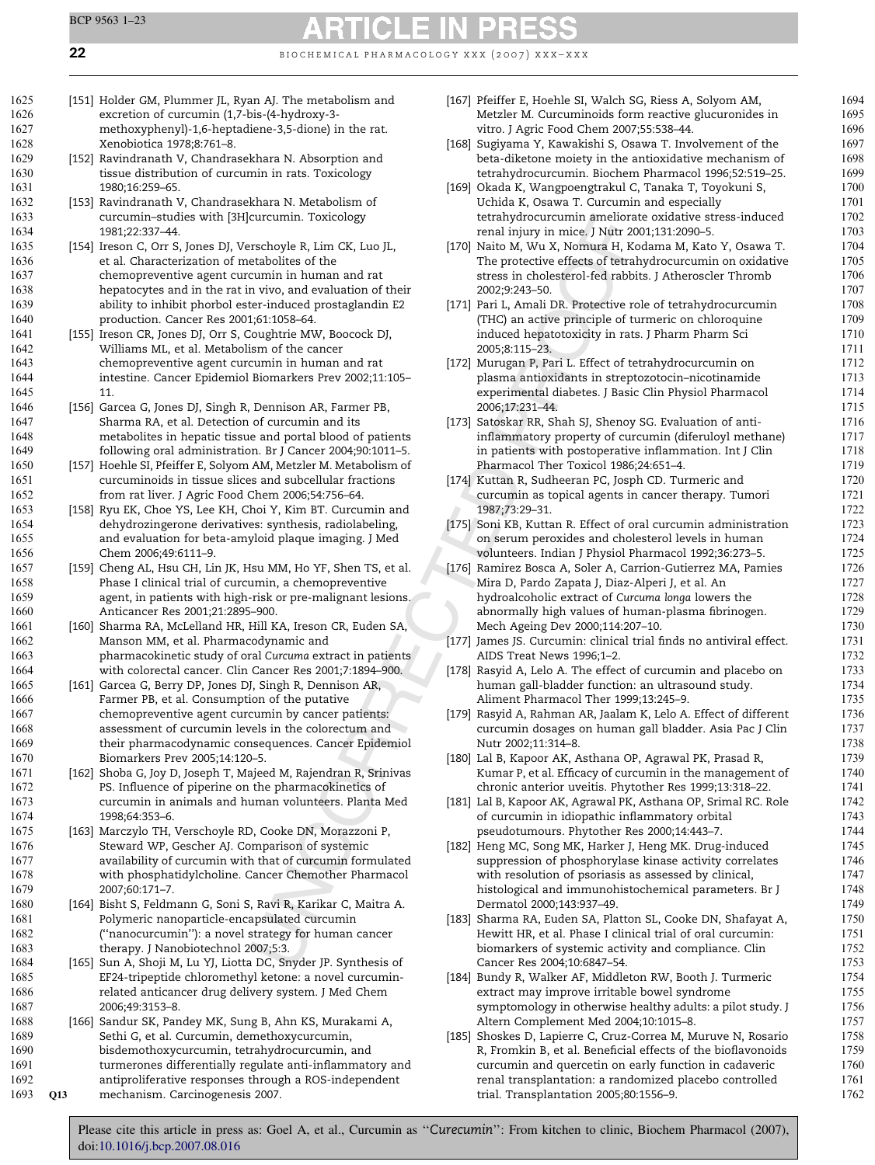<span id="page-21-0"></span>

| 1625         |     | [151] Holder GM, Plummer JL, Ryan AJ. The metabolism and                                                                       |
|--------------|-----|--------------------------------------------------------------------------------------------------------------------------------|
| 1626         |     | excretion of curcumin (1,7-bis-(4-hydroxy-3-                                                                                   |
| 1627         |     | methoxyphenyl)-1,6-heptadiene-3,5-dione) in the rat.                                                                           |
| 1628         |     | Xenobiotica 1978;8:761-8.                                                                                                      |
| 1629<br>1630 |     | [152] Ravindranath V, Chandrasekhara N. Absorption and<br>tissue distribution of curcumin in rats. Toxicology                  |
| 1631         |     | 1980;16:259-65.                                                                                                                |
| 1632         |     | [153] Ravindranath V, Chandrasekhara N. Metabolism of                                                                          |
| 1633         |     | curcumin-studies with [3H]curcumin. Toxicology                                                                                 |
| 1634         |     | 1981;22:337-44.                                                                                                                |
| 1635         |     | [154] Ireson C, Orr S, Jones DJ, Verschoyle R, Lim CK, Luo JL,<br>et al. Characterization of metabolites of the                |
| 1636<br>1637 |     | chemopreventive agent curcumin in human and rat                                                                                |
| 1638         |     | hepatocytes and in the rat in vivo, and evaluation of their                                                                    |
| 1639         |     | ability to inhibit phorbol ester-induced prostaglandin E2                                                                      |
| 1640         |     | production. Cancer Res 2001;61:1058-64.                                                                                        |
| 1641         |     | [155] Ireson CR, Jones DJ, Orr S, Coughtrie MW, Boocock DJ,                                                                    |
| 1642         |     | Williams ML, et al. Metabolism of the cancer                                                                                   |
| 1643<br>1644 |     | chemopreventive agent curcumin in human and rat<br>intestine. Cancer Epidemiol Biomarkers Prev 2002;11:105-                    |
| 1645         |     | 11.                                                                                                                            |
| 1646         |     | [156] Garcea G, Jones DJ, Singh R, Dennison AR, Farmer PB,                                                                     |
| 1647         |     | Sharma RA, et al. Detection of curcumin and its                                                                                |
| 1648         |     | metabolites in hepatic tissue and portal blood of patients                                                                     |
| 1649         |     | following oral administration. Br J Cancer 2004;90:1011-5.<br>[157] Hoehle SI, Pfeiffer E, Solyom AM, Metzler M. Metabolism of |
| 1650<br>1651 |     | curcuminoids in tissue slices and subcellular fractions                                                                        |
| 1652         |     | from rat liver. J Agric Food Chem 2006;54:756-64.                                                                              |
| 1653         |     | [158] Ryu EK, Choe YS, Lee KH, Choi Y, Kim BT. Curcumin and                                                                    |
| 1654         |     | dehydrozingerone derivatives: synthesis, radiolabeling,                                                                        |
| 1655         |     | and evaluation for beta-amyloid plaque imaging. J Med                                                                          |
| 1656         |     | Chem 2006;49:6111-9.                                                                                                           |
| 1657<br>1658 |     | [159] Cheng AL, Hsu CH, Lin JK, Hsu MM, Ho YF, Shen TS, et al.<br>Phase I clinical trial of curcumin, a chemopreventive        |
| 1659         |     | agent, in patients with high-risk or pre-malignant lesions.                                                                    |
| 1660         |     | Anticancer Res 2001;21:2895-900.                                                                                               |
| 1661         |     | [160] Sharma RA, McLelland HR, Hill KA, Ireson CR, Euden SA,                                                                   |
| 1662         |     | Manson MM, et al. Pharmacodynamic and                                                                                          |
| 1663<br>1664 |     | pharmacokinetic study of oral Curcuma extract in patients<br>with colorectal cancer. Clin Cancer Res 2001;7:1894-900.          |
| 1665         |     | [161] Garcea G, Berry DP, Jones DJ, Singh R, Dennison AR,                                                                      |
| 1666         |     | Farmer PB, et al. Consumption of the putative                                                                                  |
| 1667         |     | chemopreventive agent curcumin by cancer patients:                                                                             |
| 1668         |     | assessment of curcumin levels in the colorectum and                                                                            |
| 1669         |     | their pharmacodynamic consequences. Cancer Epidemiol                                                                           |
| 1670<br>1671 |     | Biomarkers Prev 2005;14:120-5.<br>[162] Shoba G, Joy D, Joseph T, Majeed M, Rajendran R, Srinivas                              |
| 1672         |     | PS. Influence of piperine on the pharmacokinetics of                                                                           |
| 1673         |     | curcumin in animals and human volunteers. Planta Med                                                                           |
| 1674         |     | 1998;64:353-6.                                                                                                                 |
| 1675         |     | [163] Marczylo TH, Verschoyle RD, Cooke DN, Morazzoni P,                                                                       |
| 1676         |     | Steward WP, Gescher AJ. Comparison of systemic<br>availability of curcumin with that of curcumin formulated                    |
| 1677<br>1678 |     | with phosphatidylcholine. Cancer Chemother Pharmacol                                                                           |
| 1679         |     | 2007;60:171-7.                                                                                                                 |
| 1680         |     | [164] Bisht S, Feldmann G, Soni S, Ravi R, Karikar C, Maitra A.                                                                |
| 1681         |     | Polymeric nanoparticle-encapsulated curcumin                                                                                   |
| 1682         |     | ("nanocurcumin"): a novel strategy for human cancer                                                                            |
| 1683         |     | therapy. J Nanobiotechnol 2007;5:3.                                                                                            |
| 1684<br>1685 |     | [165] Sun A, Shoji M, Lu YJ, Liotta DC, Snyder JP. Synthesis of<br>EF24-tripeptide chloromethyl ketone: a novel curcumin-      |
| 1686         |     | related anticancer drug delivery system. J Med Chem                                                                            |
| 1687         |     | 2006;49:3153-8.                                                                                                                |
| 1688         |     | [166] Sandur SK, Pandey MK, Sung B, Ahn KS, Murakami A,                                                                        |
| 1689         |     | Sethi G, et al. Curcumin, demethoxycurcumin,                                                                                   |
| 1690         |     | bisdemothoxycurcumin, tetrahydrocurcumin, and                                                                                  |
| 1691<br>1692 |     | turmerones differentially regulate anti-inflammatory and<br>antiproliferative responses through a ROS-independent              |
| 1693         | Q13 | mechanism. Carcinogenesis 2007.                                                                                                |
|              |     |                                                                                                                                |

| an AJ. The metabolism and                       | [167] Pfeiffer E, Hoehle SI, Walch SG, Riess A, Solyom AM,                                                                 | 1694         |
|-------------------------------------------------|----------------------------------------------------------------------------------------------------------------------------|--------------|
| bis-(4-hydroxy-3-                               | Metzler M. Curcuminoids form reactive glucuronides in                                                                      | 1695         |
| iene-3,5-dione) in the rat.                     | vitro. J Agric Food Chem 2007;55:538-44.                                                                                   | 1696         |
|                                                 | [168] Sugiyama Y, Kawakishi S, Osawa T. Involvement of the                                                                 | 1697         |
| khara N. Absorption and                         | beta-diketone moiety in the antioxidative mechanism of                                                                     | 1698         |
| nin in rats. Toxicology                         | tetrahydrocurcumin. Biochem Pharmacol 1996;52:519-25.                                                                      | 1699         |
|                                                 | [169] Okada K, Wangpoengtrakul C, Tanaka T, Toyokuni S,                                                                    | 1700         |
| khara N. Metabolism of                          | Uchida K, Osawa T. Curcumin and especially                                                                                 | 1701         |
| curcumin. Toxicology                            | tetrahydrocurcumin ameliorate oxidative stress-induced<br>renal injury in mice. J Nutr 2001;131:2090-5.                    | 1702<br>1703 |
| rschoyle R, Lim CK, Luo JL,                     | [170] Naito M, Wu X, Nomura H, Kodama M, Kato Y, Osawa T.                                                                  | 1704         |
| etabolites of the                               | The protective effects of tetrahydrocurcumin on oxidative                                                                  | 1705         |
| cumin in human and rat                          | stress in cholesterol-fed rabbits. J Atheroscler Thromb                                                                    | 1706         |
| n vivo, and evaluation of their                 | 2002;9:243-50.                                                                                                             | 1707         |
| er-induced prostaglandin E2:                    | [171] Pari L, Amali DR. Protective role of tetrahydrocurcumin                                                              | 1708         |
| l;61:1058–64.                                   | (THC) an active principle of turmeric on chloroquine                                                                       | 1709         |
| oughtrie MW, Boocock DJ,                        | induced hepatotoxicity in rats. J Pharm Pharm Sci                                                                          | 1710         |
| ism of the cancer                               | 2005;8:115-23.                                                                                                             | 1711         |
| cumin in human and rat                          | [172] Murugan P, Pari L. Effect of tetrahydrocurcumin on                                                                   | 1712         |
| Biomarkers Prev 2002;11:105-                    | plasma antioxidants in streptozotocin-nicotinamide                                                                         | 1713         |
|                                                 | experimental diabetes. J Basic Clin Physiol Pharmacol                                                                      | 1714         |
| Dennison AR, Farmer PB,<br>of curcumin and its  | 2006;17:231-44.<br>[173] Satoskar RR, Shah SJ, Shenoy SG. Evaluation of anti-                                              | 1715<br>1716 |
| e and portal blood of patients                  | inflammatory property of curcumin (diferuloyl methane)                                                                     | 1717         |
| n. Br J Cancer 2004;90:1011–5.                  | in patients with postoperative inflammation. Int J Clin                                                                    | 1718         |
| AM, Metzler M. Metabolism of                    | Pharmacol Ther Toxicol 1986;24:651-4.                                                                                      | 1719         |
| s and subcellular fractions:                    | [174] Kuttan R, Sudheeran PC, Josph CD. Turmeric and                                                                       | 1720         |
| Chem 2006;54:756–64.                            | curcumin as topical agents in cancer therapy. Tumori                                                                       | 1721         |
| hoi Y, Kim BT. Curcumin and                     | 1987;73:29-31.                                                                                                             | 1722         |
| es: synthesis, radiolabeling,                   | [175] Soni KB, Kuttan R. Effect of oral curcumin administration                                                            | 1723         |
| yloid plaque imaging. J Med                     | on serum peroxides and cholesterol levels in human                                                                         | 1724         |
|                                                 | volunteers. Indian J Physiol Pharmacol 1992;36:273-5.                                                                      | 1725         |
| lsu MM, Ho YF, Shen TS, et al.                  | [176] Ramirez Bosca A, Soler A, Carrion-Gutierrez MA, Pamies                                                               | 1726         |
| umin, a chemopreventive                         | Mira D, Pardo Zapata J, Diaz-Alperi J, et al. An                                                                           | 1727         |
| risk or pre-malignant lesions.<br>-900.         | hydroalcoholic extract of Curcuma longa lowers the<br>abnormally high values of human-plasma fibrinogen.                   | 1728<br>1729 |
| Hill KA, Ireson CR, Euden SA,                   | Mech Ageing Dev 2000;114:207-10.                                                                                           | 1730         |
| odynamic and:                                   | [177] James JS. Curcumin: clinical trial finds no antiviral effect.                                                        | 1731         |
| al Curcuma extract in patients                  | AIDS Treat News 1996;1-2.                                                                                                  | 1732         |
| Cancer Res 2001;7:1894-900.                     | [178] Rasyid A, Lelo A. The effect of curcumin and placebo on                                                              | 1733         |
| J, Singh R, Dennison AR,                        | human gall-bladder function: an ultrasound study.                                                                          | 1734         |
| ion of the putative                             | Aliment Pharmacol Ther 1999;13:245-9.                                                                                      | 1735         |
| cumin by cancer patients:                       | [179] Rasyid A, Rahman AR, Jaalam K, Lelo A. Effect of different                                                           | 1736         |
| els in the colorectum and                       | curcumin dosages on human gall bladder. Asia Pac J Clin                                                                    | 1737<br>1738 |
| isequences. Cancer Epidemiol<br><sup>-5.</sup>  | Nutr 2002;11:314–8.<br>[180] Lal B, Kapoor AK, Asthana OP, Agrawal PK, Prasad R,                                           | 1739         |
| ijeed M, Rajendran R, Srinivas                  | Kumar P, et al. Efficacy of curcumin in the management of                                                                  | 1740         |
| the pharmacokinetics of                         | chronic anterior uveitis. Phytother Res 1999;13:318-22.                                                                    | 1741         |
| uman volunteers. Planta Med                     | [181] Lal B, Kapoor AK, Agrawal PK, Asthana OP, Srimal RC. Role                                                            | 1742         |
|                                                 | of curcumin in idiopathic inflammatory orbital                                                                             | 1743         |
| ), Cooke DN, Morazzoni P,                       | pseudotumours. Phytother Res 2000;14:443-7.                                                                                | 1744         |
| mparison of systemic                            | [182] Heng MC, Song MK, Harker J, Heng MK. Drug-induced                                                                    | 1745         |
| n that of curcumin formulated                   | suppression of phosphorylase kinase activity correlates                                                                    | 1746         |
| Cancer Chemother Pharmacol                      | with resolution of psoriasis as assessed by clinical,                                                                      | 1747         |
|                                                 | histological and immunohistochemical parameters. Br J                                                                      | 1748         |
| , Ravi R, Karikar C, Maitra A.                  | Dermatol 2000;143:937-49.                                                                                                  | 1749         |
| apsulated curcumin<br>strategy for human cancer | [183] Sharma RA, Euden SA, Platton SL, Cooke DN, Shafayat A,<br>Hewitt HR, et al. Phase I clinical trial of oral curcumin: | 1750<br>1751 |
| 007;5:3.                                        | biomarkers of systemic activity and compliance. Clin                                                                       | 1752         |
| DC, Snyder JP. Synthesis of                     | Cancer Res 2004;10:6847-54.                                                                                                | 1753         |
| tl ketone: a novel curcumin-                    | [184] Bundy R, Walker AF, Middleton RW, Booth J. Turmeric                                                                  | 1754         |
| very system. J Med Chem                         | extract may improve irritable bowel syndrome                                                                               | 1755         |
|                                                 | symptomology in otherwise healthy adults: a pilot study. J                                                                 | 1756         |
| g B, Ahn KS, Murakami A,                        | Altern Complement Med 2004;10:1015-8.                                                                                      | 1757         |
| methoxycurcumin,                                | [185] Shoskes D, Lapierre C, Cruz-Correa M, Muruve N, Rosario                                                              | 1758         |
| rahydrocurcumin, and                            | R, Fromkin B, et al. Beneficial effects of the bioflavonoids                                                               | 1759         |
| gulate anti-inflammatory and                    | curcumin and quercetin on early function in cadaveric                                                                      | 1760         |
| through a ROS-independent<br>2007.              | renal transplantation: a randomized placebo controlled<br>trial. Transplantation 2005;80:1556-9.                           | 1761<br>1762 |
|                                                 |                                                                                                                            |              |